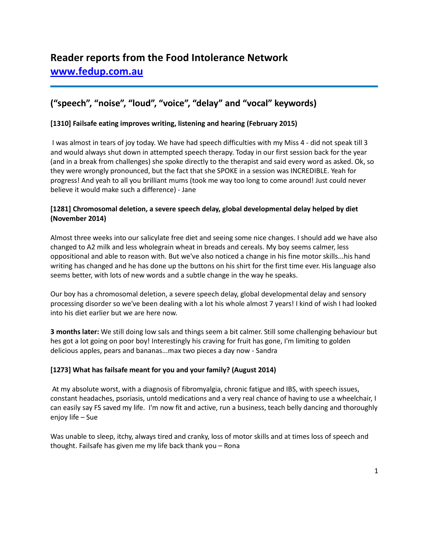# **("speech", "noise", "loud", "voice", "delay" and "vocal" keywords)**

# **[1310] Failsafe eating improves writing, listening and hearing (February 2015)**

I was almost in tears of joy today. We have had speech difficulties with my Miss 4 - did not speak till 3 and would always shut down in attempted speech therapy. Today in our first session back for the year (and in a break from challenges) she spoke directly to the therapist and said every word as asked. Ok, so they were wrongly pronounced, but the fact that she SPOKE in a session was INCREDIBLE. Yeah for progress! And yeah to all you brilliant mums (took me way too long to come around! Just could never believe it would make such a difference) - Jane

### **[1281] Chromosomal deletion, a severe speech delay, global developmental delay helped by diet (November 2014)**

Almost three weeks into our salicylate free diet and seeing some nice changes. I should add we have also changed to A2 milk and less wholegrain wheat in breads and cereals. My boy seems calmer, less oppositional and able to reason with. But we've also noticed a change in his fine motor skills...his hand writing has changed and he has done up the buttons on his shirt for the first time ever. His language also seems better, with lots of new words and a subtle change in the way he speaks.

Our boy has a chromosomal deletion, a severe speech delay, global developmental delay and sensory processing disorder so we've been dealing with a lot his whole almost 7 years! I kind of wish I had looked into his diet earlier but we are here now.

**3 months later:** We still doing low sals and things seem a bit calmer. Still some challenging behaviour but hes got a lot going on poor boy! Interestingly his craving for fruit has gone, I'm limiting to golden delicious apples, pears and bananas...max two pieces a day now - Sandra

# **[1273] What has failsafe meant for you and your family? (August 2014)**

At my absolute worst, with a diagnosis of fibromyalgia, chronic fatigue and IBS, with speech issues, constant headaches, psoriasis, untold medications and a very real chance of having to use a wheelchair, I can easily say FS saved my life. I'm now fit and active, run a business, teach belly dancing and thoroughly enjoy life – Sue

Was unable to sleep, itchy, always tired and cranky, loss of motor skills and at times loss of speech and thought. Failsafe has given me my life back thank you – Rona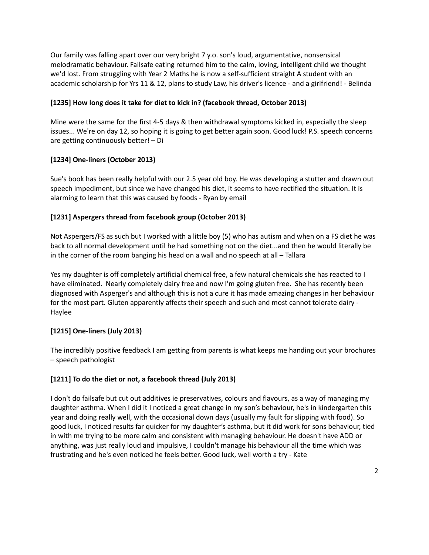Our family was falling apart over our very bright 7 y.o. son's loud, argumentative, nonsensical melodramatic behaviour. Failsafe eating returned him to the calm, loving, intelligent child we thought we'd lost. From struggling with Year 2 Maths he is now a self-sufficient straight A student with an academic scholarship for Yrs 11 & 12, plans to study Law, his driver's licence - and a girlfriend! - Belinda

# **[1235] How long does it take for diet to kick in? (facebook thread, October 2013)**

Mine were the same for the first 4-5 days & then withdrawal symptoms kicked in, especially the sleep issues... We're on day 12, so hoping it is going to get better again soon. Good luck! P.S. speech concerns are getting continuously better! – Di

# **[1234] One-liners (October 2013)**

Sue's book has been really helpful with our 2.5 year old boy. He was developing a stutter and drawn out speech impediment, but since we have changed his diet, it seems to have rectified the situation. It is alarming to learn that this was caused by foods - Ryan by email

# **[1231] Aspergers thread from facebook group (October 2013)**

Not Aspergers/FS as such but I worked with a little boy (5) who has autism and when on a FS diet he was back to all normal development until he had something not on the diet...and then he would literally be in the corner of the room banging his head on a wall and no speech at all – Tallara

Yes my daughter is off completely artificial chemical free, a few natural chemicals she has reacted to I have eliminated. Nearly completely dairy free and now I'm going gluten free. She has recently been diagnosed with Asperger's and although this is not a cure it has made amazing changes in her behaviour for the most part. Gluten apparently affects their speech and such and most cannot tolerate dairy - Haylee

# **[1215] One-liners (July 2013)**

The incredibly positive feedback I am getting from parents is what keeps me handing out your brochures – speech pathologist

# **[1211] To do the diet or not, a facebook thread (July 2013)**

I don't do failsafe but cut out additives ie preservatives, colours and flavours, as a way of managing my daughter asthma. When I did it I noticed a great change in my son's behaviour, he's in kindergarten this year and doing really well, with the occasional down days (usually my fault for slipping with food). So good luck, I noticed results far quicker for my daughter's asthma, but it did work for sons behaviour, tied in with me trying to be more calm and consistent with managing behaviour. He doesn't have ADD or anything, was just really loud and impulsive, I couldn't manage his behaviour all the time which was frustrating and he's even noticed he feels better. Good luck, well worth a try - Kate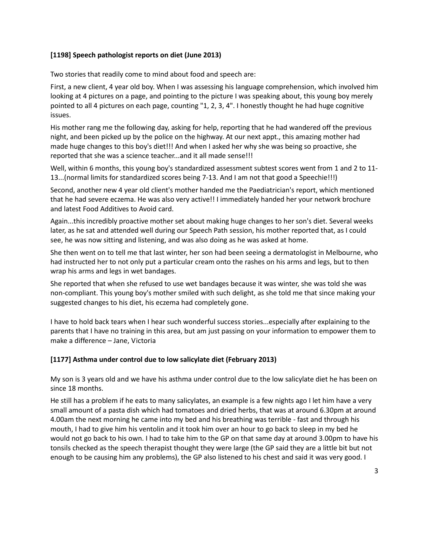#### **[1198] Speech pathologist reports on diet (June 2013)**

Two stories that readily come to mind about food and speech are:

First, a new client, 4 year old boy. When I was assessing his language comprehension, which involved him looking at 4 pictures on a page, and pointing to the picture I was speaking about, this young boy merely pointed to all 4 pictures on each page, counting "1, 2, 3, 4". I honestly thought he had huge cognitive issues.

His mother rang me the following day, asking for help, reporting that he had wandered off the previous night, and been picked up by the police on the highway. At our next appt., this amazing mother had made huge changes to this boy's diet!!! And when I asked her why she was being so proactive, she reported that she was a science teacher...and it all made sense!!!

Well, within 6 months, this young boy's standardized assessment subtest scores went from 1 and 2 to 11- 13...(normal limits for standardized scores being 7-13. And I am not that good a Speechie!!!)

Second, another new 4 year old client's mother handed me the Paediatrician's report, which mentioned that he had severe eczema. He was also very active!! I immediately handed her your network brochure and latest Food Additives to Avoid card.

Again...this incredibly proactive mother set about making huge changes to her son's diet. Several weeks later, as he sat and attended well during our Speech Path session, his mother reported that, as I could see, he was now sitting and listening, and was also doing as he was asked at home.

She then went on to tell me that last winter, her son had been seeing a dermatologist in Melbourne, who had instructed her to not only put a particular cream onto the rashes on his arms and legs, but to then wrap his arms and legs in wet bandages.

She reported that when she refused to use wet bandages because it was winter, she was told she was non-compliant. This young boy's mother smiled with such delight, as she told me that since making your suggested changes to his diet, his eczema had completely gone.

I have to hold back tears when I hear such wonderful success stories...especially after explaining to the parents that I have no training in this area, but am just passing on your information to empower them to make a difference – Jane, Victoria

# **[1177] Asthma under control due to low salicylate diet (February 2013)**

My son is 3 years old and we have his asthma under control due to the low salicylate diet he has been on since 18 months.

He still has a problem if he eats to many salicylates, an example is a few nights ago I let him have a very small amount of a pasta dish which had tomatoes and dried herbs, that was at around 6.30pm at around 4.00am the next morning he came into my bed and his breathing was terrible - fast and through his mouth, I had to give him his ventolin and it took him over an hour to go back to sleep in my bed he would not go back to his own. I had to take him to the GP on that same day at around 3.00pm to have his tonsils checked as the speech therapist thought they were large (the GP said they are a little bit but not enough to be causing him any problems), the GP also listened to his chest and said it was very good. I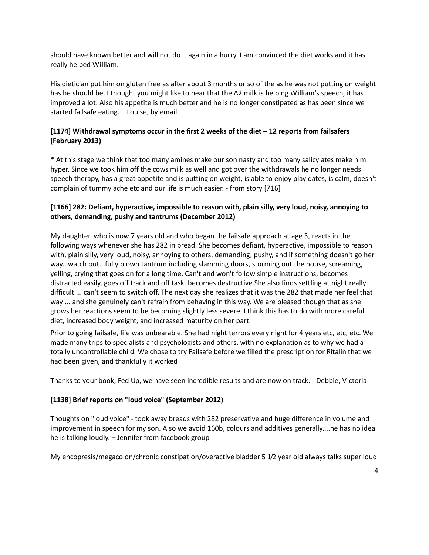should have known better and will not do it again in a hurry. I am convinced the diet works and it has really helped William.

His dietician put him on gluten free as after about 3 months or so of the as he was not putting on weight has he should be. I thought you might like to hear that the A2 milk is helping William's speech, it has improved a lot. Also his appetite is much better and he is no longer constipated as has been since we started failsafe eating. – Louise, by email

# **[1174] Withdrawal symptoms occur in the first 2 weeks of the diet – 12 reports from failsafers (February 2013)**

\* At this stage we think that too many amines make our son nasty and too many salicylates make him hyper. Since we took him off the cows milk as well and got over the withdrawals he no longer needs speech therapy, has a great appetite and is putting on weight, is able to enjoy play dates, is calm, doesn't complain of tummy ache etc and our life is much easier. - from story [716]

# **[1166] 282: Defiant, hyperactive, impossible to reason with, plain silly, very loud, noisy, annoying to others, demanding, pushy and tantrums (December 2012)**

My daughter, who is now 7 years old and who began the failsafe approach at age 3, reacts in the following ways whenever she has 282 in bread. She becomes defiant, hyperactive, impossible to reason with, plain silly, very loud, noisy, annoying to others, demanding, pushy, and if something doesn't go her way...watch out...fully blown tantrum including slamming doors, storming out the house, screaming, yelling, crying that goes on for a long time. Can't and won't follow simple instructions, becomes distracted easily, goes off track and off task, becomes destructive She also finds settling at night really difficult ... can't seem to switch off. The next day she realizes that it was the 282 that made her feel that way ... and she genuinely can't refrain from behaving in this way. We are pleased though that as she grows her reactions seem to be becoming slightly less severe. I think this has to do with more careful diet, increased body weight, and increased maturity on her part.

Prior to going failsafe, life was unbearable. She had night terrors every night for 4 years etc, etc, etc. We made many trips to specialists and psychologists and others, with no explanation as to why we had a totally uncontrollable child. We chose to try Failsafe before we filled the prescription for Ritalin that we had been given, and thankfully it worked!

Thanks to your book, Fed Up, we have seen incredible results and are now on track. - Debbie, Victoria

#### **[1138] Brief reports on "loud voice" (September 2012)**

Thoughts on "loud voice" - took away breads with 282 preservative and huge difference in volume and improvement in speech for my son. Also we avoid 160b, colours and additives generally....he has no idea he is talking loudly. – Jennifer from facebook group

My encopresis/megacolon/chronic constipation/overactive bladder 5 1/2 year old always talks super loud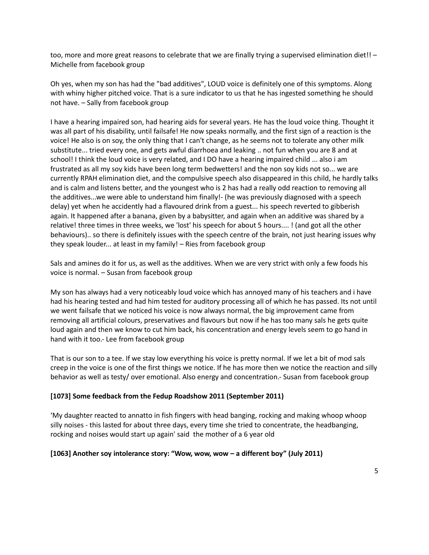too, more and more great reasons to celebrate that we are finally trying a supervised elimination diet!! – Michelle from facebook group

Oh yes, when my son has had the "bad additives", LOUD voice is definitely one of this symptoms. Along with whiny higher pitched voice. That is a sure indicator to us that he has ingested something he should not have. – Sally from facebook group

I have a hearing impaired son, had hearing aids for several years. He has the loud voice thing. Thought it was all part of his disability, until failsafe! He now speaks normally, and the first sign of a reaction is the voice! He also is on soy, the only thing that I can't change, as he seems not to tolerate any other milk substitute... tried every one, and gets awful diarrhoea and leaking .. not fun when you are 8 and at school! I think the loud voice is very related, and I DO have a hearing impaired child ... also i am frustrated as all my soy kids have been long term bedwetters! and the non soy kids not so... we are currently RPAH elimination diet, and the compulsive speech also disappeared in this child, he hardly talks and is calm and listens better, and the youngest who is 2 has had a really odd reaction to removing all the additives...we were able to understand him finally!- (he was previously diagnosed with a speech delay) yet when he accidently had a flavoured drink from a guest... his speech reverted to gibberish again. It happened after a banana, given by a babysitter, and again when an additive was shared by a relative! three times in three weeks, we 'lost' his speech for about 5 hours.... ! (and got all the other behaviours).. so there is definitely issues with the speech centre of the brain, not just hearing issues why they speak louder... at least in my family! – Ries from facebook group

Sals and amines do it for us, as well as the additives. When we are very strict with only a few foods his voice is normal. – Susan from facebook group

My son has always had a very noticeably loud voice which has annoyed many of his teachers and i have had his hearing tested and had him tested for auditory processing all of which he has passed. Its not until we went failsafe that we noticed his voice is now always normal, the big improvement came from removing all artificial colours, preservatives and flavours but now if he has too many sals he gets quite loud again and then we know to cut him back, his concentration and energy levels seem to go hand in hand with it too.- Lee from facebook group

That is our son to a tee. If we stay low everything his voice is pretty normal. If we let a bit of mod sals creep in the voice is one of the first things we notice. If he has more then we notice the reaction and silly behavior as well as testy/ over emotional. Also energy and concentration.- Susan from facebook group

#### **[1073] Some feedback from the Fedup Roadshow 2011 (September 2011)**

'My daughter reacted to annatto in fish fingers with head banging, rocking and making whoop whoop silly noises - this lasted for about three days, every time she tried to concentrate, the headbanging, rocking and noises would start up again' said the mother of a 6 year old

#### **[1063] Another soy intolerance story: "Wow, wow, wow – a different boy" (July 2011)**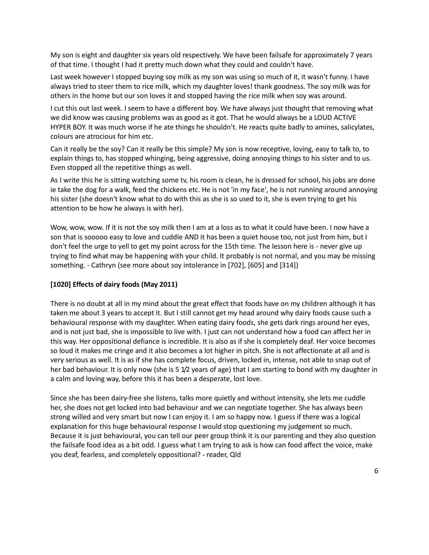My son is eight and daughter six years old respectively. We have been failsafe for approximately 7 years of that time. I thought I had it pretty much down what they could and couldn't have.

Last week however I stopped buying soy milk as my son was using so much of it, it wasn't funny. I have always tried to steer them to rice milk, which my daughter loves! thank goodness. The soy milk was for others in the home but our son loves it and stopped having the rice milk when soy was around.

I cut this out last week. I seem to have a different boy. We have always just thought that removing what we did know was causing problems was as good as it got. That he would always be a LOUD ACTIVE HYPER BOY. It was much worse if he ate things he shouldn't. He reacts quite badly to amines, salicylates, colours are atrocious for him etc.

Can it really be the soy? Can it really be this simple? My son is now receptive, loving, easy to talk to, to explain things to, has stopped whinging, being aggressive, doing annoying things to his sister and to us. Even stopped all the repetitive things as well.

As I write this he is sitting watching some tv, his room is clean, he is dressed for school, his jobs are done ie take the dog for a walk, feed the chickens etc. He is not 'in my face', he is not running around annoying his sister (she doesn't know what to do with this as she is so used to it, she is even trying to get his attention to be how he always is with her).

Wow, wow, wow. If it is not the soy milk then I am at a loss as to what it could have been. I now have a son that is sooooo easy to love and cuddle AND it has been a quiet house too, not just from him, but I don't feel the urge to yell to get my point across for the 15th time. The lesson here is - never give up trying to find what may be happening with your child. It probably is not normal, and you may be missing something. - Cathryn (see more about soy intolerance in [702], [605] and [314])

#### **[1020] Effects of dairy foods (May 2011)**

There is no doubt at all in my mind about the great effect that foods have on my children although it has taken me about 3 years to accept it. But I still cannot get my head around why dairy foods cause such a behavioural response with my daughter. When eating dairy foods, she gets dark rings around her eyes, and is not just bad, she is impossible to live with. I just can not understand how a food can affect her in this way. Her oppositional defiance is incredible. It is also as if she is completely deaf. Her voice becomes so loud it makes me cringe and it also becomes a lot higher in pitch. She is not affectionate at all and is very serious as well. It is as if she has complete focus, driven, locked in, intense, not able to snap out of her bad behaviour. It is only now (she is 5 1/2 years of age) that I am starting to bond with my daughter in a calm and loving way, before this it has been a desperate, lost love.

Since she has been dairy-free she listens, talks more quietly and without intensity, she lets me cuddle her, she does not get locked into bad behaviour and we can negotiate together. She has always been strong willed and very smart but now I can enjoy it. I am so happy now. I guess if there was a logical explanation for this huge behavioural response I would stop questioning my judgement so much. Because it is just behavioural, you can tell our peer group think it is our parenting and they also question the failsafe food idea as a bit odd. I guess what I am trying to ask is how can food affect the voice, make you deaf, fearless, and completely oppositional? - reader, Qld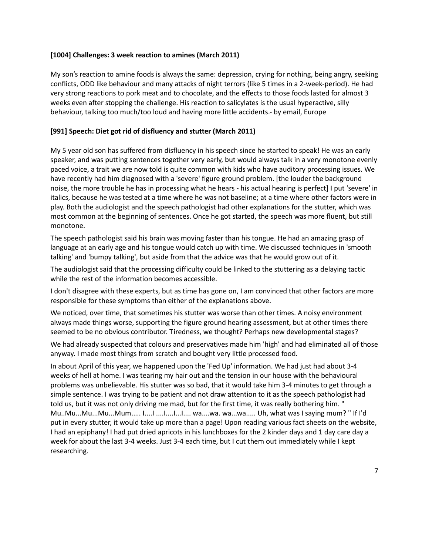#### **[1004] Challenges: 3 week reaction to amines (March 2011)**

My son's reaction to amine foods is always the same: depression, crying for nothing, being angry, seeking conflicts, ODD like behaviour and many attacks of night terrors (like 5 times in a 2-week-period). He had very strong reactions to pork meat and to chocolate, and the effects to those foods lasted for almost 3 weeks even after stopping the challenge. His reaction to salicylates is the usual hyperactive, silly behaviour, talking too much/too loud and having more little accidents.- by email, Europe

### **[991] Speech: Diet got rid of disfluency and stutter (March 2011)**

My 5 year old son has suffered from disfluency in his speech since he started to speak! He was an early speaker, and was putting sentences together very early, but would always talk in a very monotone evenly paced voice, a trait we are now told is quite common with kids who have auditory processing issues. We have recently had him diagnosed with a 'severe' figure ground problem. [the louder the background noise, the more trouble he has in processing what he hears - his actual hearing is perfect] I put 'severe' in italics, because he was tested at a time where he was not baseline; at a time where other factors were in play. Both the audiologist and the speech pathologist had other explanations for the stutter, which was most common at the beginning of sentences. Once he got started, the speech was more fluent, but still monotone.

The speech pathologist said his brain was moving faster than his tongue. He had an amazing grasp of language at an early age and his tongue would catch up with time. We discussed techniques in 'smooth talking' and 'bumpy talking', but aside from that the advice was that he would grow out of it.

The audiologist said that the processing difficulty could be linked to the stuttering as a delaying tactic while the rest of the information becomes accessible.

I don't disagree with these experts, but as time has gone on, I am convinced that other factors are more responsible for these symptoms than either of the explanations above.

We noticed, over time, that sometimes his stutter was worse than other times. A noisy environment always made things worse, supporting the figure ground hearing assessment, but at other times there seemed to be no obvious contributor. Tiredness, we thought? Perhaps new developmental stages?

We had already suspected that colours and preservatives made him 'high' and had eliminated all of those anyway. I made most things from scratch and bought very little processed food.

In about April of this year, we happened upon the 'Fed Up' information. We had just had about 3-4 weeks of hell at home. I was tearing my hair out and the tension in our house with the behavioural problems was unbelievable. His stutter was so bad, that it would take him 3-4 minutes to get through a simple sentence. I was trying to be patient and not draw attention to it as the speech pathologist had told us, but it was not only driving me mad, but for the first time, it was really bothering him. " Mu..Mu...Mu...Mu...Mum..... I....I ....I....I...I.... wa....wa. wa...wa..... Uh, what was I saying mum? " If I'd put in every stutter, it would take up more than a page! Upon reading various fact sheets on the website, I had an epiphany! I had put dried apricots in his lunchboxes for the 2 kinder days and 1 day care day a week for about the last 3-4 weeks. Just 3-4 each time, but I cut them out immediately while I kept researching.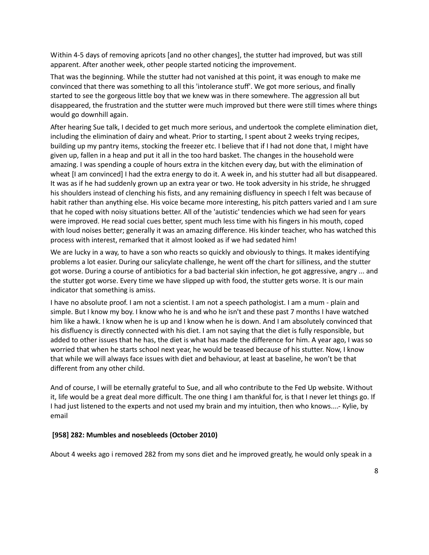Within 4-5 days of removing apricots [and no other changes], the stutter had improved, but was still apparent. After another week, other people started noticing the improvement.

That was the beginning. While the stutter had not vanished at this point, it was enough to make me convinced that there was something to all this 'intolerance stuff'. We got more serious, and finally started to see the gorgeous little boy that we knew was in there somewhere. The aggression all but disappeared, the frustration and the stutter were much improved but there were still times where things would go downhill again.

After hearing Sue talk, I decided to get much more serious, and undertook the complete elimination diet, including the elimination of dairy and wheat. Prior to starting, I spent about 2 weeks trying recipes, building up my pantry items, stocking the freezer etc. I believe that if I had not done that, I might have given up, fallen in a heap and put it all in the too hard basket. The changes in the household were amazing. I was spending a couple of hours extra in the kitchen every day, but with the elimination of wheat [I am convinced] I had the extra energy to do it. A week in, and his stutter had all but disappeared. It was as if he had suddenly grown up an extra year or two. He took adversity in his stride, he shrugged his shoulders instead of clenching his fists, and any remaining disfluency in speech I felt was because of habit rather than anything else. His voice became more interesting, his pitch patters varied and I am sure that he coped with noisy situations better. All of the 'autistic' tendencies which we had seen for years were improved. He read social cues better, spent much less time with his fingers in his mouth, coped with loud noises better; generally it was an amazing difference. His kinder teacher, who has watched this process with interest, remarked that it almost looked as if we had sedated him!

We are lucky in a way, to have a son who reacts so quickly and obviously to things. It makes identifying problems a lot easier. During our salicylate challenge, he went off the chart for silliness, and the stutter got worse. During a course of antibiotics for a bad bacterial skin infection, he got aggressive, angry ... and the stutter got worse. Every time we have slipped up with food, the stutter gets worse. It is our main indicator that something is amiss.

I have no absolute proof. I am not a scientist. I am not a speech pathologist. I am a mum - plain and simple. But I know my boy. I know who he is and who he isn't and these past 7 months I have watched him like a hawk. I know when he is up and I know when he is down. And I am absolutely convinced that his disfluency is directly connected with his diet. I am not saying that the diet is fully responsible, but added to other issues that he has, the diet is what has made the difference for him. A year ago, I was so worried that when he starts school next year, he would be teased because of his stutter. Now, I know that while we will always face issues with diet and behaviour, at least at baseline, he won't be that different from any other child.

And of course, I will be eternally grateful to Sue, and all who contribute to the Fed Up website. Without it, life would be a great deal more difficult. The one thing I am thankful for, is that I never let things go. If I had just listened to the experts and not used my brain and my intuition, then who knows....- Kylie, by email

#### **[958] 282: Mumbles and nosebleeds (October 2010)**

About 4 weeks ago i removed 282 from my sons diet and he improved greatly, he would only speak in a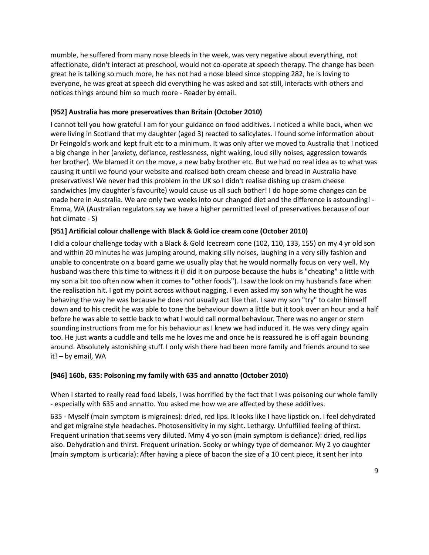mumble, he suffered from many nose bleeds in the week, was very negative about everything, not affectionate, didn't interact at preschool, would not co-operate at speech therapy. The change has been great he is talking so much more, he has not had a nose bleed since stopping 282, he is loving to everyone, he was great at speech did everything he was asked and sat still, interacts with others and notices things around him so much more - Reader by email.

### **[952] Australia has more preservatives than Britain (October 2010)**

I cannot tell you how grateful I am for your guidance on food additives. I noticed a while back, when we were living in Scotland that my daughter (aged 3) reacted to salicylates. I found some information about Dr Feingold's work and kept fruit etc to a minimum. It was only after we moved to Australia that I noticed a big change in her (anxiety, defiance, restlessness, night waking, loud silly noises, aggression towards her brother). We blamed it on the move, a new baby brother etc. But we had no real idea as to what was causing it until we found your website and realised both cream cheese and bread in Australia have preservatives! We never had this problem in the UK so I didn't realise dishing up cream cheese sandwiches (my daughter's favourite) would cause us all such bother! I do hope some changes can be made here in Australia. We are only two weeks into our changed diet and the difference is astounding! - Emma, WA (Australian regulators say we have a higher permitted level of preservatives because of our hot climate - S)

# **[951] Artificial colour challenge with Black & Gold ice cream cone (October 2010)**

I did a colour challenge today with a Black & Gold Icecream cone (102, 110, 133, 155) on my 4 yr old son and within 20 minutes he was jumping around, making silly noises, laughing in a very silly fashion and unable to concentrate on a board game we usually play that he would normally focus on very well. My husband was there this time to witness it (I did it on purpose because the hubs is "cheating" a little with my son a bit too often now when it comes to "other foods"). I saw the look on my husband's face when the realisation hit. I got my point across without nagging. I even asked my son why he thought he was behaving the way he was because he does not usually act like that. I saw my son "try" to calm himself down and to his credit he was able to tone the behaviour down a little but it took over an hour and a half before he was able to settle back to what I would call normal behaviour. There was no anger or stern sounding instructions from me for his behaviour as I knew we had induced it. He was very clingy again too. He just wants a cuddle and tells me he loves me and once he is reassured he is off again bouncing around. Absolutely astonishing stuff. I only wish there had been more family and friends around to see it! – by email, WA

# **[946] 160b, 635: Poisoning my family with 635 and annatto (October 2010)**

When I started to really read food labels, I was horrified by the fact that I was poisoning our whole family - especially with 635 and annatto. You asked me how we are affected by these additives.

635 - Myself (main symptom is migraines): dried, red lips. It looks like I have lipstick on. I feel dehydrated and get migraine style headaches. Photosensitivity in my sight. Lethargy. Unfulfilled feeling of thirst. Frequent urination that seems very diluted. Mmy 4 yo son (main symptom is defiance): dried, red lips also. Dehydration and thirst. Frequent urination. Sooky or whingy type of demeanor. My 2 yo daughter (main symptom is urticaria): After having a piece of bacon the size of a 10 cent piece, it sent her into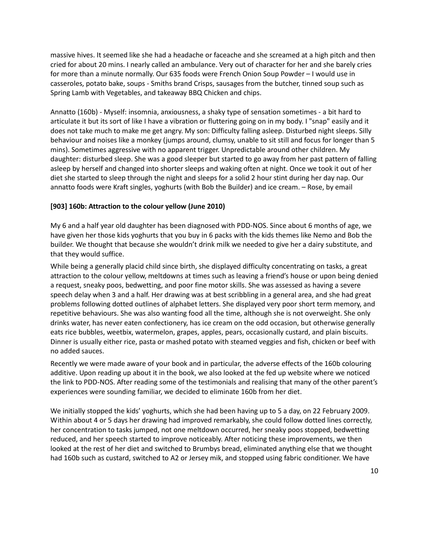massive hives. It seemed like she had a headache or faceache and she screamed at a high pitch and then cried for about 20 mins. I nearly called an ambulance. Very out of character for her and she barely cries for more than a minute normally. Our 635 foods were French Onion Soup Powder – I would use in casseroles, potato bake, soups - Smiths brand Crisps, sausages from the butcher, tinned soup such as Spring Lamb with Vegetables, and takeaway BBQ Chicken and chips.

Annatto (160b) - Myself: insomnia, anxiousness, a shaky type of sensation sometimes - a bit hard to articulate it but its sort of like I have a vibration or fluttering going on in my body. I "snap" easily and it does not take much to make me get angry. My son: Difficulty falling asleep. Disturbed night sleeps. Silly behaviour and noises like a monkey (jumps around, clumsy, unable to sit still and focus for longer than 5 mins). Sometimes aggressive with no apparent trigger. Unpredictable around other children. My daughter: disturbed sleep. She was a good sleeper but started to go away from her past pattern of falling asleep by herself and changed into shorter sleeps and waking often at night. Once we took it out of her diet she started to sleep through the night and sleeps for a solid 2 hour stint during her day nap. Our annatto foods were Kraft singles, yoghurts (with Bob the Builder) and ice cream. – Rose, by email

### **[903] 160b: Attraction to the colour yellow (June 2010)**

My 6 and a half year old daughter has been diagnosed with PDD-NOS. Since about 6 months of age, we have given her those kids yoghurts that you buy in 6 packs with the kids themes like Nemo and Bob the builder. We thought that because she wouldn't drink milk we needed to give her a dairy substitute, and that they would suffice.

While being a generally placid child since birth, she displayed difficulty concentrating on tasks, a great attraction to the colour yellow, meltdowns at times such as leaving a friend's house or upon being denied a request, sneaky poos, bedwetting, and poor fine motor skills. She was assessed as having a severe speech delay when 3 and a half. Her drawing was at best scribbling in a general area, and she had great problems following dotted outlines of alphabet letters. She displayed very poor short term memory, and repetitive behaviours. She was also wanting food all the time, although she is not overweight. She only drinks water, has never eaten confectionery, has ice cream on the odd occasion, but otherwise generally eats rice bubbles, weetbix, watermelon, grapes, apples, pears, occasionally custard, and plain biscuits. Dinner is usually either rice, pasta or mashed potato with steamed veggies and fish, chicken or beef with no added sauces.

Recently we were made aware of your book and in particular, the adverse effects of the 160b colouring additive. Upon reading up about it in the book, we also looked at the fed up website where we noticed the link to PDD-NOS. After reading some of the testimonials and realising that many of the other parent's experiences were sounding familiar, we decided to eliminate 160b from her diet.

We initially stopped the kids' yoghurts, which she had been having up to 5 a day, on 22 February 2009. Within about 4 or 5 days her drawing had improved remarkably, she could follow dotted lines correctly, her concentration to tasks jumped, not one meltdown occurred, her sneaky poos stopped, bedwetting reduced, and her speech started to improve noticeably. After noticing these improvements, we then looked at the rest of her diet and switched to Brumbys bread, eliminated anything else that we thought had 160b such as custard, switched to A2 or Jersey mik, and stopped using fabric conditioner. We have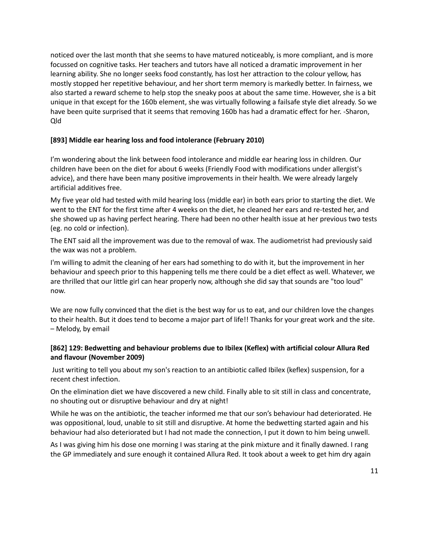noticed over the last month that she seems to have matured noticeably, is more compliant, and is more focussed on cognitive tasks. Her teachers and tutors have all noticed a dramatic improvement in her learning ability. She no longer seeks food constantly, has lost her attraction to the colour yellow, has mostly stopped her repetitive behaviour, and her short term memory is markedly better. In fairness, we also started a reward scheme to help stop the sneaky poos at about the same time. However, she is a bit unique in that except for the 160b element, she was virtually following a failsafe style diet already. So we have been quite surprised that it seems that removing 160b has had a dramatic effect for her. -Sharon, Qld

#### **[893] Middle ear hearing loss and food intolerance (February 2010)**

I'm wondering about the link between food intolerance and middle ear hearing loss in children. Our children have been on the diet for about 6 weeks (Friendly Food with modifications under allergist's advice), and there have been many positive improvements in their health. We were already largely artificial additives free.

My five year old had tested with mild hearing loss (middle ear) in both ears prior to starting the diet. We went to the ENT for the first time after 4 weeks on the diet, he cleaned her ears and re-tested her, and she showed up as having perfect hearing. There had been no other health issue at her previous two tests (eg. no cold or infection).

The ENT said all the improvement was due to the removal of wax. The audiometrist had previously said the wax was not a problem.

I'm willing to admit the cleaning of her ears had something to do with it, but the improvement in her behaviour and speech prior to this happening tells me there could be a diet effect as well. Whatever, we are thrilled that our little girl can hear properly now, although she did say that sounds are "too loud" now.

We are now fully convinced that the diet is the best way for us to eat, and our children love the changes to their health. But it does tend to become a major part of life!! Thanks for your great work and the site. – Melody, by email

### **[862] 129: Bedwetting and behaviour problems due to Ibilex (Keflex) with artificial colour Allura Red and flavour (November 2009)**

Just writing to tell you about my son's reaction to an antibiotic called Ibilex (keflex) suspension, for a recent chest infection.

On the elimination diet we have discovered a new child. Finally able to sit still in class and concentrate, no shouting out or disruptive behaviour and dry at night!

While he was on the antibiotic, the teacher informed me that our son's behaviour had deteriorated. He was oppositional, loud, unable to sit still and disruptive. At home the bedwetting started again and his behaviour had also deteriorated but I had not made the connection, I put it down to him being unwell.

As I was giving him his dose one morning I was staring at the pink mixture and it finally dawned. I rang the GP immediately and sure enough it contained Allura Red. It took about a week to get him dry again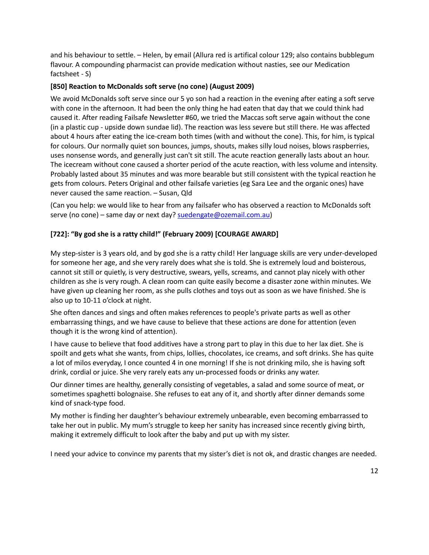and his behaviour to settle. – Helen, by email (Allura red is artifical colour 129; also contains bubblegum flavour. A compounding pharmacist can provide medication without nasties, see our Medication factsheet - S)

### **[850] Reaction to McDonalds soft serve (no cone) (August 2009)**

We avoid McDonalds soft serve since our 5 yo son had a reaction in the evening after eating a soft serve with cone in the afternoon. It had been the only thing he had eaten that day that we could think had caused it. After reading Failsafe Newsletter #60, we tried the Maccas soft serve again without the cone (in a plastic cup - upside down sundae lid). The reaction was less severe but still there. He was affected about 4 hours after eating the ice-cream both times (with and without the cone). This, for him, is typical for colours. Our normally quiet son bounces, jumps, shouts, makes silly loud noises, blows raspberries, uses nonsense words, and generally just can't sit still. The acute reaction generally lasts about an hour. The icecream without cone caused a shorter period of the acute reaction, with less volume and intensity. Probably lasted about 35 minutes and was more bearable but still consistent with the typical reaction he gets from colours. Peters Original and other failsafe varieties (eg Sara Lee and the organic ones) have never caused the same reaction. – Susan, Qld

(Can you help: we would like to hear from any failsafer who has observed a reaction to McDonalds soft serve (no cone) – same day or next day? [suedengate@ozemail.com.au\)](mailto:suedengate@ozemail.com.au)

# **[722]: "By god she is a ratty child!" (February 2009) [COURAGE AWARD]**

My step-sister is 3 years old, and by god she is a ratty child! Her language skills are very under-developed for someone her age, and she very rarely does what she is told. She is extremely loud and boisterous, cannot sit still or quietly, is very destructive, swears, yells, screams, and cannot play nicely with other children as she is very rough. A clean room can quite easily become a disaster zone within minutes. We have given up cleaning her room, as she pulls clothes and toys out as soon as we have finished. She is also up to 10-11 o'clock at night.

She often dances and sings and often makes references to people's private parts as well as other embarrassing things, and we have cause to believe that these actions are done for attention (even though it is the wrong kind of attention).

I have cause to believe that food additives have a strong part to play in this due to her lax diet. She is spoilt and gets what she wants, from chips, lollies, chocolates, ice creams, and soft drinks. She has quite a lot of milos everyday, I once counted 4 in one morning! If she is not drinking milo, she is having soft drink, cordial or juice. She very rarely eats any un-processed foods or drinks any water.

Our dinner times are healthy, generally consisting of vegetables, a salad and some source of meat, or sometimes spaghetti bolognaise. She refuses to eat any of it, and shortly after dinner demands some kind of snack-type food.

My mother is finding her daughter's behaviour extremely unbearable, even becoming embarrassed to take her out in public. My mum's struggle to keep her sanity has increased since recently giving birth, making it extremely difficult to look after the baby and put up with my sister.

I need your advice to convince my parents that my sister's diet is not ok, and drastic changes are needed.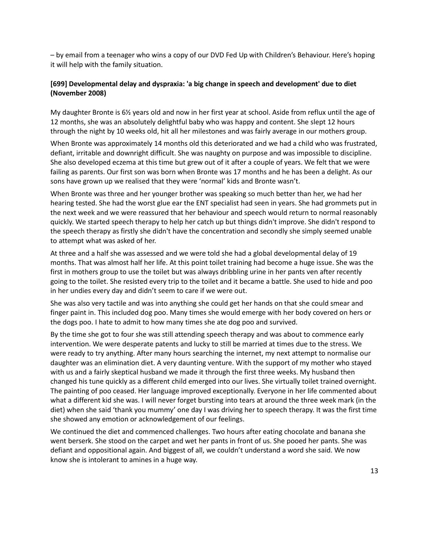– by email from a teenager who wins a copy of our DVD Fed Up with Children's Behaviour. Here's hoping it will help with the family situation.

# **[699] Developmental delay and dyspraxia: 'a big change in speech and development' due to diet (November 2008)**

My daughter Bronte is 6½ years old and now in her first year at school. Aside from reflux until the age of 12 months, she was an absolutely delightful baby who was happy and content. She slept 12 hours through the night by 10 weeks old, hit all her milestones and was fairly average in our mothers group.

When Bronte was approximately 14 months old this deteriorated and we had a child who was frustrated, defiant, irritable and downright difficult. She was naughty on purpose and was impossible to discipline. She also developed eczema at this time but grew out of it after a couple of years. We felt that we were failing as parents. Our first son was born when Bronte was 17 months and he has been a delight. As our sons have grown up we realised that they were 'normal' kids and Bronte wasn't.

When Bronte was three and her younger brother was speaking so much better than her, we had her hearing tested. She had the worst glue ear the ENT specialist had seen in years. She had grommets put in the next week and we were reassured that her behaviour and speech would return to normal reasonably quickly. We started speech therapy to help her catch up but things didn't improve. She didn't respond to the speech therapy as firstly she didn't have the concentration and secondly she simply seemed unable to attempt what was asked of her.

At three and a half she was assessed and we were told she had a global developmental delay of 19 months. That was almost half her life. At this point toilet training had become a huge issue. She was the first in mothers group to use the toilet but was always dribbling urine in her pants ven after recently going to the toilet. She resisted every trip to the toilet and it became a battle. She used to hide and poo in her undies every day and didn't seem to care if we were out.

She was also very tactile and was into anything she could get her hands on that she could smear and finger paint in. This included dog poo. Many times she would emerge with her body covered on hers or the dogs poo. I hate to admit to how many times she ate dog poo and survived.

By the time she got to four she was still attending speech therapy and was about to commence early intervention. We were desperate patents and lucky to still be married at times due to the stress. We were ready to try anything. After many hours searching the internet, my next attempt to normalise our daughter was an elimination diet. A very daunting venture. With the support of my mother who stayed with us and a fairly skeptical husband we made it through the first three weeks. My husband then changed his tune quickly as a different child emerged into our lives. She virtually toilet trained overnight. The painting of poo ceased. Her language improved exceptionally. Everyone in her life commented about what a different kid she was. I will never forget bursting into tears at around the three week mark (in the diet) when she said 'thank you mummy' one day I was driving her to speech therapy. It was the first time she showed any emotion or acknowledgement of our feelings.

We continued the diet and commenced challenges. Two hours after eating chocolate and banana she went berserk. She stood on the carpet and wet her pants in front of us. She pooed her pants. She was defiant and oppositional again. And biggest of all, we couldn't understand a word she said. We now know she is intolerant to amines in a huge way.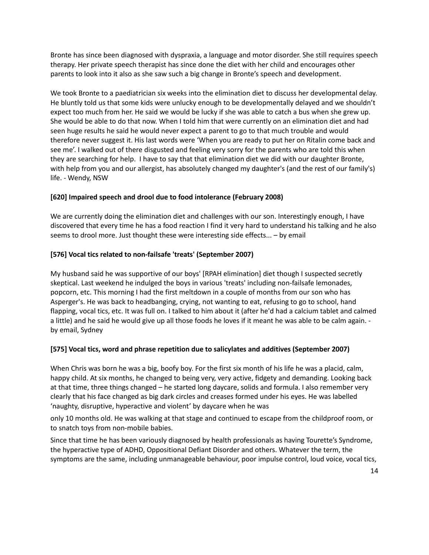Bronte has since been diagnosed with dyspraxia, a language and motor disorder. She still requires speech therapy. Her private speech therapist has since done the diet with her child and encourages other parents to look into it also as she saw such a big change in Bronte's speech and development.

We took Bronte to a paediatrician six weeks into the elimination diet to discuss her developmental delay. He bluntly told us that some kids were unlucky enough to be developmentally delayed and we shouldn't expect too much from her. He said we would be lucky if she was able to catch a bus when she grew up. She would be able to do that now. When I told him that were currently on an elimination diet and had seen huge results he said he would never expect a parent to go to that much trouble and would therefore never suggest it. His last words were 'When you are ready to put her on Ritalin come back and see me'. I walked out of there disgusted and feeling very sorry for the parents who are told this when they are searching for help. I have to say that that elimination diet we did with our daughter Bronte, with help from you and our allergist, has absolutely changed my daughter's (and the rest of our family's) life. - Wendy, NSW

### **[620] Impaired speech and drool due to food intolerance (February 2008)**

We are currently doing the elimination diet and challenges with our son. Interestingly enough, I have discovered that every time he has a food reaction I find it very hard to understand his talking and he also seems to drool more. Just thought these were interesting side effects... – by email

### **[576] Vocal tics related to non-failsafe 'treats' (September 2007)**

My husband said he was supportive of our boys' [RPAH elimination] diet though I suspected secretly skeptical. Last weekend he indulged the boys in various 'treats' including non-failsafe lemonades, popcorn, etc. This morning I had the first meltdown in a couple of months from our son who has Asperger's. He was back to headbanging, crying, not wanting to eat, refusing to go to school, hand flapping, vocal tics, etc. It was full on. I talked to him about it (after he'd had a calcium tablet and calmed a little) and he said he would give up all those foods he loves if it meant he was able to be calm again. by email, Sydney

#### **[575] Vocal tics, word and phrase repetition due to salicylates and additives (September 2007)**

When Chris was born he was a big, boofy boy. For the first six month of his life he was a placid, calm, happy child. At six months, he changed to being very, very active, fidgety and demanding. Looking back at that time, three things changed – he started long daycare, solids and formula. I also remember very clearly that his face changed as big dark circles and creases formed under his eyes. He was labelled 'naughty, disruptive, hyperactive and violent' by daycare when he was

only 10 months old. He was walking at that stage and continued to escape from the childproof room, or to snatch toys from non-mobile babies.

Since that time he has been variously diagnosed by health professionals as having Tourette's Syndrome, the hyperactive type of ADHD, Oppositional Defiant Disorder and others. Whatever the term, the symptoms are the same, including unmanageable behaviour, poor impulse control, loud voice, vocal tics,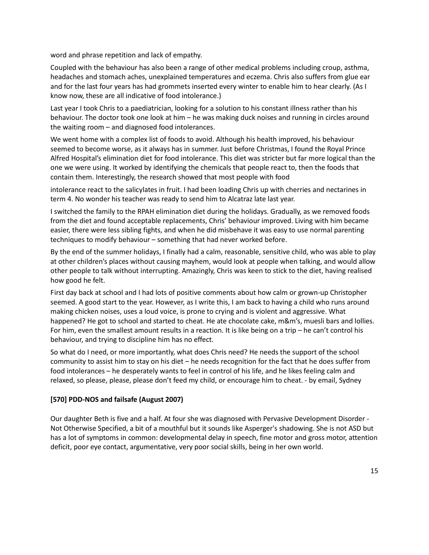word and phrase repetition and lack of empathy.

Coupled with the behaviour has also been a range of other medical problems including croup, asthma, headaches and stomach aches, unexplained temperatures and eczema. Chris also suffers from glue ear and for the last four years has had grommets inserted every winter to enable him to hear clearly. (As I know now, these are all indicative of food intolerance.)

Last year I took Chris to a paediatrician, looking for a solution to his constant illness rather than his behaviour. The doctor took one look at him – he was making duck noises and running in circles around the waiting room – and diagnosed food intolerances.

We went home with a complex list of foods to avoid. Although his health improved, his behaviour seemed to become worse, as it always has in summer. Just before Christmas, I found the Royal Prince Alfred Hospital's elimination diet for food intolerance. This diet was stricter but far more logical than the one we were using. It worked by identifying the chemicals that people react to, then the foods that contain them. Interestingly, the research showed that most people with food

intolerance react to the salicylates in fruit. I had been loading Chris up with cherries and nectarines in term 4. No wonder his teacher was ready to send him to Alcatraz late last year.

I switched the family to the RPAH elimination diet during the holidays. Gradually, as we removed foods from the diet and found acceptable replacements, Chris' behaviour improved. Living with him became easier, there were less sibling fights, and when he did misbehave it was easy to use normal parenting techniques to modify behaviour – something that had never worked before.

By the end of the summer holidays, I finally had a calm, reasonable, sensitive child, who was able to play at other children's places without causing mayhem, would look at people when talking, and would allow other people to talk without interrupting. Amazingly, Chris was keen to stick to the diet, having realised how good he felt.

First day back at school and I had lots of positive comments about how calm or grown-up Christopher seemed. A good start to the year. However, as I write this, I am back to having a child who runs around making chicken noises, uses a loud voice, is prone to crying and is violent and aggressive. What happened? He got to school and started to cheat. He ate chocolate cake, m&m's, muesli bars and lollies. For him, even the smallest amount results in a reaction. It is like being on a trip – he can't control his behaviour, and trying to discipline him has no effect.

So what do I need, or more importantly, what does Chris need? He needs the support of the school community to assist him to stay on his diet – he needs recognition for the fact that he does suffer from food intolerances – he desperately wants to feel in control of his life, and he likes feeling calm and relaxed, so please, please, please don't feed my child, or encourage him to cheat. - by email, Sydney

#### **[570] PDD-NOS and failsafe (August 2007)**

Our daughter Beth is five and a half. At four she was diagnosed with Pervasive Development Disorder - Not Otherwise Specified, a bit of a mouthful but it sounds like Asperger's shadowing. She is not ASD but has a lot of symptoms in common: developmental delay in speech, fine motor and gross motor, attention deficit, poor eye contact, argumentative, very poor social skills, being in her own world.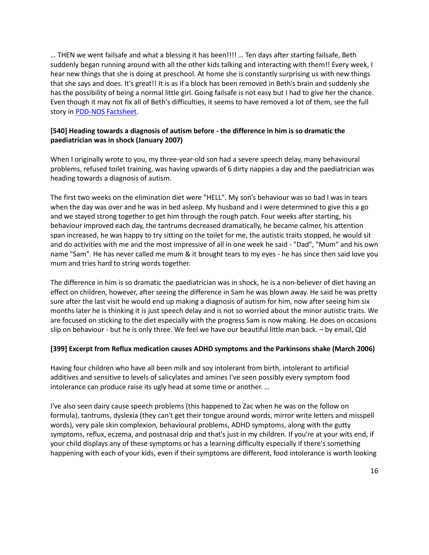… THEN we went failsafe and what a blessing it has been!!!! … Ten days after starting failsafe, Beth suddenly began running around with all the other kids talking and interacting with them!! Every week, I hear new things that she is doing at preschool. At home she is constantly surprising us with new things that she says and does. It's great!! It is as if a block has been removed in Beth's brain and suddenly she has the possibility of being a normal little girl. Going failsafe is not easy but I had to give her the chance. Even though it may not fix all of Beth's difficulties, it seems to have removed a lot of them, see the full story i[n PDD-NOS Factsheet.](http://fedup.com.au/factsheets/symptom-factsheets/pervasive-development-disorder-pdd-nos-symptom-discussion)

# **[540] Heading towards a diagnosis of autism before - the difference in him is so dramatic the paediatrician was in shock (January 2007)**

When I originally wrote to you, my three-year-old son had a severe speech delay, many behavioural problems, refused toilet training, was having upwards of 6 dirty nappies a day and the paediatrician was heading towards a diagnosis of autism.

The first two weeks on the elimination diet were "HELL". My son's behaviour was so bad I was in tears when the day was over and he was in bed asleep. My husband and I were determined to give this a go and we stayed strong together to get him through the rough patch. Four weeks after starting, his behaviour improved each day, the tantrums decreased dramatically, he became calmer, his attention span increased, he was happy to try sitting on the toilet for me, the autistic traits stopped, he would sit and do activities with me and the most impressive of all in one week he said - "Dad", "Mum" and his own name "Sam". He has never called me mum & it brought tears to my eyes - he has since then said love you mum and tries hard to string words together.

The difference in him is so dramatic the paediatrician was in shock, he is a non-believer of diet having an effect on children, however, after seeing the difference in Sam he was blown away. He said he was pretty sure after the last visit he would end up making a diagnosis of autism for him, now after seeing him six months later he is thinking it is just speech delay and is not so worried about the minor autistic traits. We are focused on sticking to the diet especially with the progress Sam is now making. He does on occasions slip on behaviour - but he is only three. We feel we have our beautiful little man back. – by email, Qld

# **[399] Excerpt from Reflux medication causes ADHD symptoms and the Parkinsons shake (March 2006)**

Having four children who have all been milk and soy intolerant from birth, intolerant to artificial additives and sensitive to levels of salicylates and amines I've seen possibly every symptom food intolerance can produce raise its ugly head at some time or another. …

I've also seen dairy cause speech problems (this happened to Zac when he was on the follow on formula), tantrums, dyslexia (they can't get their tongue around words, mirror write letters and misspell words), very pale skin complexion, behavioural problems, ADHD symptoms, along with the gutty symptoms, reflux, eczema, and postnasal drip and that's just in my children. If you're at your wits end, if your child displays any of these symptoms or has a learning difficulty especially if there's something happening with each of your kids, even if their symptoms are different, food intolerance is worth looking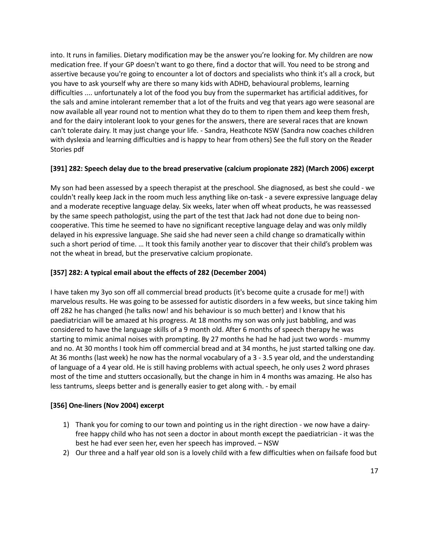into. It runs in families. Dietary modification may be the answer you're looking for. My children are now medication free. If your GP doesn't want to go there, find a doctor that will. You need to be strong and assertive because you're going to encounter a lot of doctors and specialists who think it's all a crock, but you have to ask yourself why are there so many kids with ADHD, behavioural problems, learning difficulties .... unfortunately a lot of the food you buy from the supermarket has artificial additives, for the sals and amine intolerant remember that a lot of the fruits and veg that years ago were seasonal are now available all year round not to mention what they do to them to ripen them and keep them fresh, and for the dairy intolerant look to your genes for the answers, there are several races that are known can't tolerate dairy. It may just change your life. - Sandra, Heathcote NSW (Sandra now coaches children with dyslexia and learning difficulties and is happy to hear from others) See the full story on the Reader Stories pdf

### **[391] 282: Speech delay due to the bread preservative (calcium propionate 282) (March 2006) excerpt**

My son had been assessed by a speech therapist at the preschool. She diagnosed, as best she could - we couldn't really keep Jack in the room much less anything like on-task - a severe expressive language delay and a moderate receptive language delay. Six weeks, later when off wheat products, he was reassessed by the same speech pathologist, using the part of the test that Jack had not done due to being noncooperative. This time he seemed to have no significant receptive language delay and was only mildly delayed in his expressive language. She said she had never seen a child change so dramatically within such a short period of time. … It took this family another year to discover that their child's problem was not the wheat in bread, but the preservative calcium propionate.

# **[357] 282: A typical email about the effects of 282 (December 2004)**

I have taken my 3yo son off all commercial bread products (it's become quite a crusade for me!) with marvelous results. He was going to be assessed for autistic disorders in a few weeks, but since taking him off 282 he has changed (he talks now! and his behaviour is so much better) and I know that his paediatrician will be amazed at his progress. At 18 months my son was only just babbling, and was considered to have the language skills of a 9 month old. After 6 months of speech therapy he was starting to mimic animal noises with prompting. By 27 months he had he had just two words - mummy and no. At 30 months I took him off commercial bread and at 34 months, he just started talking one day. At 36 months (last week) he now has the normal vocabulary of a 3 - 3.5 year old, and the understanding of language of a 4 year old. He is still having problems with actual speech, he only uses 2 word phrases most of the time and stutters occasionally, but the change in him in 4 months was amazing. He also has less tantrums, sleeps better and is generally easier to get along with. - by email

# **[356] One-liners (Nov 2004) excerpt**

- 1) Thank you for coming to our town and pointing us in the right direction we now have a dairyfree happy child who has not seen a doctor in about month except the paediatrician - it was the best he had ever seen her, even her speech has improved. – NSW
- 2) Our three and a half year old son is a lovely child with a few difficulties when on failsafe food but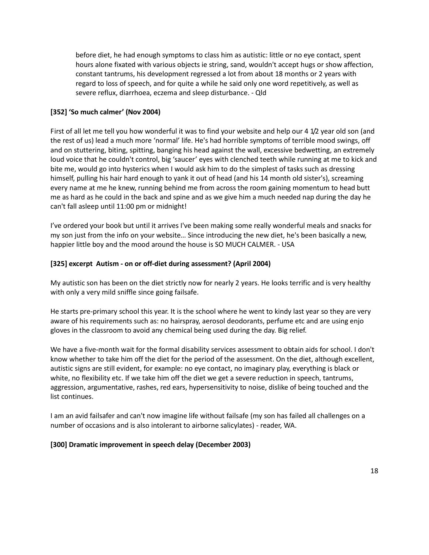before diet, he had enough symptoms to class him as autistic: little or no eye contact, spent hours alone fixated with various objects ie string, sand, wouldn't accept hugs or show affection, constant tantrums, his development regressed a lot from about 18 months or 2 years with regard to loss of speech, and for quite a while he said only one word repetitively, as well as severe reflux, diarrhoea, eczema and sleep disturbance. - Qld

#### **[352] 'So much calmer' (Nov 2004)**

First of all let me tell you how wonderful it was to find your website and help our 4 1/2 year old son (and the rest of us) lead a much more 'normal' life. He's had horrible symptoms of terrible mood swings, off and on stuttering, biting, spitting, banging his head against the wall, excessive bedwetting, an extremely loud voice that he couldn't control, big 'saucer' eyes with clenched teeth while running at me to kick and bite me, would go into hysterics when I would ask him to do the simplest of tasks such as dressing himself, pulling his hair hard enough to yank it out of head (and his 14 month old sister's), screaming every name at me he knew, running behind me from across the room gaining momentum to head butt me as hard as he could in the back and spine and as we give him a much needed nap during the day he can't fall asleep until 11:00 pm or midnight!

I've ordered your book but until it arrives I've been making some really wonderful meals and snacks for my son just from the info on your website… Since introducing the new diet, he's been basically a new, happier little boy and the mood around the house is SO MUCH CALMER. - USA

### **[325] excerpt Autism - on or off-diet during assessment? (April 2004)**

My autistic son has been on the diet strictly now for nearly 2 years. He looks terrific and is very healthy with only a very mild sniffle since going failsafe.

He starts pre-primary school this year. It is the school where he went to kindy last year so they are very aware of his requirements such as: no hairspray, aerosol deodorants, perfume etc and are using enjo gloves in the classroom to avoid any chemical being used during the day. Big relief.

We have a five-month wait for the formal disability services assessment to obtain aids for school. I don't know whether to take him off the diet for the period of the assessment. On the diet, although excellent, autistic signs are still evident, for example: no eye contact, no imaginary play, everything is black or white, no flexibility etc. If we take him off the diet we get a severe reduction in speech, tantrums, aggression, argumentative, rashes, red ears, hypersensitivity to noise, dislike of being touched and the list continues.

I am an avid failsafer and can't now imagine life without failsafe (my son has failed all challenges on a number of occasions and is also intolerant to airborne salicylates) - reader, WA.

#### **[300] Dramatic improvement in speech delay (December 2003)**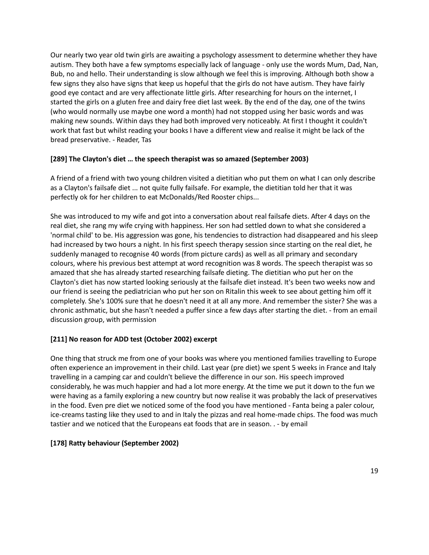Our nearly two year old twin girls are awaiting a psychology assessment to determine whether they have autism. They both have a few symptoms especially lack of language - only use the words Mum, Dad, Nan, Bub, no and hello. Their understanding is slow although we feel this is improving. Although both show a few signs they also have signs that keep us hopeful that the girls do not have autism. They have fairly good eye contact and are very affectionate little girls. After researching for hours on the internet, I started the girls on a gluten free and dairy free diet last week. By the end of the day, one of the twins (who would normally use maybe one word a month) had not stopped using her basic words and was making new sounds. Within days they had both improved very noticeably. At first I thought it couldn't work that fast but whilst reading your books I have a different view and realise it might be lack of the bread preservative. - Reader, Tas

### **[289] The Clayton's diet … the speech therapist was so amazed (September 2003)**

A friend of a friend with two young children visited a dietitian who put them on what I can only describe as a Clayton's failsafe diet ... not quite fully failsafe. For example, the dietitian told her that it was perfectly ok for her children to eat McDonalds/Red Rooster chips...

She was introduced to my wife and got into a conversation about real failsafe diets. After 4 days on the real diet, she rang my wife crying with happiness. Her son had settled down to what she considered a 'normal child' to be. His aggression was gone, his tendencies to distraction had disappeared and his sleep had increased by two hours a night. In his first speech therapy session since starting on the real diet, he suddenly managed to recognise 40 words (from picture cards) as well as all primary and secondary colours, where his previous best attempt at word recognition was 8 words. The speech therapist was so amazed that she has already started researching failsafe dieting. The dietitian who put her on the Clayton's diet has now started looking seriously at the failsafe diet instead. It's been two weeks now and our friend is seeing the pediatrician who put her son on Ritalin this week to see about getting him off it completely. She's 100% sure that he doesn't need it at all any more. And remember the sister? She was a chronic asthmatic, but she hasn't needed a puffer since a few days after starting the diet. - from an email discussion group, with permission

# **[211] No reason for ADD test (October 2002) excerpt**

One thing that struck me from one of your books was where you mentioned families travelling to Europe often experience an improvement in their child. Last year (pre diet) we spent 5 weeks in France and Italy travelling in a camping car and couldn't believe the difference in our son. His speech improved considerably, he was much happier and had a lot more energy. At the time we put it down to the fun we were having as a family exploring a new country but now realise it was probably the lack of preservatives in the food. Even pre diet we noticed some of the food you have mentioned - Fanta being a paler colour, ice-creams tasting like they used to and in Italy the pizzas and real home-made chips. The food was much tastier and we noticed that the Europeans eat foods that are in season. . - by email

# **[178] Ratty behaviour (September 2002)**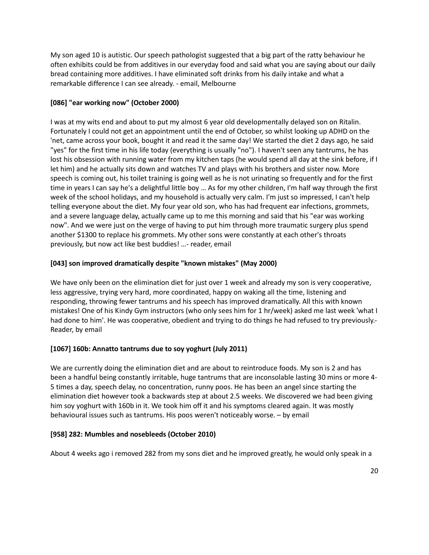My son aged 10 is autistic. Our speech pathologist suggested that a big part of the ratty behaviour he often exhibits could be from additives in our everyday food and said what you are saying about our daily bread containing more additives. I have eliminated soft drinks from his daily intake and what a remarkable difference I can see already. - email, Melbourne

# **[086] "ear working now" (October 2000)**

I was at my wits end and about to put my almost 6 year old developmentally delayed son on Ritalin. Fortunately I could not get an appointment until the end of October, so whilst looking up ADHD on the 'net, came across your book, bought it and read it the same day! We started the diet 2 days ago, he said "yes" for the first time in his life today (everything is usually "no"). I haven't seen any tantrums, he has lost his obsession with running water from my kitchen taps (he would spend all day at the sink before, if I let him) and he actually sits down and watches TV and plays with his brothers and sister now. More speech is coming out, his toilet training is going well as he is not urinating so frequently and for the first time in years I can say he's a delightful little boy … As for my other children, I'm half way through the first week of the school holidays, and my household is actually very calm. I'm just so impressed, I can't help telling everyone about the diet. My four year old son, who has had frequent ear infections, grommets, and a severe language delay, actually came up to me this morning and said that his "ear was working now". And we were just on the verge of having to put him through more traumatic surgery plus spend another \$1300 to replace his grommets. My other sons were constantly at each other's throats previously, but now act like best buddies! …- reader, email

# **[043] son improved dramatically despite "known mistakes" (May 2000)**

We have only been on the elimination diet for just over 1 week and already my son is very cooperative, less aggressive, trying very hard, more coordinated, happy on waking all the time, listening and responding, throwing fewer tantrums and his speech has improved dramatically. All this with known mistakes! One of his Kindy Gym instructors (who only sees him for 1 hr/week) asked me last week 'what I had done to him'. He was cooperative, obedient and trying to do things he had refused to try previously.- Reader, by email

# **[1067] 160b: Annatto tantrums due to soy yoghurt (July 2011)**

We are currently doing the elimination diet and are about to reintroduce foods. My son is 2 and has been a handful being constantly irritable, huge tantrums that are inconsolable lasting 30 mins or more 4- 5 times a day, speech delay, no concentration, runny poos. He has been an angel since starting the elimination diet however took a backwards step at about 2.5 weeks. We discovered we had been giving him soy yoghurt with 160b in it. We took him off it and his symptoms cleared again. It was mostly behavioural issues such as tantrums. His poos weren't noticeably worse. – by email

# **[958] 282: Mumbles and nosebleeds (October 2010)**

About 4 weeks ago i removed 282 from my sons diet and he improved greatly, he would only speak in a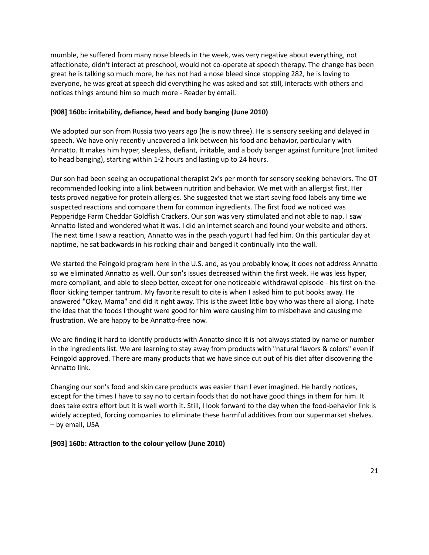mumble, he suffered from many nose bleeds in the week, was very negative about everything, not affectionate, didn't interact at preschool, would not co-operate at speech therapy. The change has been great he is talking so much more, he has not had a nose bleed since stopping 282, he is loving to everyone, he was great at speech did everything he was asked and sat still, interacts with others and notices things around him so much more - Reader by email.

### **[908] 160b: irritability, defiance, head and body banging (June 2010)**

We adopted our son from Russia two years ago (he is now three). He is sensory seeking and delayed in speech. We have only recently uncovered a link between his food and behavior, particularly with Annatto. It makes him hyper, sleepless, defiant, irritable, and a body banger against furniture (not limited to head banging), starting within 1-2 hours and lasting up to 24 hours.

Our son had been seeing an occupational therapist 2x's per month for sensory seeking behaviors. The OT recommended looking into a link between nutrition and behavior. We met with an allergist first. Her tests proved negative for protein allergies. She suggested that we start saving food labels any time we suspected reactions and compare them for common ingredients. The first food we noticed was Pepperidge Farm Cheddar Goldfish Crackers. Our son was very stimulated and not able to nap. I saw Annatto listed and wondered what it was. I did an internet search and found your website and others. The next time I saw a reaction, Annatto was in the peach yogurt I had fed him. On this particular day at naptime, he sat backwards in his rocking chair and banged it continually into the wall.

We started the Feingold program here in the U.S. and, as you probably know, it does not address Annatto so we eliminated Annatto as well. Our son's issues decreased within the first week. He was less hyper, more compliant, and able to sleep better, except for one noticeable withdrawal episode - his first on-thefloor kicking temper tantrum. My favorite result to cite is when I asked him to put books away. He answered "Okay, Mama" and did it right away. This is the sweet little boy who was there all along. I hate the idea that the foods I thought were good for him were causing him to misbehave and causing me frustration. We are happy to be Annatto-free now.

We are finding it hard to identify products with Annatto since it is not always stated by name or number in the ingredients list. We are learning to stay away from products with "natural flavors & colors" even if Feingold approved. There are many products that we have since cut out of his diet after discovering the Annatto link.

Changing our son's food and skin care products was easier than I ever imagined. He hardly notices, except for the times I have to say no to certain foods that do not have good things in them for him. It does take extra effort but it is well worth it. Still, I look forward to the day when the food-behavior link is widely accepted, forcing companies to eliminate these harmful additives from our supermarket shelves. – by email, USA

#### **[903] 160b: Attraction to the colour yellow (June 2010)**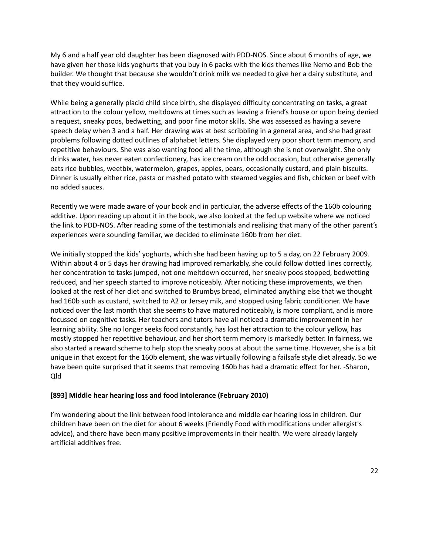My 6 and a half year old daughter has been diagnosed with PDD-NOS. Since about 6 months of age, we have given her those kids yoghurts that you buy in 6 packs with the kids themes like Nemo and Bob the builder. We thought that because she wouldn't drink milk we needed to give her a dairy substitute, and that they would suffice.

While being a generally placid child since birth, she displayed difficulty concentrating on tasks, a great attraction to the colour yellow, meltdowns at times such as leaving a friend's house or upon being denied a request, sneaky poos, bedwetting, and poor fine motor skills. She was assessed as having a severe speech delay when 3 and a half. Her drawing was at best scribbling in a general area, and she had great problems following dotted outlines of alphabet letters. She displayed very poor short term memory, and repetitive behaviours. She was also wanting food all the time, although she is not overweight. She only drinks water, has never eaten confectionery, has ice cream on the odd occasion, but otherwise generally eats rice bubbles, weetbix, watermelon, grapes, apples, pears, occasionally custard, and plain biscuits. Dinner is usually either rice, pasta or mashed potato with steamed veggies and fish, chicken or beef with no added sauces.

Recently we were made aware of your book and in particular, the adverse effects of the 160b colouring additive. Upon reading up about it in the book, we also looked at the fed up website where we noticed the link to PDD-NOS. After reading some of the testimonials and realising that many of the other parent's experiences were sounding familiar, we decided to eliminate 160b from her diet.

We initially stopped the kids' yoghurts, which she had been having up to 5 a day, on 22 February 2009. Within about 4 or 5 days her drawing had improved remarkably, she could follow dotted lines correctly, her concentration to tasks jumped, not one meltdown occurred, her sneaky poos stopped, bedwetting reduced, and her speech started to improve noticeably. After noticing these improvements, we then looked at the rest of her diet and switched to Brumbys bread, eliminated anything else that we thought had 160b such as custard, switched to A2 or Jersey mik, and stopped using fabric conditioner. We have noticed over the last month that she seems to have matured noticeably, is more compliant, and is more focussed on cognitive tasks. Her teachers and tutors have all noticed a dramatic improvement in her learning ability. She no longer seeks food constantly, has lost her attraction to the colour yellow, has mostly stopped her repetitive behaviour, and her short term memory is markedly better. In fairness, we also started a reward scheme to help stop the sneaky poos at about the same time. However, she is a bit unique in that except for the 160b element, she was virtually following a failsafe style diet already. So we have been quite surprised that it seems that removing 160b has had a dramatic effect for her. -Sharon, Qld

#### **[893] Middle hear hearing loss and food intolerance (February 2010)**

I'm wondering about the link between food intolerance and middle ear hearing loss in children. Our children have been on the diet for about 6 weeks (Friendly Food with modifications under allergist's advice), and there have been many positive improvements in their health. We were already largely artificial additives free.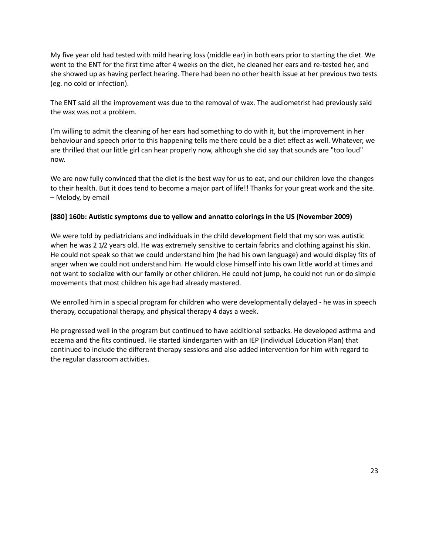My five year old had tested with mild hearing loss (middle ear) in both ears prior to starting the diet. We went to the ENT for the first time after 4 weeks on the diet, he cleaned her ears and re-tested her, and she showed up as having perfect hearing. There had been no other health issue at her previous two tests (eg. no cold or infection).

The ENT said all the improvement was due to the removal of wax. The audiometrist had previously said the wax was not a problem.

I'm willing to admit the cleaning of her ears had something to do with it, but the improvement in her behaviour and speech prior to this happening tells me there could be a diet effect as well. Whatever, we are thrilled that our little girl can hear properly now, although she did say that sounds are "too loud" now.

We are now fully convinced that the diet is the best way for us to eat, and our children love the changes to their health. But it does tend to become a major part of life!! Thanks for your great work and the site. – Melody, by email

#### **[880] 160b: Autistic symptoms due to yellow and annatto colorings in the US (November 2009)**

We were told by pediatricians and individuals in the child development field that my son was autistic when he was 2 1/2 years old. He was extremely sensitive to certain fabrics and clothing against his skin. He could not speak so that we could understand him (he had his own language) and would display fits of anger when we could not understand him. He would close himself into his own little world at times and not want to socialize with our family or other children. He could not jump, he could not run or do simple movements that most children his age had already mastered.

We enrolled him in a special program for children who were developmentally delayed - he was in speech therapy, occupational therapy, and physical therapy 4 days a week.

He progressed well in the program but continued to have additional setbacks. He developed asthma and eczema and the fits continued. He started kindergarten with an IEP (Individual Education Plan) that continued to include the different therapy sessions and also added intervention for him with regard to the regular classroom activities.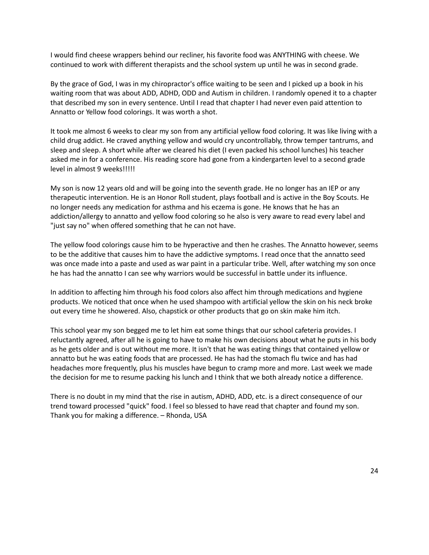I would find cheese wrappers behind our recliner, his favorite food was ANYTHING with cheese. We continued to work with different therapists and the school system up until he was in second grade.

By the grace of God, I was in my chiropractor's office waiting to be seen and I picked up a book in his waiting room that was about ADD, ADHD, ODD and Autism in children. I randomly opened it to a chapter that described my son in every sentence. Until I read that chapter I had never even paid attention to Annatto or Yellow food colorings. It was worth a shot.

It took me almost 6 weeks to clear my son from any artificial yellow food coloring. It was like living with a child drug addict. He craved anything yellow and would cry uncontrollably, throw temper tantrums, and sleep and sleep. A short while after we cleared his diet (I even packed his school lunches) his teacher asked me in for a conference. His reading score had gone from a kindergarten level to a second grade level in almost 9 weeks!!!!!

My son is now 12 years old and will be going into the seventh grade. He no longer has an IEP or any therapeutic intervention. He is an Honor Roll student, plays football and is active in the Boy Scouts. He no longer needs any medication for asthma and his eczema is gone. He knows that he has an addiction/allergy to annatto and yellow food coloring so he also is very aware to read every label and "just say no" when offered something that he can not have.

The yellow food colorings cause him to be hyperactive and then he crashes. The Annatto however, seems to be the additive that causes him to have the addictive symptoms. I read once that the annatto seed was once made into a paste and used as war paint in a particular tribe. Well, after watching my son once he has had the annatto I can see why warriors would be successful in battle under its influence.

In addition to affecting him through his food colors also affect him through medications and hygiene products. We noticed that once when he used shampoo with artificial yellow the skin on his neck broke out every time he showered. Also, chapstick or other products that go on skin make him itch.

This school year my son begged me to let him eat some things that our school cafeteria provides. I reluctantly agreed, after all he is going to have to make his own decisions about what he puts in his body as he gets older and is out without me more. It isn't that he was eating things that contained yellow or annatto but he was eating foods that are processed. He has had the stomach flu twice and has had headaches more frequently, plus his muscles have begun to cramp more and more. Last week we made the decision for me to resume packing his lunch and I think that we both already notice a difference.

There is no doubt in my mind that the rise in autism, ADHD, ADD, etc. is a direct consequence of our trend toward processed "quick" food. I feel so blessed to have read that chapter and found my son. Thank you for making a difference. – Rhonda, USA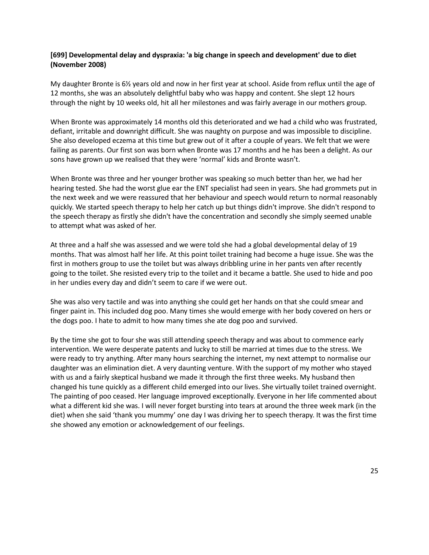#### **[699] Developmental delay and dyspraxia: 'a big change in speech and development' due to diet (November 2008)**

My daughter Bronte is 6½ years old and now in her first year at school. Aside from reflux until the age of 12 months, she was an absolutely delightful baby who was happy and content. She slept 12 hours through the night by 10 weeks old, hit all her milestones and was fairly average in our mothers group.

When Bronte was approximately 14 months old this deteriorated and we had a child who was frustrated, defiant, irritable and downright difficult. She was naughty on purpose and was impossible to discipline. She also developed eczema at this time but grew out of it after a couple of years. We felt that we were failing as parents. Our first son was born when Bronte was 17 months and he has been a delight. As our sons have grown up we realised that they were 'normal' kids and Bronte wasn't.

When Bronte was three and her younger brother was speaking so much better than her, we had her hearing tested. She had the worst glue ear the ENT specialist had seen in years. She had grommets put in the next week and we were reassured that her behaviour and speech would return to normal reasonably quickly. We started speech therapy to help her catch up but things didn't improve. She didn't respond to the speech therapy as firstly she didn't have the concentration and secondly she simply seemed unable to attempt what was asked of her.

At three and a half she was assessed and we were told she had a global developmental delay of 19 months. That was almost half her life. At this point toilet training had become a huge issue. She was the first in mothers group to use the toilet but was always dribbling urine in her pants ven after recently going to the toilet. She resisted every trip to the toilet and it became a battle. She used to hide and poo in her undies every day and didn't seem to care if we were out.

She was also very tactile and was into anything she could get her hands on that she could smear and finger paint in. This included dog poo. Many times she would emerge with her body covered on hers or the dogs poo. I hate to admit to how many times she ate dog poo and survived.

By the time she got to four she was still attending speech therapy and was about to commence early intervention. We were desperate patents and lucky to still be married at times due to the stress. We were ready to try anything. After many hours searching the internet, my next attempt to normalise our daughter was an elimination diet. A very daunting venture. With the support of my mother who stayed with us and a fairly skeptical husband we made it through the first three weeks. My husband then changed his tune quickly as a different child emerged into our lives. She virtually toilet trained overnight. The painting of poo ceased. Her language improved exceptionally. Everyone in her life commented about what a different kid she was. I will never forget bursting into tears at around the three week mark (in the diet) when she said 'thank you mummy' one day I was driving her to speech therapy. It was the first time she showed any emotion or acknowledgement of our feelings.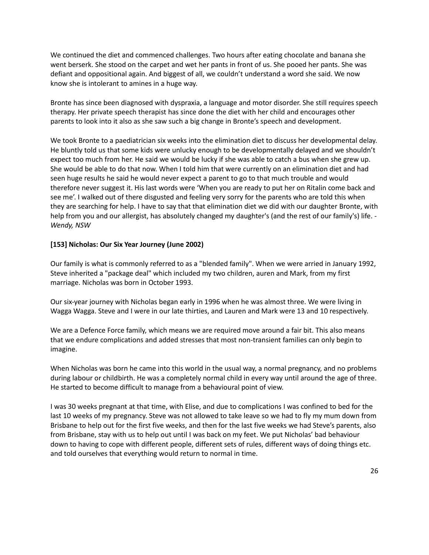We continued the diet and commenced challenges. Two hours after eating chocolate and banana she went berserk. She stood on the carpet and wet her pants in front of us. She pooed her pants. She was defiant and oppositional again. And biggest of all, we couldn't understand a word she said. We now know she is intolerant to amines in a huge way.

Bronte has since been diagnosed with dyspraxia, a language and motor disorder. She still requires speech therapy. Her private speech therapist has since done the diet with her child and encourages other parents to look into it also as she saw such a big change in Bronte's speech and development.

We took Bronte to a paediatrician six weeks into the elimination diet to discuss her developmental delay. He bluntly told us that some kids were unlucky enough to be developmentally delayed and we shouldn't expect too much from her. He said we would be lucky if she was able to catch a bus when she grew up. She would be able to do that now. When I told him that were currently on an elimination diet and had seen huge results he said he would never expect a parent to go to that much trouble and would therefore never suggest it. His last words were 'When you are ready to put her on Ritalin come back and see me'. I walked out of there disgusted and feeling very sorry for the parents who are told this when they are searching for help. I have to say that that elimination diet we did with our daughter Bronte, with help from you and our allergist, has absolutely changed my daughter's (and the rest of our family's) life. - *Wendy, NSW*

### **[153] Nicholas: Our Six Year Journey (June 2002)**

Our family is what is commonly referred to as a "blended family". When we were arried in January 1992, Steve inherited a "package deal" which included my two children, auren and Mark, from my first marriage. Nicholas was born in October 1993.

Our six-year journey with Nicholas began early in 1996 when he was almost three. We were living in Wagga Wagga. Steve and I were in our late thirties, and Lauren and Mark were 13 and 10 respectively.

We are a Defence Force family, which means we are required move around a fair bit. This also means that we endure complications and added stresses that most non-transient families can only begin to imagine.

When Nicholas was born he came into this world in the usual way, a normal pregnancy, and no problems during labour or childbirth. He was a completely normal child in every way until around the age of three. He started to become difficult to manage from a behavioural point of view.

I was 30 weeks pregnant at that time, with Elise, and due to complications I was confined to bed for the last 10 weeks of my pregnancy. Steve was not allowed to take leave so we had to fly my mum down from Brisbane to help out for the first five weeks, and then for the last five weeks we had Steve's parents, also from Brisbane, stay with us to help out until I was back on my feet. We put Nicholas' bad behaviour down to having to cope with different people, different sets of rules, different ways of doing things etc. and told ourselves that everything would return to normal in time.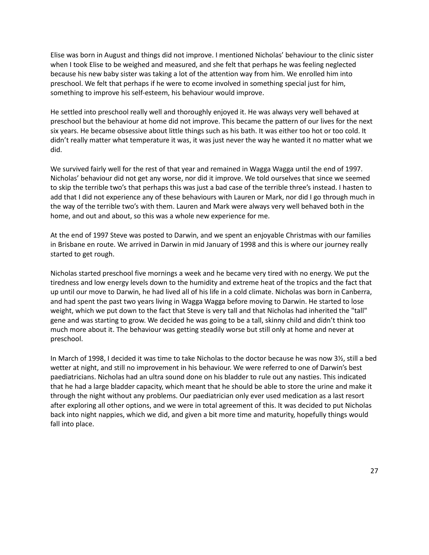Elise was born in August and things did not improve. I mentioned Nicholas' behaviour to the clinic sister when I took Elise to be weighed and measured, and she felt that perhaps he was feeling neglected because his new baby sister was taking a lot of the attention way from him. We enrolled him into preschool. We felt that perhaps if he were to ecome involved in something special just for him, something to improve his self-esteem, his behaviour would improve.

He settled into preschool really well and thoroughly enjoyed it. He was always very well behaved at preschool but the behaviour at home did not improve. This became the pattern of our lives for the next six years. He became obsessive about little things such as his bath. It was either too hot or too cold. It didn't really matter what temperature it was, it was just never the way he wanted it no matter what we did.

We survived fairly well for the rest of that year and remained in Wagga Wagga until the end of 1997. Nicholas' behaviour did not get any worse, nor did it improve. We told ourselves that since we seemed to skip the terrible two's that perhaps this was just a bad case of the terrible three's instead. I hasten to add that I did not experience any of these behaviours with Lauren or Mark, nor did I go through much in the way of the terrible two's with them. Lauren and Mark were always very well behaved both in the home, and out and about, so this was a whole new experience for me.

At the end of 1997 Steve was posted to Darwin, and we spent an enjoyable Christmas with our families in Brisbane en route. We arrived in Darwin in mid January of 1998 and this is where our journey really started to get rough.

Nicholas started preschool five mornings a week and he became very tired with no energy. We put the tiredness and low energy levels down to the humidity and extreme heat of the tropics and the fact that up until our move to Darwin, he had lived all of his life in a cold climate. Nicholas was born in Canberra, and had spent the past two years living in Wagga Wagga before moving to Darwin. He started to lose weight, which we put down to the fact that Steve is very tall and that Nicholas had inherited the "tall" gene and was starting to grow. We decided he was going to be a tall, skinny child and didn't think too much more about it. The behaviour was getting steadily worse but still only at home and never at preschool.

In March of 1998, I decided it was time to take Nicholas to the doctor because he was now 3½, still a bed wetter at night, and still no improvement in his behaviour. We were referred to one of Darwin's best paediatricians. Nicholas had an ultra sound done on his bladder to rule out any nasties. This indicated that he had a large bladder capacity, which meant that he should be able to store the urine and make it through the night without any problems. Our paediatrician only ever used medication as a last resort after exploring all other options, and we were in total agreement of this. It was decided to put Nicholas back into night nappies, which we did, and given a bit more time and maturity, hopefully things would fall into place.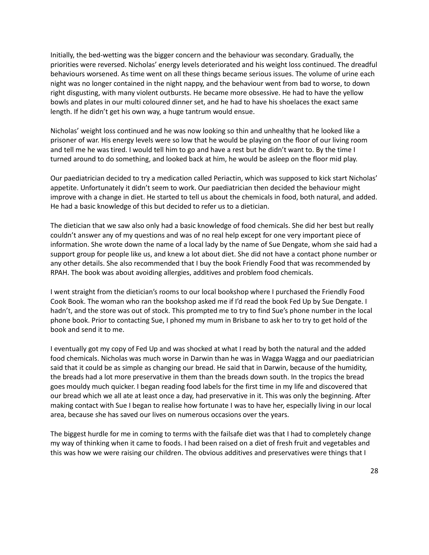Initially, the bed-wetting was the bigger concern and the behaviour was secondary. Gradually, the priorities were reversed. Nicholas' energy levels deteriorated and his weight loss continued. The dreadful behaviours worsened. As time went on all these things became serious issues. The volume of urine each night was no longer contained in the night nappy, and the behaviour went from bad to worse, to down right disgusting, with many violent outbursts. He became more obsessive. He had to have the yellow bowls and plates in our multi coloured dinner set, and he had to have his shoelaces the exact same length. If he didn't get his own way, a huge tantrum would ensue.

Nicholas' weight loss continued and he was now looking so thin and unhealthy that he looked like a prisoner of war. His energy levels were so low that he would be playing on the floor of our living room and tell me he was tired. I would tell him to go and have a rest but he didn't want to. By the time I turned around to do something, and looked back at him, he would be asleep on the floor mid play.

Our paediatrician decided to try a medication called Periactin, which was supposed to kick start Nicholas' appetite. Unfortunately it didn't seem to work. Our paediatrician then decided the behaviour might improve with a change in diet. He started to tell us about the chemicals in food, both natural, and added. He had a basic knowledge of this but decided to refer us to a dietician.

The dietician that we saw also only had a basic knowledge of food chemicals. She did her best but really couldn't answer any of my questions and was of no real help except for one very important piece of information. She wrote down the name of a local lady by the name of Sue Dengate, whom she said had a support group for people like us, and knew a lot about diet. She did not have a contact phone number or any other details. She also recommended that I buy the book Friendly Food that was recommended by RPAH. The book was about avoiding allergies, additives and problem food chemicals.

I went straight from the dietician's rooms to our local bookshop where I purchased the Friendly Food Cook Book. The woman who ran the bookshop asked me if I'd read the book Fed Up by Sue Dengate. I hadn't, and the store was out of stock. This prompted me to try to find Sue's phone number in the local phone book. Prior to contacting Sue, I phoned my mum in Brisbane to ask her to try to get hold of the book and send it to me.

I eventually got my copy of Fed Up and was shocked at what I read by both the natural and the added food chemicals. Nicholas was much worse in Darwin than he was in Wagga Wagga and our paediatrician said that it could be as simple as changing our bread. He said that in Darwin, because of the humidity, the breads had a lot more preservative in them than the breads down south. In the tropics the bread goes mouldy much quicker. I began reading food labels for the first time in my life and discovered that our bread which we all ate at least once a day, had preservative in it. This was only the beginning. After making contact with Sue I began to realise how fortunate I was to have her, especially living in our local area, because she has saved our lives on numerous occasions over the years.

The biggest hurdle for me in coming to terms with the failsafe diet was that I had to completely change my way of thinking when it came to foods. I had been raised on a diet of fresh fruit and vegetables and this was how we were raising our children. The obvious additives and preservatives were things that I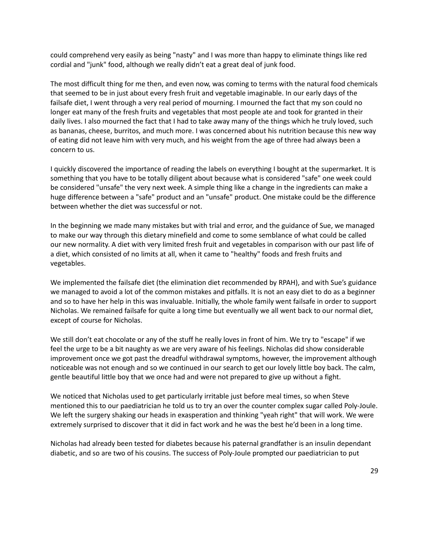could comprehend very easily as being "nasty" and I was more than happy to eliminate things like red cordial and "junk" food, although we really didn't eat a great deal of junk food.

The most difficult thing for me then, and even now, was coming to terms with the natural food chemicals that seemed to be in just about every fresh fruit and vegetable imaginable. In our early days of the failsafe diet, I went through a very real period of mourning. I mourned the fact that my son could no longer eat many of the fresh fruits and vegetables that most people ate and took for granted in their daily lives. I also mourned the fact that I had to take away many of the things which he truly loved, such as bananas, cheese, burritos, and much more. I was concerned about his nutrition because this new way of eating did not leave him with very much, and his weight from the age of three had always been a concern to us.

I quickly discovered the importance of reading the labels on everything I bought at the supermarket. It is something that you have to be totally diligent about because what is considered "safe" one week could be considered "unsafe" the very next week. A simple thing like a change in the ingredients can make a huge difference between a "safe" product and an "unsafe" product. One mistake could be the difference between whether the diet was successful or not.

In the beginning we made many mistakes but with trial and error, and the guidance of Sue, we managed to make our way through this dietary minefield and come to some semblance of what could be called our new normality. A diet with very limited fresh fruit and vegetables in comparison with our past life of a diet, which consisted of no limits at all, when it came to "healthy" foods and fresh fruits and vegetables.

We implemented the failsafe diet (the elimination diet recommended by RPAH), and with Sue's guidance we managed to avoid a lot of the common mistakes and pitfalls. It is not an easy diet to do as a beginner and so to have her help in this was invaluable. Initially, the whole family went failsafe in order to support Nicholas. We remained failsafe for quite a long time but eventually we all went back to our normal diet, except of course for Nicholas.

We still don't eat chocolate or any of the stuff he really loves in front of him. We try to "escape" if we feel the urge to be a bit naughty as we are very aware of his feelings. Nicholas did show considerable improvement once we got past the dreadful withdrawal symptoms, however, the improvement although noticeable was not enough and so we continued in our search to get our lovely little boy back. The calm, gentle beautiful little boy that we once had and were not prepared to give up without a fight.

We noticed that Nicholas used to get particularly irritable just before meal times, so when Steve mentioned this to our paediatrician he told us to try an over the counter complex sugar called Poly-Joule. We left the surgery shaking our heads in exasperation and thinking "yeah right" that will work. We were extremely surprised to discover that it did in fact work and he was the best he'd been in a long time.

Nicholas had already been tested for diabetes because his paternal grandfather is an insulin dependant diabetic, and so are two of his cousins. The success of Poly-Joule prompted our paediatrician to put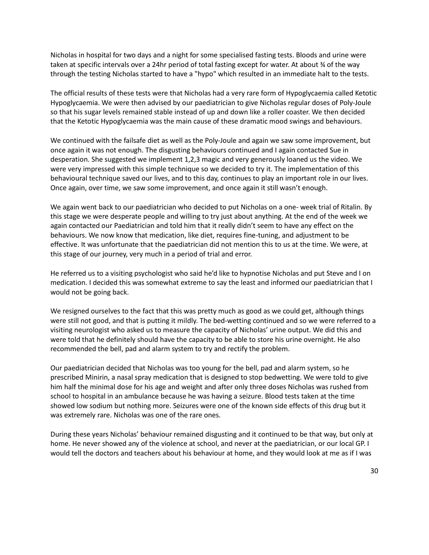Nicholas in hospital for two days and a night for some specialised fasting tests. Bloods and urine were taken at specific intervals over a 24hr period of total fasting except for water. At about ¾ of the way through the testing Nicholas started to have a "hypo" which resulted in an immediate halt to the tests.

The official results of these tests were that Nicholas had a very rare form of Hypoglycaemia called Ketotic Hypoglycaemia. We were then advised by our paediatrician to give Nicholas regular doses of Poly-Joule so that his sugar levels remained stable instead of up and down like a roller coaster. We then decided that the Ketotic Hypoglycaemia was the main cause of these dramatic mood swings and behaviours.

We continued with the failsafe diet as well as the Poly-Joule and again we saw some improvement, but once again it was not enough. The disgusting behaviours continued and I again contacted Sue in desperation. She suggested we implement 1,2,3 magic and very generously loaned us the video. We were very impressed with this simple technique so we decided to try it. The implementation of this behavioural technique saved our lives, and to this day, continues to play an important role in our lives. Once again, over time, we saw some improvement, and once again it still wasn't enough.

We again went back to our paediatrician who decided to put Nicholas on a one- week trial of Ritalin. By this stage we were desperate people and willing to try just about anything. At the end of the week we again contacted our Paediatrician and told him that it really didn't seem to have any effect on the behaviours. We now know that medication, like diet, requires fine-tuning, and adjustment to be effective. It was unfortunate that the paediatrician did not mention this to us at the time. We were, at this stage of our journey, very much in a period of trial and error.

He referred us to a visiting psychologist who said he'd like to hypnotise Nicholas and put Steve and I on medication. I decided this was somewhat extreme to say the least and informed our paediatrician that I would not be going back.

We resigned ourselves to the fact that this was pretty much as good as we could get, although things were still not good, and that is putting it mildly. The bed-wetting continued and so we were referred to a visiting neurologist who asked us to measure the capacity of Nicholas' urine output. We did this and were told that he definitely should have the capacity to be able to store his urine overnight. He also recommended the bell, pad and alarm system to try and rectify the problem.

Our paediatrician decided that Nicholas was too young for the bell, pad and alarm system, so he prescribed Minirin, a nasal spray medication that is designed to stop bedwetting. We were told to give him half the minimal dose for his age and weight and after only three doses Nicholas was rushed from school to hospital in an ambulance because he was having a seizure. Blood tests taken at the time showed low sodium but nothing more. Seizures were one of the known side effects of this drug but it was extremely rare. Nicholas was one of the rare ones.

During these years Nicholas' behaviour remained disgusting and it continued to be that way, but only at home. He never showed any of the violence at school, and never at the paediatrician, or our local GP. I would tell the doctors and teachers about his behaviour at home, and they would look at me as if I was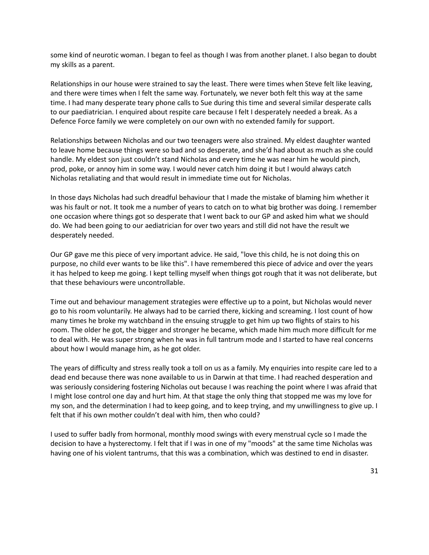some kind of neurotic woman. I began to feel as though I was from another planet. I also began to doubt my skills as a parent.

Relationships in our house were strained to say the least. There were times when Steve felt like leaving, and there were times when I felt the same way. Fortunately, we never both felt this way at the same time. I had many desperate teary phone calls to Sue during this time and several similar desperate calls to our paediatrician. I enquired about respite care because I felt I desperately needed a break. As a Defence Force family we were completely on our own with no extended family for support.

Relationships between Nicholas and our two teenagers were also strained. My eldest daughter wanted to leave home because things were so bad and so desperate, and she'd had about as much as she could handle. My eldest son just couldn't stand Nicholas and every time he was near him he would pinch, prod, poke, or annoy him in some way. I would never catch him doing it but I would always catch Nicholas retaliating and that would result in immediate time out for Nicholas.

In those days Nicholas had such dreadful behaviour that I made the mistake of blaming him whether it was his fault or not. It took me a number of years to catch on to what big brother was doing. I remember one occasion where things got so desperate that I went back to our GP and asked him what we should do. We had been going to our aediatrician for over two years and still did not have the result we desperately needed.

Our GP gave me this piece of very important advice. He said, "love this child, he is not doing this on purpose, no child ever wants to be like this". I have remembered this piece of advice and over the years it has helped to keep me going. I kept telling myself when things got rough that it was not deliberate, but that these behaviours were uncontrollable.

Time out and behaviour management strategies were effective up to a point, but Nicholas would never go to his room voluntarily. He always had to be carried there, kicking and screaming. I lost count of how many times he broke my watchband in the ensuing struggle to get him up two flights of stairs to his room. The older he got, the bigger and stronger he became, which made him much more difficult for me to deal with. He was super strong when he was in full tantrum mode and I started to have real concerns about how I would manage him, as he got older.

The years of difficulty and stress really took a toll on us as a family. My enquiries into respite care led to a dead end because there was none available to us in Darwin at that time. I had reached desperation and was seriously considering fostering Nicholas out because I was reaching the point where I was afraid that I might lose control one day and hurt him. At that stage the only thing that stopped me was my love for my son, and the determination I had to keep going, and to keep trying, and my unwillingness to give up. I felt that if his own mother couldn't deal with him, then who could?

I used to suffer badly from hormonal, monthly mood swings with every menstrual cycle so I made the decision to have a hysterectomy. I felt that if I was in one of my "moods" at the same time Nicholas was having one of his violent tantrums, that this was a combination, which was destined to end in disaster.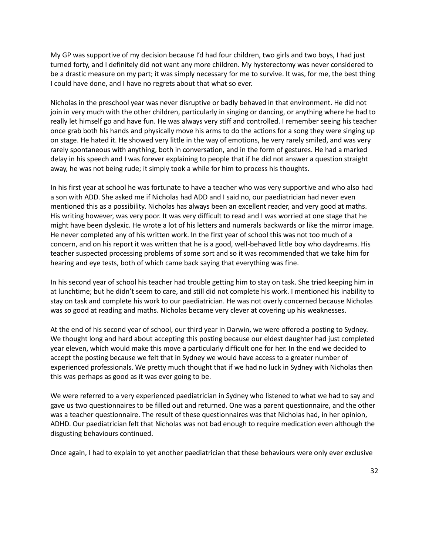My GP was supportive of my decision because I'd had four children, two girls and two boys, I had just turned forty, and I definitely did not want any more children. My hysterectomy was never considered to be a drastic measure on my part; it was simply necessary for me to survive. It was, for me, the best thing I could have done, and I have no regrets about that what so ever.

Nicholas in the preschool year was never disruptive or badly behaved in that environment. He did not join in very much with the other children, particularly in singing or dancing, or anything where he had to really let himself go and have fun. He was always very stiff and controlled. I remember seeing his teacher once grab both his hands and physically move his arms to do the actions for a song they were singing up on stage. He hated it. He showed very little in the way of emotions, he very rarely smiled, and was very rarely spontaneous with anything, both in conversation, and in the form of gestures. He had a marked delay in his speech and I was forever explaining to people that if he did not answer a question straight away, he was not being rude; it simply took a while for him to process his thoughts.

In his first year at school he was fortunate to have a teacher who was very supportive and who also had a son with ADD. She asked me if Nicholas had ADD and I said no, our paediatrician had never even mentioned this as a possibility. Nicholas has always been an excellent reader, and very good at maths. His writing however, was very poor. It was very difficult to read and I was worried at one stage that he might have been dyslexic. He wrote a lot of his letters and numerals backwards or like the mirror image. He never completed any of his written work. In the first year of school this was not too much of a concern, and on his report it was written that he is a good, well-behaved little boy who daydreams. His teacher suspected processing problems of some sort and so it was recommended that we take him for hearing and eye tests, both of which came back saying that everything was fine.

In his second year of school his teacher had trouble getting him to stay on task. She tried keeping him in at lunchtime; but he didn't seem to care, and still did not complete his work. I mentioned his inability to stay on task and complete his work to our paediatrician. He was not overly concerned because Nicholas was so good at reading and maths. Nicholas became very clever at covering up his weaknesses.

At the end of his second year of school, our third year in Darwin, we were offered a posting to Sydney. We thought long and hard about accepting this posting because our eldest daughter had just completed year eleven, which would make this move a particularly difficult one for her. In the end we decided to accept the posting because we felt that in Sydney we would have access to a greater number of experienced professionals. We pretty much thought that if we had no luck in Sydney with Nicholas then this was perhaps as good as it was ever going to be.

We were referred to a very experienced paediatrician in Sydney who listened to what we had to say and gave us two questionnaires to be filled out and returned. One was a parent questionnaire, and the other was a teacher questionnaire. The result of these questionnaires was that Nicholas had, in her opinion, ADHD. Our paediatrician felt that Nicholas was not bad enough to require medication even although the disgusting behaviours continued.

Once again, I had to explain to yet another paediatrician that these behaviours were only ever exclusive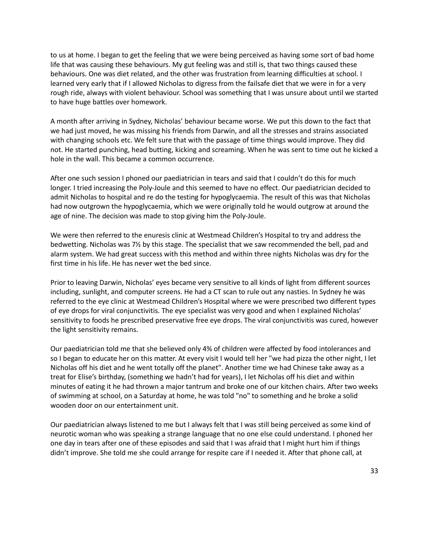to us at home. I began to get the feeling that we were being perceived as having some sort of bad home life that was causing these behaviours. My gut feeling was and still is, that two things caused these behaviours. One was diet related, and the other was frustration from learning difficulties at school. I learned very early that if I allowed Nicholas to digress from the failsafe diet that we were in for a very rough ride, always with violent behaviour. School was something that I was unsure about until we started to have huge battles over homework.

A month after arriving in Sydney, Nicholas' behaviour became worse. We put this down to the fact that we had just moved, he was missing his friends from Darwin, and all the stresses and strains associated with changing schools etc. We felt sure that with the passage of time things would improve. They did not. He started punching, head butting, kicking and screaming. When he was sent to time out he kicked a hole in the wall. This became a common occurrence.

After one such session I phoned our paediatrician in tears and said that I couldn't do this for much longer. I tried increasing the Poly-Joule and this seemed to have no effect. Our paediatrician decided to admit Nicholas to hospital and re do the testing for hypoglycaemia. The result of this was that Nicholas had now outgrown the hypoglycaemia, which we were originally told he would outgrow at around the age of nine. The decision was made to stop giving him the Poly-Joule.

We were then referred to the enuresis clinic at Westmead Children's Hospital to try and address the bedwetting. Nicholas was 7½ by this stage. The specialist that we saw recommended the bell, pad and alarm system. We had great success with this method and within three nights Nicholas was dry for the first time in his life. He has never wet the bed since.

Prior to leaving Darwin, Nicholas' eyes became very sensitive to all kinds of light from different sources including, sunlight, and computer screens. He had a CT scan to rule out any nasties. In Sydney he was referred to the eye clinic at Westmead Children's Hospital where we were prescribed two different types of eye drops for viral conjunctivitis. The eye specialist was very good and when I explained Nicholas' sensitivity to foods he prescribed preservative free eye drops. The viral conjunctivitis was cured, however the light sensitivity remains.

Our paediatrician told me that she believed only 4% of children were affected by food intolerances and so I began to educate her on this matter. At every visit I would tell her "we had pizza the other night, I let Nicholas off his diet and he went totally off the planet". Another time we had Chinese take away as a treat for Elise's birthday, (something we hadn't had for years), I let Nicholas off his diet and within minutes of eating it he had thrown a major tantrum and broke one of our kitchen chairs. After two weeks of swimming at school, on a Saturday at home, he was told "no" to something and he broke a solid wooden door on our entertainment unit.

Our paediatrician always listened to me but I always felt that I was still being perceived as some kind of neurotic woman who was speaking a strange language that no one else could understand. I phoned her one day in tears after one of these episodes and said that I was afraid that I might hurt him if things didn't improve. She told me she could arrange for respite care if I needed it. After that phone call, at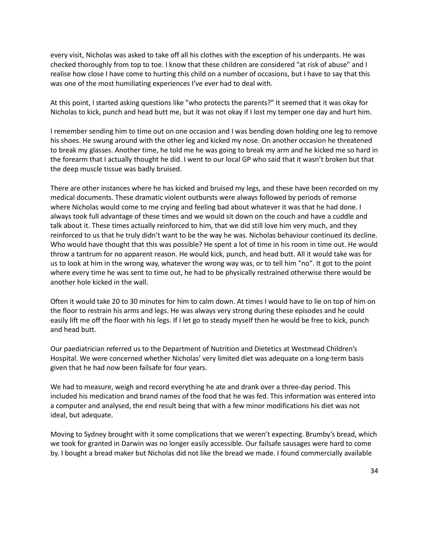every visit, Nicholas was asked to take off all his clothes with the exception of his underpants. He was checked thoroughly from top to toe. I know that these children are considered "at risk of abuse" and I realise how close I have come to hurting this child on a number of occasions, but I have to say that this was one of the most humiliating experiences I've ever had to deal with.

At this point, I started asking questions like "who protects the parents?" It seemed that it was okay for Nicholas to kick, punch and head butt me, but it was not okay if I lost my temper one day and hurt him.

I remember sending him to time out on one occasion and I was bending down holding one leg to remove his shoes. He swung around with the other leg and kicked my nose. On another occasion he threatened to break my glasses. Another time, he told me he was going to break my arm and he kicked me so hard in the forearm that I actually thought he did. I went to our local GP who said that it wasn't broken but that the deep muscle tissue was badly bruised.

There are other instances where he has kicked and bruised my legs, and these have been recorded on my medical documents. These dramatic violent outbursts were always followed by periods of remorse where Nicholas would come to me crying and feeling bad about whatever it was that he had done. I always took full advantage of these times and we would sit down on the couch and have a cuddle and talk about it. These times actually reinforced to him, that we did still love him very much, and they reinforced to us that he truly didn't want to be the way he was. Nicholas behaviour continued its decline. Who would have thought that this was possible? He spent a lot of time in his room in time out. He would throw a tantrum for no apparent reason. He would kick, punch, and head butt. All it would take was for us to look at him in the wrong way, whatever the wrong way was, or to tell him "no". It got to the point where every time he was sent to time out, he had to be physically restrained otherwise there would be another hole kicked in the wall.

Often it would take 20 to 30 minutes for him to calm down. At times I would have to lie on top of him on the floor to restrain his arms and legs. He was always very strong during these episodes and he could easily lift me off the floor with his legs. If I let go to steady myself then he would be free to kick, punch and head butt.

Our paediatrician referred us to the Department of Nutrition and Dietetics at Westmead Children's Hospital. We were concerned whether Nicholas' very limited diet was adequate on a long-term basis given that he had now been failsafe for four years.

We had to measure, weigh and record everything he ate and drank over a three-day period. This included his medication and brand names of the food that he was fed. This information was entered into a computer and analysed, the end result being that with a few minor modifications his diet was not ideal, but adequate.

Moving to Sydney brought with it some complications that we weren't expecting. Brumby's bread, which we took for granted in Darwin was no longer easily accessible. Our failsafe sausages were hard to come by. I bought a bread maker but Nicholas did not like the bread we made. I found commercially available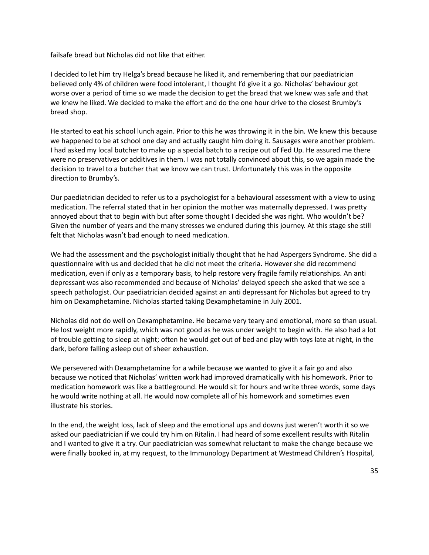failsafe bread but Nicholas did not like that either.

I decided to let him try Helga's bread because he liked it, and remembering that our paediatrician believed only 4% of children were food intolerant, I thought I'd give it a go. Nicholas' behaviour got worse over a period of time so we made the decision to get the bread that we knew was safe and that we knew he liked. We decided to make the effort and do the one hour drive to the closest Brumby's bread shop.

He started to eat his school lunch again. Prior to this he was throwing it in the bin. We knew this because we happened to be at school one day and actually caught him doing it. Sausages were another problem. I had asked my local butcher to make up a special batch to a recipe out of Fed Up. He assured me there were no preservatives or additives in them. I was not totally convinced about this, so we again made the decision to travel to a butcher that we know we can trust. Unfortunately this was in the opposite direction to Brumby's.

Our paediatrician decided to refer us to a psychologist for a behavioural assessment with a view to using medication. The referral stated that in her opinion the mother was maternally depressed. I was pretty annoyed about that to begin with but after some thought I decided she was right. Who wouldn't be? Given the number of years and the many stresses we endured during this journey. At this stage she still felt that Nicholas wasn't bad enough to need medication.

We had the assessment and the psychologist initially thought that he had Aspergers Syndrome. She did a questionnaire with us and decided that he did not meet the criteria. However she did recommend medication, even if only as a temporary basis, to help restore very fragile family relationships. An anti depressant was also recommended and because of Nicholas' delayed speech she asked that we see a speech pathologist. Our paediatrician decided against an anti depressant for Nicholas but agreed to try him on Dexamphetamine. Nicholas started taking Dexamphetamine in July 2001.

Nicholas did not do well on Dexamphetamine. He became very teary and emotional, more so than usual. He lost weight more rapidly, which was not good as he was under weight to begin with. He also had a lot of trouble getting to sleep at night; often he would get out of bed and play with toys late at night, in the dark, before falling asleep out of sheer exhaustion.

We persevered with Dexamphetamine for a while because we wanted to give it a fair go and also because we noticed that Nicholas' written work had improved dramatically with his homework. Prior to medication homework was like a battleground. He would sit for hours and write three words, some days he would write nothing at all. He would now complete all of his homework and sometimes even illustrate his stories.

In the end, the weight loss, lack of sleep and the emotional ups and downs just weren't worth it so we asked our paediatrician if we could try him on Ritalin. I had heard of some excellent results with Ritalin and I wanted to give it a try. Our paediatrician was somewhat reluctant to make the change because we were finally booked in, at my request, to the Immunology Department at Westmead Children's Hospital,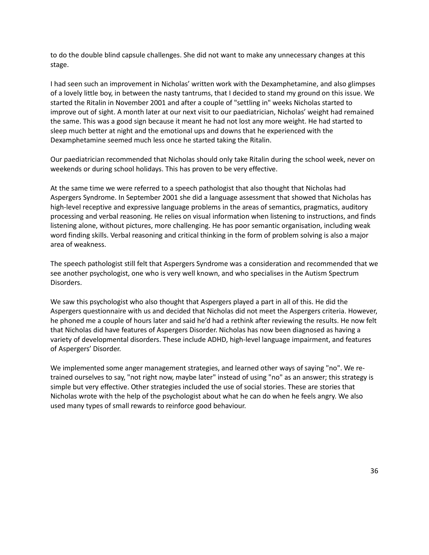to do the double blind capsule challenges. She did not want to make any unnecessary changes at this stage.

I had seen such an improvement in Nicholas' written work with the Dexamphetamine, and also glimpses of a lovely little boy, in between the nasty tantrums, that I decided to stand my ground on this issue. We started the Ritalin in November 2001 and after a couple of "settling in" weeks Nicholas started to improve out of sight. A month later at our next visit to our paediatrician, Nicholas' weight had remained the same. This was a good sign because it meant he had not lost any more weight. He had started to sleep much better at night and the emotional ups and downs that he experienced with the Dexamphetamine seemed much less once he started taking the Ritalin.

Our paediatrician recommended that Nicholas should only take Ritalin during the school week, never on weekends or during school holidays. This has proven to be very effective.

At the same time we were referred to a speech pathologist that also thought that Nicholas had Aspergers Syndrome. In September 2001 she did a language assessment that showed that Nicholas has high-level receptive and expressive language problems in the areas of semantics, pragmatics, auditory processing and verbal reasoning. He relies on visual information when listening to instructions, and finds listening alone, without pictures, more challenging. He has poor semantic organisation, including weak word finding skills. Verbal reasoning and critical thinking in the form of problem solving is also a major area of weakness.

The speech pathologist still felt that Aspergers Syndrome was a consideration and recommended that we see another psychologist, one who is very well known, and who specialises in the Autism Spectrum Disorders.

We saw this psychologist who also thought that Aspergers played a part in all of this. He did the Aspergers questionnaire with us and decided that Nicholas did not meet the Aspergers criteria. However, he phoned me a couple of hours later and said he'd had a rethink after reviewing the results. He now felt that Nicholas did have features of Aspergers Disorder. Nicholas has now been diagnosed as having a variety of developmental disorders. These include ADHD, high-level language impairment, and features of Aspergers' Disorder.

We implemented some anger management strategies, and learned other ways of saying "no". We retrained ourselves to say, "not right now, maybe later" instead of using "no" as an answer; this strategy is simple but very effective. Other strategies included the use of social stories. These are stories that Nicholas wrote with the help of the psychologist about what he can do when he feels angry. We also used many types of small rewards to reinforce good behaviour.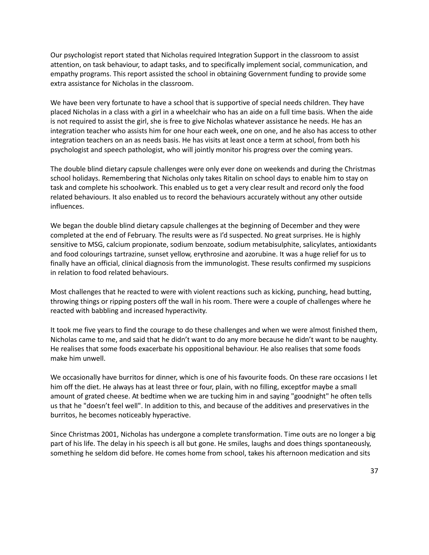Our psychologist report stated that Nicholas required Integration Support in the classroom to assist attention, on task behaviour, to adapt tasks, and to specifically implement social, communication, and empathy programs. This report assisted the school in obtaining Government funding to provide some extra assistance for Nicholas in the classroom.

We have been very fortunate to have a school that is supportive of special needs children. They have placed Nicholas in a class with a girl in a wheelchair who has an aide on a full time basis. When the aide is not required to assist the girl, she is free to give Nicholas whatever assistance he needs. He has an integration teacher who assists him for one hour each week, one on one, and he also has access to other integration teachers on an as needs basis. He has visits at least once a term at school, from both his psychologist and speech pathologist, who will jointly monitor his progress over the coming years.

The double blind dietary capsule challenges were only ever done on weekends and during the Christmas school holidays. Remembering that Nicholas only takes Ritalin on school days to enable him to stay on task and complete his schoolwork. This enabled us to get a very clear result and record only the food related behaviours. It also enabled us to record the behaviours accurately without any other outside influences.

We began the double blind dietary capsule challenges at the beginning of December and they were completed at the end of February. The results were as I'd suspected. No great surprises. He is highly sensitive to MSG, calcium propionate, sodium benzoate, sodium metabisulphite, salicylates, antioxidants and food colourings tartrazine, sunset yellow, erythrosine and azorubine. It was a huge relief for us to finally have an official, clinical diagnosis from the immunologist. These results confirmed my suspicions in relation to food related behaviours.

Most challenges that he reacted to were with violent reactions such as kicking, punching, head butting, throwing things or ripping posters off the wall in his room. There were a couple of challenges where he reacted with babbling and increased hyperactivity.

It took me five years to find the courage to do these challenges and when we were almost finished them, Nicholas came to me, and said that he didn't want to do any more because he didn't want to be naughty. He realises that some foods exacerbate his oppositional behaviour. He also realises that some foods make him unwell.

We occasionally have burritos for dinner, which is one of his favourite foods. On these rare occasions I let him off the diet. He always has at least three or four, plain, with no filling, exceptfor maybe a small amount of grated cheese. At bedtime when we are tucking him in and saying "goodnight" he often tells us that he "doesn't feel well". In addition to this, and because of the additives and preservatives in the burritos, he becomes noticeably hyperactive.

Since Christmas 2001, Nicholas has undergone a complete transformation. Time outs are no longer a big part of his life. The delay in his speech is all but gone. He smiles, laughs and does things spontaneously, something he seldom did before. He comes home from school, takes his afternoon medication and sits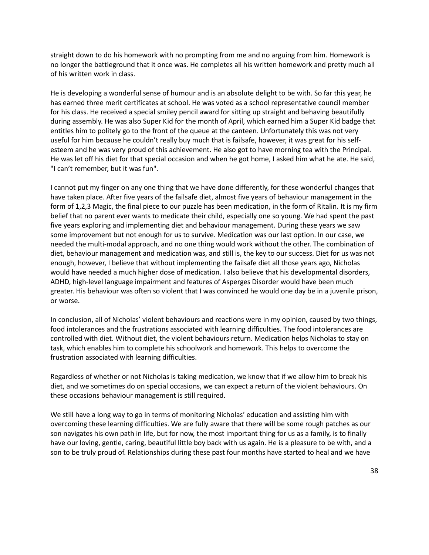straight down to do his homework with no prompting from me and no arguing from him. Homework is no longer the battleground that it once was. He completes all his written homework and pretty much all of his written work in class.

He is developing a wonderful sense of humour and is an absolute delight to be with. So far this year, he has earned three merit certificates at school. He was voted as a school representative council member for his class. He received a special smiley pencil award for sitting up straight and behaving beautifully during assembly. He was also Super Kid for the month of April, which earned him a Super Kid badge that entitles him to politely go to the front of the queue at the canteen. Unfortunately this was not very useful for him because he couldn't really buy much that is failsafe, however, it was great for his selfesteem and he was very proud of this achievement. He also got to have morning tea with the Principal. He was let off his diet for that special occasion and when he got home, I asked him what he ate. He said, "I can't remember, but it was fun".

I cannot put my finger on any one thing that we have done differently, for these wonderful changes that have taken place. After five years of the failsafe diet, almost five years of behaviour management in the form of 1,2,3 Magic, the final piece to our puzzle has been medication, in the form of Ritalin. It is my firm belief that no parent ever wants to medicate their child, especially one so young. We had spent the past five years exploring and implementing diet and behaviour management. During these years we saw some improvement but not enough for us to survive. Medication was our last option. In our case, we needed the multi-modal approach, and no one thing would work without the other. The combination of diet, behaviour management and medication was, and still is, the key to our success. Diet for us was not enough, however, I believe that without implementing the failsafe diet all those years ago, Nicholas would have needed a much higher dose of medication. I also believe that his developmental disorders, ADHD, high-level language impairment and features of Asperges Disorder would have been much greater. His behaviour was often so violent that I was convinced he would one day be in a juvenile prison, or worse.

In conclusion, all of Nicholas' violent behaviours and reactions were in my opinion, caused by two things, food intolerances and the frustrations associated with learning difficulties. The food intolerances are controlled with diet. Without diet, the violent behaviours return. Medication helps Nicholas to stay on task, which enables him to complete his schoolwork and homework. This helps to overcome the frustration associated with learning difficulties.

Regardless of whether or not Nicholas is taking medication, we know that if we allow him to break his diet, and we sometimes do on special occasions, we can expect a return of the violent behaviours. On these occasions behaviour management is still required.

We still have a long way to go in terms of monitoring Nicholas' education and assisting him with overcoming these learning difficulties. We are fully aware that there will be some rough patches as our son navigates his own path in life, but for now, the most important thing for us as a family, is to finally have our loving, gentle, caring, beautiful little boy back with us again. He is a pleasure to be with, and a son to be truly proud of. Relationships during these past four months have started to heal and we have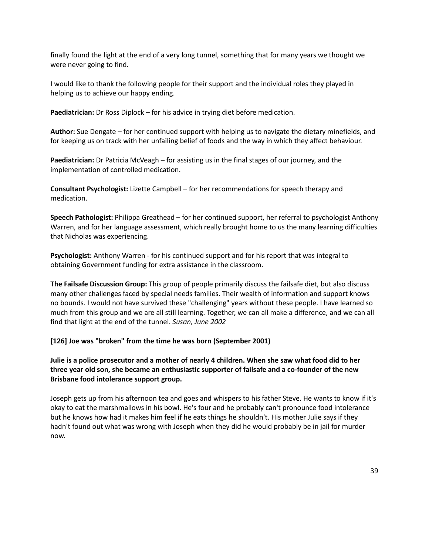finally found the light at the end of a very long tunnel, something that for many years we thought we were never going to find.

I would like to thank the following people for their support and the individual roles they played in helping us to achieve our happy ending.

**Paediatrician:** Dr Ross Diplock – for his advice in trying diet before medication.

**Author:** Sue Dengate – for her continued support with helping us to navigate the dietary minefields, and for keeping us on track with her unfailing belief of foods and the way in which they affect behaviour.

**Paediatrician:** Dr Patricia McVeagh – for assisting us in the final stages of our journey, and the implementation of controlled medication.

**Consultant Psychologist:** Lizette Campbell – for her recommendations for speech therapy and medication.

**Speech Pathologist:** Philippa Greathead – for her continued support, her referral to psychologist Anthony Warren, and for her language assessment, which really brought home to us the many learning difficulties that Nicholas was experiencing.

**Psychologist:** Anthony Warren - for his continued support and for his report that was integral to obtaining Government funding for extra assistance in the classroom.

**The Failsafe Discussion Group:** This group of people primarily discuss the failsafe diet, but also discuss many other challenges faced by special needs families. Their wealth of information and support knows no bounds. I would not have survived these "challenging" years without these people. I have learned so much from this group and we are all still learning. Together, we can all make a difference, and we can all find that light at the end of the tunnel. *Susan, June 2002*

#### **[126] Joe was "broken" from the time he was born (September 2001)**

**Julie is a police prosecutor and a mother of nearly 4 children. When she saw what food did to her three year old son, she became an enthusiastic supporter of failsafe and a co-founder of the new Brisbane food intolerance support group.**

Joseph gets up from his afternoon tea and goes and whispers to his father Steve. He wants to know if it's okay to eat the marshmallows in his bowl. He's four and he probably can't pronounce food intolerance but he knows how had it makes him feel if he eats things he shouldn't. His mother Julie says if they hadn't found out what was wrong with Joseph when they did he would probably be in jail for murder now.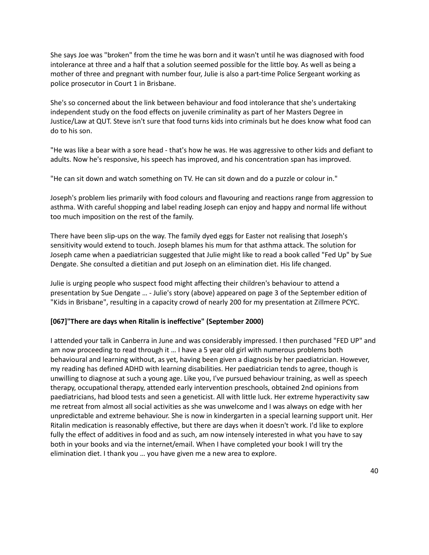She says Joe was "broken" from the time he was born and it wasn't until he was diagnosed with food intolerance at three and a half that a solution seemed possible for the little boy. As well as being a mother of three and pregnant with number four, Julie is also a part-time Police Sergeant working as police prosecutor in Court 1 in Brisbane.

She's so concerned about the link between behaviour and food intolerance that she's undertaking independent study on the food effects on juvenile criminality as part of her Masters Degree in Justice/Law at QUT. Steve isn't sure that food turns kids into criminals but he does know what food can do to his son.

"He was like a bear with a sore head - that's how he was. He was aggressive to other kids and defiant to adults. Now he's responsive, his speech has improved, and his concentration span has improved.

"He can sit down and watch something on TV. He can sit down and do a puzzle or colour in."

Joseph's problem lies primarily with food colours and flavouring and reactions range from aggression to asthma. With careful shopping and label reading Joseph can enjoy and happy and normal life without too much imposition on the rest of the family.

There have been slip-ups on the way. The family dyed eggs for Easter not realising that Joseph's sensitivity would extend to touch. Joseph blames his mum for that asthma attack. The solution for Joseph came when a paediatrician suggested that Julie might like to read a book called "Fed Up" by Sue Dengate. She consulted a dietitian and put Joseph on an elimination diet. His life changed.

Julie is urging people who suspect food might affecting their children's behaviour to attend a presentation by Sue Dengate … - Julie's story (above) appeared on page 3 of the September edition of "Kids in Brisbane", resulting in a capacity crowd of nearly 200 for my presentation at Zillmere PCYC.

#### **[067]"There are days when Ritalin is ineffective" (September 2000)**

I attended your talk in Canberra in June and was considerably impressed. I then purchased "FED UP" and am now proceeding to read through it … I have a 5 year old girl with numerous problems both behavioural and learning without, as yet, having been given a diagnosis by her paediatrician. However, my reading has defined ADHD with learning disabilities. Her paediatrician tends to agree, though is unwilling to diagnose at such a young age. Like you, I've pursued behaviour training, as well as speech therapy, occupational therapy, attended early intervention preschools, obtained 2nd opinions from paediatricians, had blood tests and seen a geneticist. All with little luck. Her extreme hyperactivity saw me retreat from almost all social activities as she was unwelcome and I was always on edge with her unpredictable and extreme behaviour. She is now in kindergarten in a special learning support unit. Her Ritalin medication is reasonably effective, but there are days when it doesn't work. I'd like to explore fully the effect of additives in food and as such, am now intensely interested in what you have to say both in your books and via the internet/email. When I have completed your book I will try the elimination diet. I thank you … you have given me a new area to explore.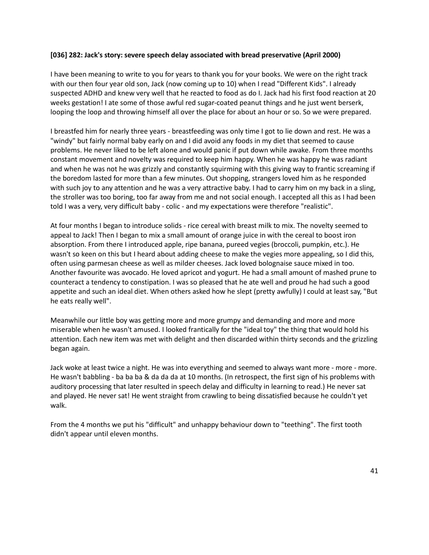#### **[036] 282: Jack's story: severe speech delay associated with bread preservative (April 2000)**

I have been meaning to write to you for years to thank you for your books. We were on the right track with our then four year old son, Jack (now coming up to 10) when I read "Different Kids". I already suspected ADHD and knew very well that he reacted to food as do I. Jack had his first food reaction at 20 weeks gestation! I ate some of those awful red sugar-coated peanut things and he just went berserk, looping the loop and throwing himself all over the place for about an hour or so. So we were prepared.

I breastfed him for nearly three years - breastfeeding was only time I got to lie down and rest. He was a "windy" but fairly normal baby early on and I did avoid any foods in my diet that seemed to cause problems. He never liked to be left alone and would panic if put down while awake. From three months constant movement and novelty was required to keep him happy. When he was happy he was radiant and when he was not he was grizzly and constantly squirming with this giving way to frantic screaming if the boredom lasted for more than a few minutes. Out shopping, strangers loved him as he responded with such joy to any attention and he was a very attractive baby. I had to carry him on my back in a sling, the stroller was too boring, too far away from me and not social enough. I accepted all this as I had been told I was a very, very difficult baby - colic - and my expectations were therefore "realistic".

At four months I began to introduce solids - rice cereal with breast milk to mix. The novelty seemed to appeal to Jack! Then I began to mix a small amount of orange juice in with the cereal to boost iron absorption. From there I introduced apple, ripe banana, pureed vegies (broccoli, pumpkin, etc.). He wasn't so keen on this but I heard about adding cheese to make the vegies more appealing, so I did this, often using parmesan cheese as well as milder cheeses. Jack loved bolognaise sauce mixed in too. Another favourite was avocado. He loved apricot and yogurt. He had a small amount of mashed prune to counteract a tendency to constipation. I was so pleased that he ate well and proud he had such a good appetite and such an ideal diet. When others asked how he slept (pretty awfully) I could at least say, "But he eats really well".

Meanwhile our little boy was getting more and more grumpy and demanding and more and more miserable when he wasn't amused. I looked frantically for the "ideal toy" the thing that would hold his attention. Each new item was met with delight and then discarded within thirty seconds and the grizzling began again.

Jack woke at least twice a night. He was into everything and seemed to always want more - more - more. He wasn't babbling - ba ba ba & da da da at 10 months. (In retrospect, the first sign of his problems with auditory processing that later resulted in speech delay and difficulty in learning to read.) He never sat and played. He never sat! He went straight from crawling to being dissatisfied because he couldn't yet walk.

From the 4 months we put his "difficult" and unhappy behaviour down to "teething". The first tooth didn't appear until eleven months.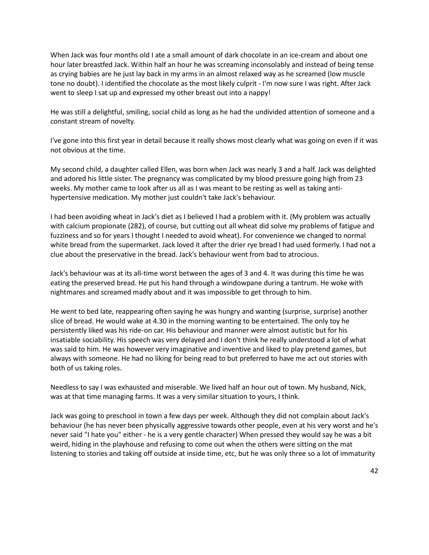When Jack was four months old I ate a small amount of dark chocolate in an ice-cream and about one hour later breastfed Jack. Within half an hour he was screaming inconsolably and instead of being tense as crying babies are he just lay back in my arms in an almost relaxed way as he screamed (low muscle tone no doubt). I identified the chocolate as the most likely culprit - I'm now sure I was right. After Jack went to sleep I sat up and expressed my other breast out into a nappy!

He was still a delightful, smiling, social child as long as he had the undivided attention of someone and a constant stream of novelty.

I've gone into this first year in detail because it really shows most clearly what was going on even if it was not obvious at the time.

My second child, a daughter called Ellen, was born when Jack was nearly 3 and a half. Jack was delighted and adored his little sister. The pregnancy was complicated by my blood pressure going high from 23 weeks. My mother came to look after us all as I was meant to be resting as well as taking antihypertensive medication. My mother just couldn't take Jack's behaviour.

I had been avoiding wheat in Jack's diet as I believed I had a problem with it. (My problem was actually with calcium propionate (282), of course, but cutting out all wheat did solve my problems of fatigue and fuzziness and so for years I thought I needed to avoid wheat). For convenience we changed to normal white bread from the supermarket. Jack loved it after the drier rye bread I had used formerly. I had not a clue about the preservative in the bread. Jack's behaviour went from bad to atrocious.

Jack's behaviour was at its all-time worst between the ages of 3 and 4. It was during this time he was eating the preserved bread. He put his hand through a windowpane during a tantrum. He woke with nightmares and screamed madly about and it was impossible to get through to him.

He went to bed late, reappearing often saying he was hungry and wanting (surprise, surprise) another slice of bread. He would wake at 4.30 in the morning wanting to be entertained. The only toy he persistently liked was his ride-on car. His behaviour and manner were almost autistic but for his insatiable sociability. His speech was very delayed and I don't think he really understood a lot of what was said to him. He was however very imaginative and inventive and liked to play pretend games, but always with someone. He had no liking for being read to but preferred to have me act out stories with both of us taking roles.

Needless to say I was exhausted and miserable. We lived half an hour out of town. My husband, Nick, was at that time managing farms. It was a very similar situation to yours, I think.

Jack was going to preschool in town a few days per week. Although they did not complain about Jack's behaviour (he has never been physically aggressive towards other people, even at his very worst and he's never said "I hate you" either - he is a very gentle character) When pressed they would say he was a bit weird, hiding in the playhouse and refusing to come out when the others were sitting on the mat listening to stories and taking off outside at inside time, etc, but he was only three so a lot of immaturity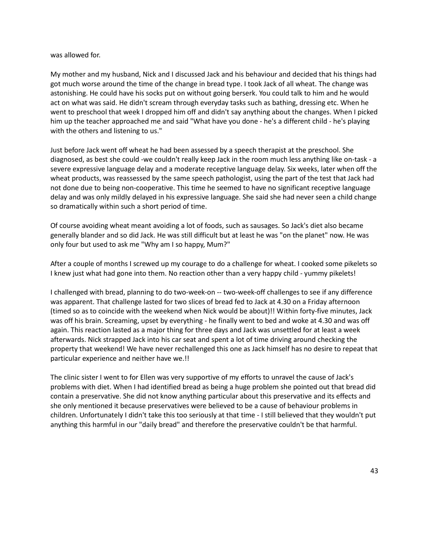#### was allowed for.

My mother and my husband, Nick and I discussed Jack and his behaviour and decided that his things had got much worse around the time of the change in bread type. I took Jack of all wheat. The change was astonishing. He could have his socks put on without going berserk. You could talk to him and he would act on what was said. He didn't scream through everyday tasks such as bathing, dressing etc. When he went to preschool that week I dropped him off and didn't say anything about the changes. When I picked him up the teacher approached me and said "What have you done - he's a different child - he's playing with the others and listening to us."

Just before Jack went off wheat he had been assessed by a speech therapist at the preschool. She diagnosed, as best she could -we couldn't really keep Jack in the room much less anything like on-task - a severe expressive language delay and a moderate receptive language delay. Six weeks, later when off the wheat products, was reassessed by the same speech pathologist, using the part of the test that Jack had not done due to being non-cooperative. This time he seemed to have no significant receptive language delay and was only mildly delayed in his expressive language. She said she had never seen a child change so dramatically within such a short period of time.

Of course avoiding wheat meant avoiding a lot of foods, such as sausages. So Jack's diet also became generally blander and so did Jack. He was still difficult but at least he was "on the planet" now. He was only four but used to ask me "Why am I so happy, Mum?"

After a couple of months I screwed up my courage to do a challenge for wheat. I cooked some pikelets so I knew just what had gone into them. No reaction other than a very happy child - yummy pikelets!

I challenged with bread, planning to do two-week-on -- two-week-off challenges to see if any difference was apparent. That challenge lasted for two slices of bread fed to Jack at 4.30 on a Friday afternoon (timed so as to coincide with the weekend when Nick would be about)!! Within forty-five minutes, Jack was off his brain. Screaming, upset by everything - he finally went to bed and woke at 4.30 and was off again. This reaction lasted as a major thing for three days and Jack was unsettled for at least a week afterwards. Nick strapped Jack into his car seat and spent a lot of time driving around checking the property that weekend! We have never rechallenged this one as Jack himself has no desire to repeat that particular experience and neither have we.!!

The clinic sister I went to for Ellen was very supportive of my efforts to unravel the cause of Jack's problems with diet. When I had identified bread as being a huge problem she pointed out that bread did contain a preservative. She did not know anything particular about this preservative and its effects and she only mentioned it because preservatives were believed to be a cause of behaviour problems in children. Unfortunately I didn't take this too seriously at that time - I still believed that they wouldn't put anything this harmful in our "daily bread" and therefore the preservative couldn't be that harmful.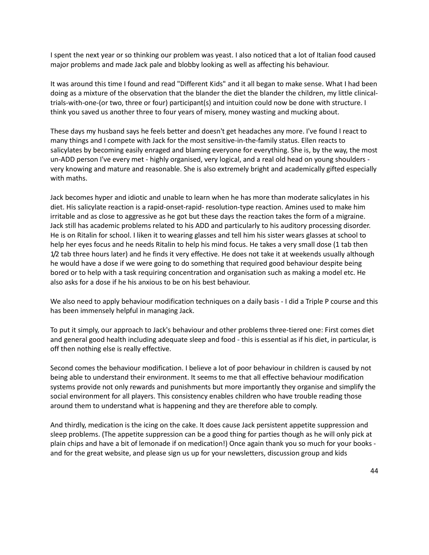I spent the next year or so thinking our problem was yeast. I also noticed that a lot of Italian food caused major problems and made Jack pale and blobby looking as well as affecting his behaviour.

It was around this time I found and read "Different Kids" and it all began to make sense. What I had been doing as a mixture of the observation that the blander the diet the blander the children, my little clinicaltrials-with-one-(or two, three or four) participant(s) and intuition could now be done with structure. I think you saved us another three to four years of misery, money wasting and mucking about.

These days my husband says he feels better and doesn't get headaches any more. I've found I react to many things and I compete with Jack for the most sensitive-in-the-family status. Ellen reacts to salicylates by becoming easily enraged and blaming everyone for everything. She is, by the way, the most un-ADD person I've every met - highly organised, very logical, and a real old head on young shoulders very knowing and mature and reasonable. She is also extremely bright and academically gifted especially with maths.

Jack becomes hyper and idiotic and unable to learn when he has more than moderate salicylates in his diet. His salicylate reaction is a rapid-onset-rapid- resolution-type reaction. Amines used to make him irritable and as close to aggressive as he got but these days the reaction takes the form of a migraine. Jack still has academic problems related to his ADD and particularly to his auditory processing disorder. He is on Ritalin for school. I liken it to wearing glasses and tell him his sister wears glasses at school to help her eyes focus and he needs Ritalin to help his mind focus. He takes a very small dose (1 tab then 1/2 tab three hours later) and he finds it very effective. He does not take it at weekends usually although he would have a dose if we were going to do something that required good behaviour despite being bored or to help with a task requiring concentration and organisation such as making a model etc. He also asks for a dose if he his anxious to be on his best behaviour.

We also need to apply behaviour modification techniques on a daily basis - I did a Triple P course and this has been immensely helpful in managing Jack.

To put it simply, our approach to Jack's behaviour and other problems three-tiered one: First comes diet and general good health including adequate sleep and food - this is essential as if his diet, in particular, is off then nothing else is really effective.

Second comes the behaviour modification. I believe a lot of poor behaviour in children is caused by not being able to understand their environment. It seems to me that all effective behaviour modification systems provide not only rewards and punishments but more importantly they organise and simplify the social environment for all players. This consistency enables children who have trouble reading those around them to understand what is happening and they are therefore able to comply.

And thirdly, medication is the icing on the cake. It does cause Jack persistent appetite suppression and sleep problems. (The appetite suppression can be a good thing for parties though as he will only pick at plain chips and have a bit of lemonade if on medication!) Once again thank you so much for your books and for the great website, and please sign us up for your newsletters, discussion group and kids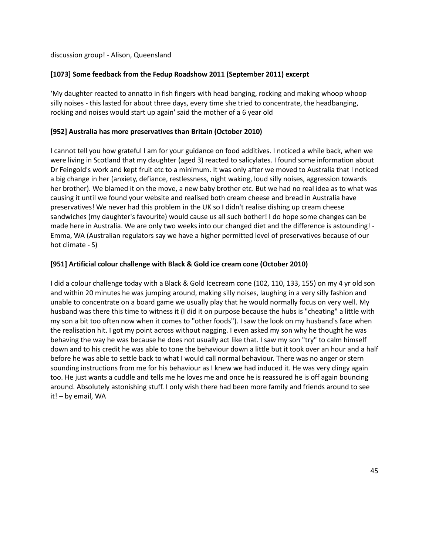discussion group! - Alison, Queensland

# **[1073] Some feedback from the Fedup Roadshow 2011 (September 2011) excerpt**

'My daughter reacted to annatto in fish fingers with head banging, rocking and making whoop whoop silly noises - this lasted for about three days, every time she tried to concentrate, the headbanging, rocking and noises would start up again' said the mother of a 6 year old

# **[952] Australia has more preservatives than Britain (October 2010)**

I cannot tell you how grateful I am for your guidance on food additives. I noticed a while back, when we were living in Scotland that my daughter (aged 3) reacted to salicylates. I found some information about Dr Feingold's work and kept fruit etc to a minimum. It was only after we moved to Australia that I noticed a big change in her (anxiety, defiance, restlessness, night waking, loud silly noises, aggression towards her brother). We blamed it on the move, a new baby brother etc. But we had no real idea as to what was causing it until we found your website and realised both cream cheese and bread in Australia have preservatives! We never had this problem in the UK so I didn't realise dishing up cream cheese sandwiches (my daughter's favourite) would cause us all such bother! I do hope some changes can be made here in Australia. We are only two weeks into our changed diet and the difference is astounding! - Emma, WA (Australian regulators say we have a higher permitted level of preservatives because of our hot climate - S)

# **[951] Artificial colour challenge with Black & Gold ice cream cone (October 2010)**

I did a colour challenge today with a Black & Gold Icecream cone (102, 110, 133, 155) on my 4 yr old son and within 20 minutes he was jumping around, making silly noises, laughing in a very silly fashion and unable to concentrate on a board game we usually play that he would normally focus on very well. My husband was there this time to witness it (I did it on purpose because the hubs is "cheating" a little with my son a bit too often now when it comes to "other foods"). I saw the look on my husband's face when the realisation hit. I got my point across without nagging. I even asked my son why he thought he was behaving the way he was because he does not usually act like that. I saw my son "try" to calm himself down and to his credit he was able to tone the behaviour down a little but it took over an hour and a half before he was able to settle back to what I would call normal behaviour. There was no anger or stern sounding instructions from me for his behaviour as I knew we had induced it. He was very clingy again too. He just wants a cuddle and tells me he loves me and once he is reassured he is off again bouncing around. Absolutely astonishing stuff. I only wish there had been more family and friends around to see it! – by email, WA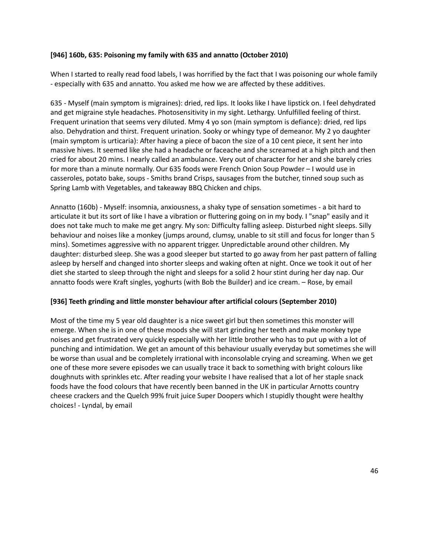### **[946] 160b, 635: Poisoning my family with 635 and annatto (October 2010)**

When I started to really read food labels, I was horrified by the fact that I was poisoning our whole family - especially with 635 and annatto. You asked me how we are affected by these additives.

635 - Myself (main symptom is migraines): dried, red lips. It looks like I have lipstick on. I feel dehydrated and get migraine style headaches. Photosensitivity in my sight. Lethargy. Unfulfilled feeling of thirst. Frequent urination that seems very diluted. Mmy 4 yo son (main symptom is defiance): dried, red lips also. Dehydration and thirst. Frequent urination. Sooky or whingy type of demeanor. My 2 yo daughter (main symptom is urticaria): After having a piece of bacon the size of a 10 cent piece, it sent her into massive hives. It seemed like she had a headache or faceache and she screamed at a high pitch and then cried for about 20 mins. I nearly called an ambulance. Very out of character for her and she barely cries for more than a minute normally. Our 635 foods were French Onion Soup Powder – I would use in casseroles, potato bake, soups - Smiths brand Crisps, sausages from the butcher, tinned soup such as Spring Lamb with Vegetables, and takeaway BBQ Chicken and chips.

Annatto (160b) - Myself: insomnia, anxiousness, a shaky type of sensation sometimes - a bit hard to articulate it but its sort of like I have a vibration or fluttering going on in my body. I "snap" easily and it does not take much to make me get angry. My son: Difficulty falling asleep. Disturbed night sleeps. Silly behaviour and noises like a monkey (jumps around, clumsy, unable to sit still and focus for longer than 5 mins). Sometimes aggressive with no apparent trigger. Unpredictable around other children. My daughter: disturbed sleep. She was a good sleeper but started to go away from her past pattern of falling asleep by herself and changed into shorter sleeps and waking often at night. Once we took it out of her diet she started to sleep through the night and sleeps for a solid 2 hour stint during her day nap. Our annatto foods were Kraft singles, yoghurts (with Bob the Builder) and ice cream. – Rose, by email

# **[936] Teeth grinding and little monster behaviour after artificial colours (September 2010)**

Most of the time my 5 year old daughter is a nice sweet girl but then sometimes this monster will emerge. When she is in one of these moods she will start grinding her teeth and make monkey type noises and get frustrated very quickly especially with her little brother who has to put up with a lot of punching and intimidation. We get an amount of this behaviour usually everyday but sometimes she will be worse than usual and be completely irrational with inconsolable crying and screaming. When we get one of these more severe episodes we can usually trace it back to something with bright colours like doughnuts with sprinkles etc. After reading your website I have realised that a lot of her staple snack foods have the food colours that have recently been banned in the UK in particular Arnotts country cheese crackers and the Quelch 99% fruit juice Super Doopers which I stupidly thought were healthy choices! - Lyndal, by email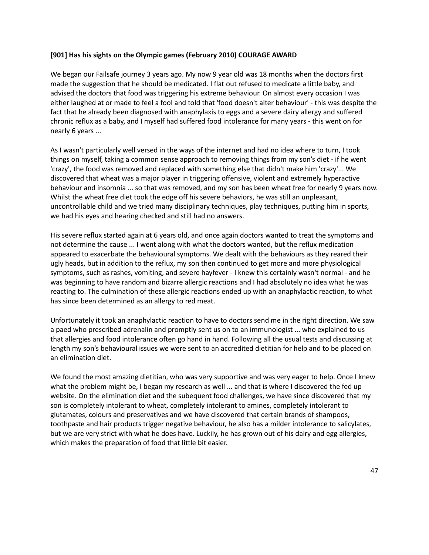#### **[901] Has his sights on the Olympic games (February 2010) COURAGE AWARD**

We began our Failsafe journey 3 years ago. My now 9 year old was 18 months when the doctors first made the suggestion that he should be medicated. I flat out refused to medicate a little baby, and advised the doctors that food was triggering his extreme behaviour. On almost every occasion I was either laughed at or made to feel a fool and told that 'food doesn't alter behaviour' - this was despite the fact that he already been diagnosed with anaphylaxis to eggs and a severe dairy allergy and suffered chronic reflux as a baby, and I myself had suffered food intolerance for many years - this went on for nearly 6 years ...

As I wasn't particularly well versed in the ways of the internet and had no idea where to turn, I took things on myself, taking a common sense approach to removing things from my son's diet - if he went 'crazy', the food was removed and replaced with something else that didn't make him 'crazy'... We discovered that wheat was a major player in triggering offensive, violent and extremely hyperactive behaviour and insomnia ... so that was removed, and my son has been wheat free for nearly 9 years now. Whilst the wheat free diet took the edge off his severe behaviors, he was still an unpleasant, uncontrollable child and we tried many disciplinary techniques, play techniques, putting him in sports, we had his eyes and hearing checked and still had no answers.

His severe reflux started again at 6 years old, and once again doctors wanted to treat the symptoms and not determine the cause ... I went along with what the doctors wanted, but the reflux medication appeared to exacerbate the behavioural symptoms. We dealt with the behaviours as they reared their ugly heads, but in addition to the reflux, my son then continued to get more and more physiological symptoms, such as rashes, vomiting, and severe hayfever - I knew this certainly wasn't normal - and he was beginning to have random and bizarre allergic reactions and I had absolutely no idea what he was reacting to. The culmination of these allergic reactions ended up with an anaphylactic reaction, to what has since been determined as an allergy to red meat.

Unfortunately it took an anaphylactic reaction to have to doctors send me in the right direction. We saw a paed who prescribed adrenalin and promptly sent us on to an immunologist ... who explained to us that allergies and food intolerance often go hand in hand. Following all the usual tests and discussing at length my son's behavioural issues we were sent to an accredited dietitian for help and to be placed on an elimination diet.

We found the most amazing dietitian, who was very supportive and was very eager to help. Once I knew what the problem might be, I began my research as well ... and that is where I discovered the fed up website. On the elimination diet and the subequent food challenges, we have since discovered that my son is completely intolerant to wheat, completely intolerant to amines, completely intolerant to glutamates, colours and preservatives and we have discovered that certain brands of shampoos, toothpaste and hair products trigger negative behaviour, he also has a milder intolerance to salicylates, but we are very strict with what he does have. Luckily, he has grown out of his dairy and egg allergies, which makes the preparation of food that little bit easier.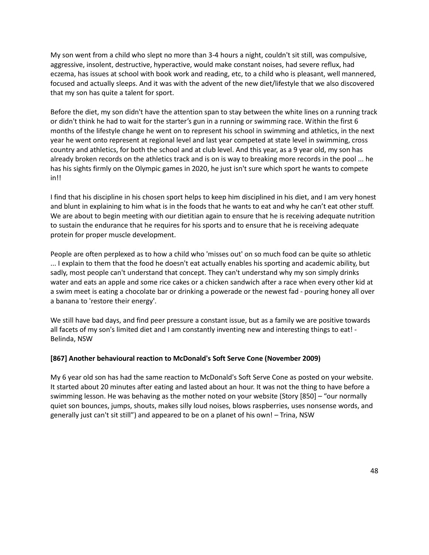My son went from a child who slept no more than 3-4 hours a night, couldn't sit still, was compulsive, aggressive, insolent, destructive, hyperactive, would make constant noises, had severe reflux, had eczema, has issues at school with book work and reading, etc, to a child who is pleasant, well mannered, focused and actually sleeps. And it was with the advent of the new diet/lifestyle that we also discovered that my son has quite a talent for sport.

Before the diet, my son didn't have the attention span to stay between the white lines on a running track or didn't think he had to wait for the starter's gun in a running or swimming race. Within the first 6 months of the lifestyle change he went on to represent his school in swimming and athletics, in the next year he went onto represent at regional level and last year competed at state level in swimming, cross country and athletics, for both the school and at club level. And this year, as a 9 year old, my son has already broken records on the athletics track and is on is way to breaking more records in the pool ... he has his sights firmly on the Olympic games in 2020, he just isn't sure which sport he wants to compete in!!

I find that his discipline in his chosen sport helps to keep him disciplined in his diet, and I am very honest and blunt in explaining to him what is in the foods that he wants to eat and why he can't eat other stuff. We are about to begin meeting with our dietitian again to ensure that he is receiving adequate nutrition to sustain the endurance that he requires for his sports and to ensure that he is receiving adequate protein for proper muscle development.

People are often perplexed as to how a child who 'misses out' on so much food can be quite so athletic ... I explain to them that the food he doesn't eat actually enables his sporting and academic ability, but sadly, most people can't understand that concept. They can't understand why my son simply drinks water and eats an apple and some rice cakes or a chicken sandwich after a race when every other kid at a swim meet is eating a chocolate bar or drinking a powerade or the newest fad - pouring honey all over a banana to 'restore their energy'.

We still have bad days, and find peer pressure a constant issue, but as a family we are positive towards all facets of my son's limited diet and I am constantly inventing new and interesting things to eat! - Belinda, NSW

#### **[867] Another behavioural reaction to McDonald's Soft Serve Cone (November 2009)**

My 6 year old son has had the same reaction to McDonald's Soft Serve Cone as posted on your website. It started about 20 minutes after eating and lasted about an hour. It was not the thing to have before a swimming lesson. He was behaving as the mother noted on your website (Story [850] – "our normally quiet son bounces, jumps, shouts, makes silly loud noises, blows raspberries, uses nonsense words, and generally just can't sit still") and appeared to be on a planet of his own! – Trina, NSW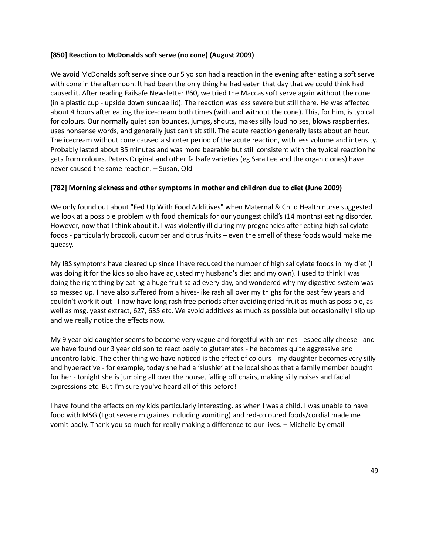### **[850] Reaction to McDonalds soft serve (no cone) (August 2009)**

We avoid McDonalds soft serve since our 5 yo son had a reaction in the evening after eating a soft serve with cone in the afternoon. It had been the only thing he had eaten that day that we could think had caused it. After reading Failsafe Newsletter #60, we tried the Maccas soft serve again without the cone (in a plastic cup - upside down sundae lid). The reaction was less severe but still there. He was affected about 4 hours after eating the ice-cream both times (with and without the cone). This, for him, is typical for colours. Our normally quiet son bounces, jumps, shouts, makes silly loud noises, blows raspberries, uses nonsense words, and generally just can't sit still. The acute reaction generally lasts about an hour. The icecream without cone caused a shorter period of the acute reaction, with less volume and intensity. Probably lasted about 35 minutes and was more bearable but still consistent with the typical reaction he gets from colours. Peters Original and other failsafe varieties (eg Sara Lee and the organic ones) have never caused the same reaction. – Susan, Qld

# **[782] Morning sickness and other symptoms in mother and children due to diet (June 2009)**

We only found out about "Fed Up With Food Additives" when Maternal & Child Health nurse suggested we look at a possible problem with food chemicals for our youngest child's (14 months) eating disorder. However, now that I think about it, I was violently ill during my pregnancies after eating high salicylate foods - particularly broccoli, cucumber and citrus fruits – even the smell of these foods would make me queasy.

My IBS symptoms have cleared up since I have reduced the number of high salicylate foods in my diet (I was doing it for the kids so also have adjusted my husband's diet and my own). I used to think I was doing the right thing by eating a huge fruit salad every day, and wondered why my digestive system was so messed up. I have also suffered from a hives-like rash all over my thighs for the past few years and couldn't work it out - I now have long rash free periods after avoiding dried fruit as much as possible, as well as msg, yeast extract, 627, 635 etc. We avoid additives as much as possible but occasionally I slip up and we really notice the effects now.

My 9 year old daughter seems to become very vague and forgetful with amines - especially cheese - and we have found our 3 year old son to react badly to glutamates - he becomes quite aggressive and uncontrollable. The other thing we have noticed is the effect of colours - my daughter becomes very silly and hyperactive - for example, today she had a 'slushie' at the local shops that a family member bought for her - tonight she is jumping all over the house, falling off chairs, making silly noises and facial expressions etc. But I'm sure you've heard all of this before!

I have found the effects on my kids particularly interesting, as when I was a child, I was unable to have food with MSG (I got severe migraines including vomiting) and red-coloured foods/cordial made me vomit badly. Thank you so much for really making a difference to our lives. – Michelle by email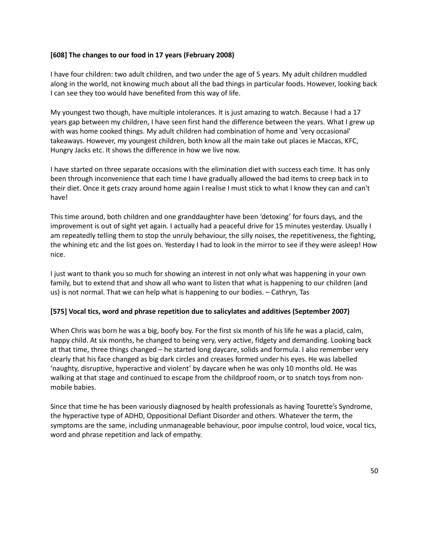#### **[608] The changes to our food in 17 years (February 2008)**

I have four children: two adult children, and two under the age of 5 years. My adult children muddled along in the world, not knowing much about all the bad things in particular foods. However, looking back I can see they too would have benefited from this way of life.

My youngest two though, have multiple intolerances. It is just amazing to watch. Because I had a 17 years gap between my children, I have seen first hand the difference between the years. What I grew up with was home cooked things. My adult children had combination of home and 'very occasional' takeaways. However, my youngest children, both know all the main take out places ie Maccas, KFC, Hungry Jacks etc. It shows the difference in how we live now.

I have started on three separate occasions with the elimination diet with success each time. It has only been through inconvenience that each time I have gradually allowed the bad items to creep back in to their diet. Once it gets crazy around home again I realise I must stick to what I know they can and can't have!

This time around, both children and one granddaughter have been 'detoxing' for fours days, and the improvement is out of sight yet again. I actually had a peaceful drive for 15 minutes yesterday. Usually I am repeatedly telling them to stop the unruly behaviour, the silly noises, the repetitiveness, the fighting, the whining etc and the list goes on. Yesterday I had to look in the mirror to see if they were asleep! How nice.

I just want to thank you so much for showing an interest in not only what was happening in your own family, but to extend that and show all who want to listen that what is happening to our children (and us) is not normal. That we can help what is happening to our bodies. – Cathryn, Tas

#### **[575] Vocal tics, word and phrase repetition due to salicylates and additives (September 2007)**

When Chris was born he was a big, boofy boy. For the first six month of his life he was a placid, calm, happy child. At six months, he changed to being very, very active, fidgety and demanding. Looking back at that time, three things changed – he started long daycare, solids and formula. I also remember very clearly that his face changed as big dark circles and creases formed under his eyes. He was labelled 'naughty, disruptive, hyperactive and violent' by daycare when he was only 10 months old. He was walking at that stage and continued to escape from the childproof room, or to snatch toys from nonmobile babies.

Since that time he has been variously diagnosed by health professionals as having Tourette's Syndrome, the hyperactive type of ADHD, Oppositional Defiant Disorder and others. Whatever the term, the symptoms are the same, including unmanageable behaviour, poor impulse control, loud voice, vocal tics, word and phrase repetition and lack of empathy.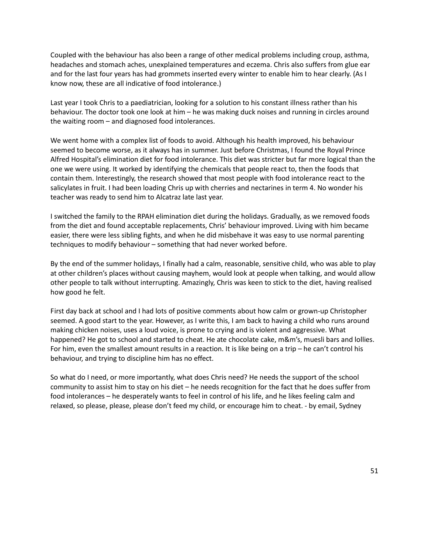Coupled with the behaviour has also been a range of other medical problems including croup, asthma, headaches and stomach aches, unexplained temperatures and eczema. Chris also suffers from glue ear and for the last four years has had grommets inserted every winter to enable him to hear clearly. (As I know now, these are all indicative of food intolerance.)

Last year I took Chris to a paediatrician, looking for a solution to his constant illness rather than his behaviour. The doctor took one look at him – he was making duck noises and running in circles around the waiting room – and diagnosed food intolerances.

We went home with a complex list of foods to avoid. Although his health improved, his behaviour seemed to become worse, as it always has in summer. Just before Christmas, I found the Royal Prince Alfred Hospital's elimination diet for food intolerance. This diet was stricter but far more logical than the one we were using. It worked by identifying the chemicals that people react to, then the foods that contain them. Interestingly, the research showed that most people with food intolerance react to the salicylates in fruit. I had been loading Chris up with cherries and nectarines in term 4. No wonder his teacher was ready to send him to Alcatraz late last year.

I switched the family to the RPAH elimination diet during the holidays. Gradually, as we removed foods from the diet and found acceptable replacements, Chris' behaviour improved. Living with him became easier, there were less sibling fights, and when he did misbehave it was easy to use normal parenting techniques to modify behaviour – something that had never worked before.

By the end of the summer holidays, I finally had a calm, reasonable, sensitive child, who was able to play at other children's places without causing mayhem, would look at people when talking, and would allow other people to talk without interrupting. Amazingly, Chris was keen to stick to the diet, having realised how good he felt.

First day back at school and I had lots of positive comments about how calm or grown-up Christopher seemed. A good start to the year. However, as I write this, I am back to having a child who runs around making chicken noises, uses a loud voice, is prone to crying and is violent and aggressive. What happened? He got to school and started to cheat. He ate chocolate cake, m&m's, muesli bars and lollies. For him, even the smallest amount results in a reaction. It is like being on a trip – he can't control his behaviour, and trying to discipline him has no effect.

So what do I need, or more importantly, what does Chris need? He needs the support of the school community to assist him to stay on his diet – he needs recognition for the fact that he does suffer from food intolerances – he desperately wants to feel in control of his life, and he likes feeling calm and relaxed, so please, please, please don't feed my child, or encourage him to cheat. - by email, Sydney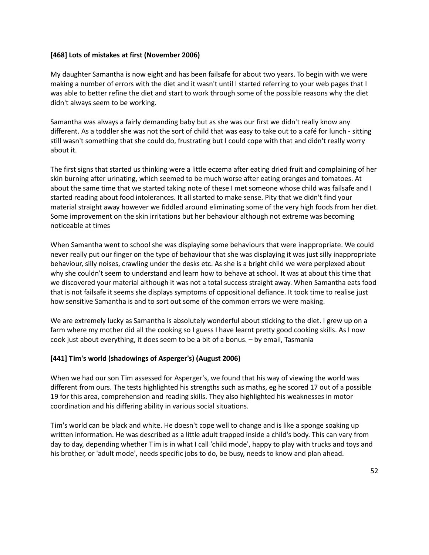#### **[468] Lots of mistakes at first (November 2006)**

My daughter Samantha is now eight and has been failsafe for about two years. To begin with we were making a number of errors with the diet and it wasn't until I started referring to your web pages that I was able to better refine the diet and start to work through some of the possible reasons why the diet didn't always seem to be working.

Samantha was always a fairly demanding baby but as she was our first we didn't really know any different. As a toddler she was not the sort of child that was easy to take out to a café for lunch - sitting still wasn't something that she could do, frustrating but I could cope with that and didn't really worry about it.

The first signs that started us thinking were a little eczema after eating dried fruit and complaining of her skin burning after urinating, which seemed to be much worse after eating oranges and tomatoes. At about the same time that we started taking note of these I met someone whose child was failsafe and I started reading about food intolerances. It all started to make sense. Pity that we didn't find your material straight away however we fiddled around eliminating some of the very high foods from her diet. Some improvement on the skin irritations but her behaviour although not extreme was becoming noticeable at times

When Samantha went to school she was displaying some behaviours that were inappropriate. We could never really put our finger on the type of behaviour that she was displaying it was just silly inappropriate behaviour, silly noises, crawling under the desks etc. As she is a bright child we were perplexed about why she couldn't seem to understand and learn how to behave at school. It was at about this time that we discovered your material although it was not a total success straight away. When Samantha eats food that is not failsafe it seems she displays symptoms of oppositional defiance. It took time to realise just how sensitive Samantha is and to sort out some of the common errors we were making.

We are extremely lucky as Samantha is absolutely wonderful about sticking to the diet. I grew up on a farm where my mother did all the cooking so I guess I have learnt pretty good cooking skills. As I now cook just about everything, it does seem to be a bit of a bonus. – by email, Tasmania

# **[441] Tim's world (shadowings of Asperger's) (August 2006)**

When we had our son Tim assessed for Asperger's, we found that his way of viewing the world was different from ours. The tests highlighted his strengths such as maths, eg he scored 17 out of a possible 19 for this area, comprehension and reading skills. They also highlighted his weaknesses in motor coordination and his differing ability in various social situations.

Tim's world can be black and white. He doesn't cope well to change and is like a sponge soaking up written information. He was described as a little adult trapped inside a child's body. This can vary from day to day, depending whether Tim is in what I call 'child mode', happy to play with trucks and toys and his brother, or 'adult mode', needs specific jobs to do, be busy, needs to know and plan ahead.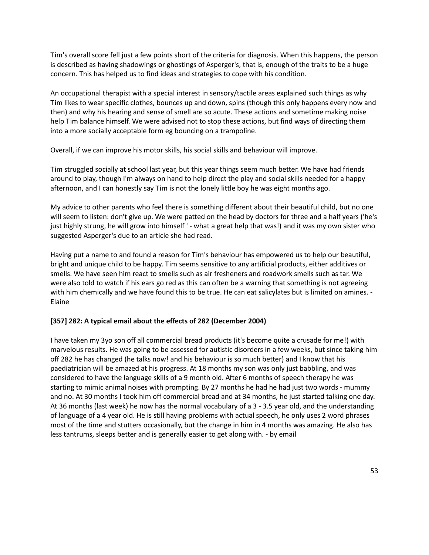Tim's overall score fell just a few points short of the criteria for diagnosis. When this happens, the person is described as having shadowings or ghostings of Asperger's, that is, enough of the traits to be a huge concern. This has helped us to find ideas and strategies to cope with his condition.

An occupational therapist with a special interest in sensory/tactile areas explained such things as why Tim likes to wear specific clothes, bounces up and down, spins (though this only happens every now and then) and why his hearing and sense of smell are so acute. These actions and sometime making noise help Tim balance himself. We were advised not to stop these actions, but find ways of directing them into a more socially acceptable form eg bouncing on a trampoline.

Overall, if we can improve his motor skills, his social skills and behaviour will improve.

Tim struggled socially at school last year, but this year things seem much better. We have had friends around to play, though I'm always on hand to help direct the play and social skills needed for a happy afternoon, and I can honestly say Tim is not the lonely little boy he was eight months ago.

My advice to other parents who feel there is something different about their beautiful child, but no one will seem to listen: don't give up. We were patted on the head by doctors for three and a half years ('he's just highly strung, he will grow into himself ' - what a great help that was!) and it was my own sister who suggested Asperger's due to an article she had read.

Having put a name to and found a reason for Tim's behaviour has empowered us to help our beautiful, bright and unique child to be happy. Tim seems sensitive to any artificial products, either additives or smells. We have seen him react to smells such as air fresheners and roadwork smells such as tar. We were also told to watch if his ears go red as this can often be a warning that something is not agreeing with him chemically and we have found this to be true. He can eat salicylates but is limited on amines. -Elaine

#### **[357] 282: A typical email about the effects of 282 (December 2004)**

I have taken my 3yo son off all commercial bread products (it's become quite a crusade for me!) with marvelous results. He was going to be assessed for autistic disorders in a few weeks, but since taking him off 282 he has changed (he talks now! and his behaviour is so much better) and I know that his paediatrician will be amazed at his progress. At 18 months my son was only just babbling, and was considered to have the language skills of a 9 month old. After 6 months of speech therapy he was starting to mimic animal noises with prompting. By 27 months he had he had just two words - mummy and no. At 30 months I took him off commercial bread and at 34 months, he just started talking one day. At 36 months (last week) he now has the normal vocabulary of a 3 - 3.5 year old, and the understanding of language of a 4 year old. He is still having problems with actual speech, he only uses 2 word phrases most of the time and stutters occasionally, but the change in him in 4 months was amazing. He also has less tantrums, sleeps better and is generally easier to get along with. - by email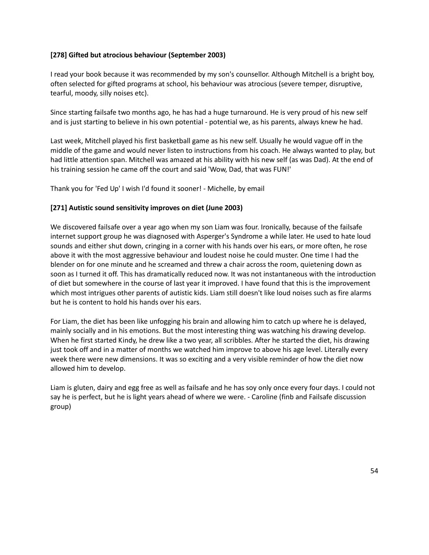# **[278] Gifted but atrocious behaviour (September 2003)**

I read your book because it was recommended by my son's counsellor. Although Mitchell is a bright boy, often selected for gifted programs at school, his behaviour was atrocious (severe temper, disruptive, tearful, moody, silly noises etc).

Since starting failsafe two months ago, he has had a huge turnaround. He is very proud of his new self and is just starting to believe in his own potential - potential we, as his parents, always knew he had.

Last week, Mitchell played his first basketball game as his new self. Usually he would vague off in the middle of the game and would never listen to instructions from his coach. He always wanted to play, but had little attention span. Mitchell was amazed at his ability with his new self (as was Dad). At the end of his training session he came off the court and said 'Wow, Dad, that was FUN!'

Thank you for 'Fed Up' I wish I'd found it sooner! - Michelle, by email

# **[271] Autistic sound sensitivity improves on diet (June 2003)**

We discovered failsafe over a year ago when my son Liam was four. Ironically, because of the failsafe internet support group he was diagnosed with Asperger's Syndrome a while later. He used to hate loud sounds and either shut down, cringing in a corner with his hands over his ears, or more often, he rose above it with the most aggressive behaviour and loudest noise he could muster. One time I had the blender on for one minute and he screamed and threw a chair across the room, quietening down as soon as I turned it off. This has dramatically reduced now. It was not instantaneous with the introduction of diet but somewhere in the course of last year it improved. I have found that this is the improvement which most intrigues other parents of autistic kids. Liam still doesn't like loud noises such as fire alarms but he is content to hold his hands over his ears.

For Liam, the diet has been like unfogging his brain and allowing him to catch up where he is delayed, mainly socially and in his emotions. But the most interesting thing was watching his drawing develop. When he first started Kindy, he drew like a two year, all scribbles. After he started the diet, his drawing just took off and in a matter of months we watched him improve to above his age level. Literally every week there were new dimensions. It was so exciting and a very visible reminder of how the diet now allowed him to develop.

Liam is gluten, dairy and egg free as well as failsafe and he has soy only once every four days. I could not say he is perfect, but he is light years ahead of where we were. - Caroline (finb and Failsafe discussion group)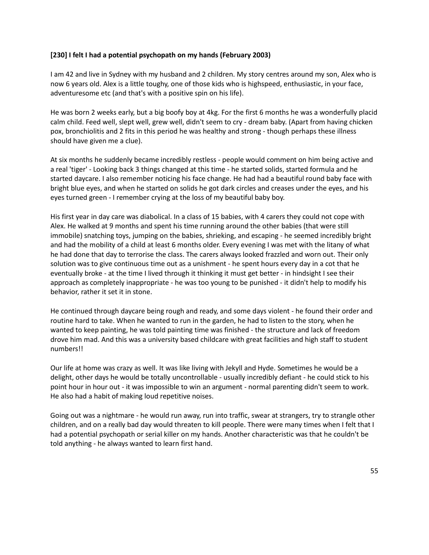#### **[230] I felt I had a potential psychopath on my hands (February 2003)**

I am 42 and live in Sydney with my husband and 2 children. My story centres around my son, Alex who is now 6 years old. Alex is a little toughy, one of those kids who is highspeed, enthusiastic, in your face, adventuresome etc (and that's with a positive spin on his life).

He was born 2 weeks early, but a big boofy boy at 4kg. For the first 6 months he was a wonderfully placid calm child. Feed well, slept well, grew well, didn't seem to cry - dream baby. (Apart from having chicken pox, bronchiolitis and 2 fits in this period he was healthy and strong - though perhaps these illness should have given me a clue).

At six months he suddenly became incredibly restless - people would comment on him being active and a real 'tiger' - Looking back 3 things changed at this time - he started solids, started formula and he started daycare. I also remember noticing his face change. He had had a beautiful round baby face with bright blue eyes, and when he started on solids he got dark circles and creases under the eyes, and his eyes turned green - I remember crying at the loss of my beautiful baby boy.

His first year in day care was diabolical. In a class of 15 babies, with 4 carers they could not cope with Alex. He walked at 9 months and spent his time running around the other babies (that were still immobile) snatching toys, jumping on the babies, shrieking, and escaping - he seemed incredibly bright and had the mobility of a child at least 6 months older. Every evening I was met with the litany of what he had done that day to terrorise the class. The carers always looked frazzled and worn out. Their only solution was to give continuous time out as a unishment - he spent hours every day in a cot that he eventually broke - at the time I lived through it thinking it must get better - in hindsight I see their approach as completely inappropriate - he was too young to be punished - it didn't help to modify his behavior, rather it set it in stone.

He continued through daycare being rough and ready, and some days violent - he found their order and routine hard to take. When he wanted to run in the garden, he had to listen to the story, when he wanted to keep painting, he was told painting time was finished - the structure and lack of freedom drove him mad. And this was a university based childcare with great facilities and high staff to student numbers!!

Our life at home was crazy as well. It was like living with Jekyll and Hyde. Sometimes he would be a delight, other days he would be totally uncontrollable - usually incredibly defiant - he could stick to his point hour in hour out - it was impossible to win an argument - normal parenting didn't seem to work. He also had a habit of making loud repetitive noises.

Going out was a nightmare - he would run away, run into traffic, swear at strangers, try to strangle other children, and on a really bad day would threaten to kill people. There were many times when I felt that I had a potential psychopath or serial killer on my hands. Another characteristic was that he couldn't be told anything - he always wanted to learn first hand.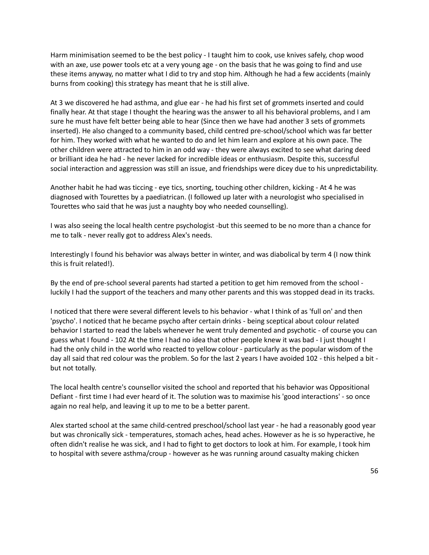Harm minimisation seemed to be the best policy - I taught him to cook, use knives safely, chop wood with an axe, use power tools etc at a very young age - on the basis that he was going to find and use these items anyway, no matter what I did to try and stop him. Although he had a few accidents (mainly burns from cooking) this strategy has meant that he is still alive.

At 3 we discovered he had asthma, and glue ear - he had his first set of grommets inserted and could finally hear. At that stage I thought the hearing was the answer to all his behavioral problems, and I am sure he must have felt better being able to hear (Since then we have had another 3 sets of grommets inserted). He also changed to a community based, child centred pre-school/school which was far better for him. They worked with what he wanted to do and let him learn and explore at his own pace. The other children were attracted to him in an odd way - they were always excited to see what daring deed or brilliant idea he had - he never lacked for incredible ideas or enthusiasm. Despite this, successful social interaction and aggression was still an issue, and friendships were dicey due to his unpredictability.

Another habit he had was ticcing - eye tics, snorting, touching other children, kicking - At 4 he was diagnosed with Tourettes by a paediatrican. (I followed up later with a neurologist who specialised in Tourettes who said that he was just a naughty boy who needed counselling).

I was also seeing the local health centre psychologist -but this seemed to be no more than a chance for me to talk - never really got to address Alex's needs.

Interestingly I found his behavior was always better in winter, and was diabolical by term 4 (I now think this is fruit related!).

By the end of pre-school several parents had started a petition to get him removed from the school luckily I had the support of the teachers and many other parents and this was stopped dead in its tracks.

I noticed that there were several different levels to his behavior - what I think of as 'full on' and then 'psycho'. I noticed that he became psycho after certain drinks - being sceptical about colour related behavior I started to read the labels whenever he went truly demented and psychotic - of course you can guess what I found - 102 At the time I had no idea that other people knew it was bad - I just thought I had the only child in the world who reacted to yellow colour - particularly as the popular wisdom of the day all said that red colour was the problem. So for the last 2 years I have avoided 102 - this helped a bit but not totally.

The local health centre's counsellor visited the school and reported that his behavior was Oppositional Defiant - first time I had ever heard of it. The solution was to maximise his 'good interactions' - so once again no real help, and leaving it up to me to be a better parent.

Alex started school at the same child-centred preschool/school last year - he had a reasonably good year but was chronically sick - temperatures, stomach aches, head aches. However as he is so hyperactive, he often didn't realise he was sick, and I had to fight to get doctors to look at him. For example, I took him to hospital with severe asthma/croup - however as he was running around casualty making chicken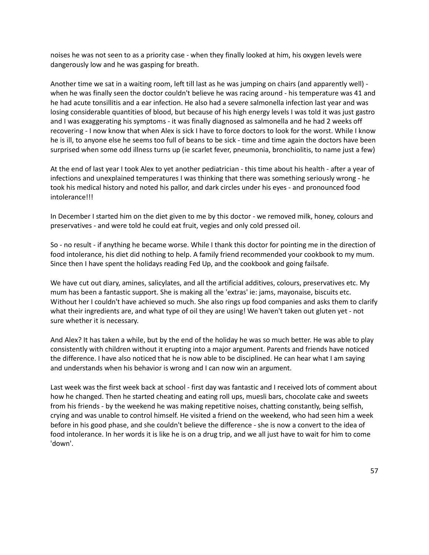noises he was not seen to as a priority case - when they finally looked at him, his oxygen levels were dangerously low and he was gasping for breath.

Another time we sat in a waiting room, left till last as he was jumping on chairs (and apparently well) when he was finally seen the doctor couldn't believe he was racing around - his temperature was 41 and he had acute tonsillitis and a ear infection. He also had a severe salmonella infection last year and was losing considerable quantities of blood, but because of his high energy levels I was told it was just gastro and I was exaggerating his symptoms - it was finally diagnosed as salmonella and he had 2 weeks off recovering - I now know that when Alex is sick I have to force doctors to look for the worst. While I know he is ill, to anyone else he seems too full of beans to be sick - time and time again the doctors have been surprised when some odd illness turns up (ie scarlet fever, pneumonia, bronchiolitis, to name just a few)

At the end of last year I took Alex to yet another pediatrician - this time about his health - after a year of infections and unexplained temperatures I was thinking that there was something seriously wrong - he took his medical history and noted his pallor, and dark circles under his eyes - and pronounced food intolerance!!!

In December I started him on the diet given to me by this doctor - we removed milk, honey, colours and preservatives - and were told he could eat fruit, vegies and only cold pressed oil.

So - no result - if anything he became worse. While I thank this doctor for pointing me in the direction of food intolerance, his diet did nothing to help. A family friend recommended your cookbook to my mum. Since then I have spent the holidays reading Fed Up, and the cookbook and going failsafe.

We have cut out diary, amines, salicylates, and all the artificial additives, colours, preservatives etc. My mum has been a fantastic support. She is making all the 'extras' ie: jams, mayonaise, biscuits etc. Without her I couldn't have achieved so much. She also rings up food companies and asks them to clarify what their ingredients are, and what type of oil they are using! We haven't taken out gluten yet - not sure whether it is necessary.

And Alex? It has taken a while, but by the end of the holiday he was so much better. He was able to play consistently with children without it erupting into a major argument. Parents and friends have noticed the difference. I have also noticed that he is now able to be disciplined. He can hear what I am saying and understands when his behavior is wrong and I can now win an argument.

Last week was the first week back at school - first day was fantastic and I received lots of comment about how he changed. Then he started cheating and eating roll ups, muesli bars, chocolate cake and sweets from his friends - by the weekend he was making repetitive noises, chatting constantly, being selfish, crying and was unable to control himself. He visited a friend on the weekend, who had seen him a week before in his good phase, and she couldn't believe the difference - she is now a convert to the idea of food intolerance. In her words it is like he is on a drug trip, and we all just have to wait for him to come 'down'.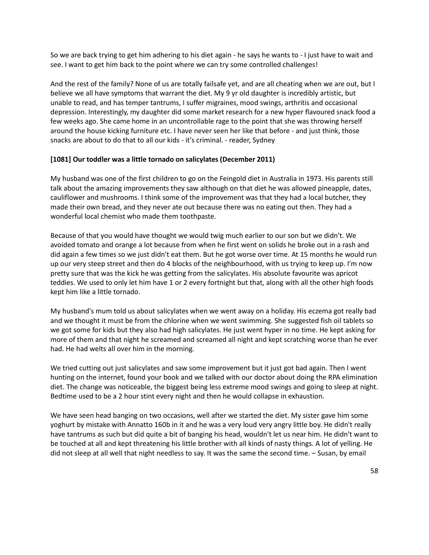So we are back trying to get him adhering to his diet again - he says he wants to - I just have to wait and see. I want to get him back to the point where we can try some controlled challenges!

And the rest of the family? None of us are totally failsafe yet, and are all cheating when we are out, but I believe we all have symptoms that warrant the diet. My 9 yr old daughter is incredibly artistic, but unable to read, and has temper tantrums, I suffer migraines, mood swings, arthritis and occasional depression. Interestingly, my daughter did some market research for a new hyper flavoured snack food a few weeks ago. She came home in an uncontrollable rage to the point that she was throwing herself around the house kicking furniture etc. I have never seen her like that before - and just think, those snacks are about to do that to all our kids - it's criminal. - reader, Sydney

#### **[1081] Our toddler was a little tornado on salicylates (December 2011)**

My husband was one of the first children to go on the Feingold diet in Australia in 1973. His parents still talk about the amazing improvements they saw although on that diet he was allowed pineapple, dates, cauliflower and mushrooms. I think some of the improvement was that they had a local butcher, they made their own bread, and they never ate out because there was no eating out then. They had a wonderful local chemist who made them toothpaste.

Because of that you would have thought we would twig much earlier to our son but we didn't. We avoided tomato and orange a lot because from when he first went on solids he broke out in a rash and did again a few times so we just didn't eat them. But he got worse over time. At 15 months he would run up our very steep street and then do 4 blocks of the neighbourhood, with us trying to keep up. I'm now pretty sure that was the kick he was getting from the salicylates. His absolute favourite was apricot teddies. We used to only let him have 1 or 2 every fortnight but that, along with all the other high foods kept him like a little tornado.

My husband's mum told us about salicylates when we went away on a holiday. His eczema got really bad and we thought it must be from the chlorine when we went swimming. She suggested fish oil tablets so we got some for kids but they also had high salicylates. He just went hyper in no time. He kept asking for more of them and that night he screamed and screamed all night and kept scratching worse than he ever had. He had welts all over him in the morning.

We tried cutting out just salicylates and saw some improvement but it just got bad again. Then I went hunting on the internet, found your book and we talked with our doctor about doing the RPA elimination diet. The change was noticeable, the biggest being less extreme mood swings and going to sleep at night. Bedtime used to be a 2 hour stint every night and then he would collapse in exhaustion.

We have seen head banging on two occasions, well after we started the diet. My sister gave him some yoghurt by mistake with Annatto 160b in it and he was a very loud very angry little boy. He didn't really have tantrums as such but did quite a bit of banging his head, wouldn't let us near him. He didn't want to be touched at all and kept threatening his little brother with all kinds of nasty things. A lot of yelling. He did not sleep at all well that night needless to say. It was the same the second time. – Susan, by email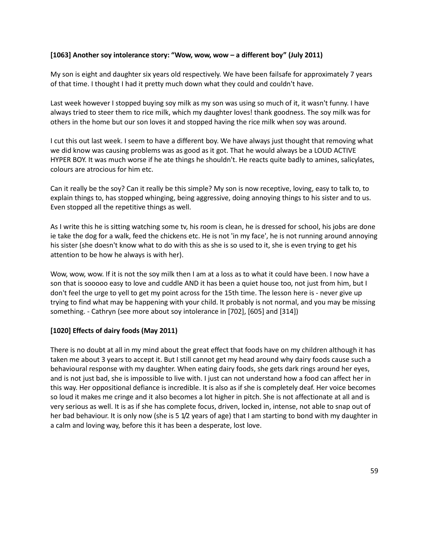### **[1063] Another soy intolerance story: "Wow, wow, wow – a different boy" (July 2011)**

My son is eight and daughter six years old respectively. We have been failsafe for approximately 7 years of that time. I thought I had it pretty much down what they could and couldn't have.

Last week however I stopped buying soy milk as my son was using so much of it, it wasn't funny. I have always tried to steer them to rice milk, which my daughter loves! thank goodness. The soy milk was for others in the home but our son loves it and stopped having the rice milk when soy was around.

I cut this out last week. I seem to have a different boy. We have always just thought that removing what we did know was causing problems was as good as it got. That he would always be a LOUD ACTIVE HYPER BOY. It was much worse if he ate things he shouldn't. He reacts quite badly to amines, salicylates, colours are atrocious for him etc.

Can it really be the soy? Can it really be this simple? My son is now receptive, loving, easy to talk to, to explain things to, has stopped whinging, being aggressive, doing annoying things to his sister and to us. Even stopped all the repetitive things as well.

As I write this he is sitting watching some tv, his room is clean, he is dressed for school, his jobs are done ie take the dog for a walk, feed the chickens etc. He is not 'in my face', he is not running around annoying his sister (she doesn't know what to do with this as she is so used to it, she is even trying to get his attention to be how he always is with her).

Wow, wow, wow. If it is not the soy milk then I am at a loss as to what it could have been. I now have a son that is sooooo easy to love and cuddle AND it has been a quiet house too, not just from him, but I don't feel the urge to yell to get my point across for the 15th time. The lesson here is - never give up trying to find what may be happening with your child. It probably is not normal, and you may be missing something. - Cathryn (see more about soy intolerance in [702], [605] and [314])

#### **[1020] Effects of dairy foods (May 2011)**

There is no doubt at all in my mind about the great effect that foods have on my children although it has taken me about 3 years to accept it. But I still cannot get my head around why dairy foods cause such a behavioural response with my daughter. When eating dairy foods, she gets dark rings around her eyes, and is not just bad, she is impossible to live with. I just can not understand how a food can affect her in this way. Her oppositional defiance is incredible. It is also as if she is completely deaf. Her voice becomes so loud it makes me cringe and it also becomes a lot higher in pitch. She is not affectionate at all and is very serious as well. It is as if she has complete focus, driven, locked in, intense, not able to snap out of her bad behaviour. It is only now (she is 5 1/2 years of age) that I am starting to bond with my daughter in a calm and loving way, before this it has been a desperate, lost love.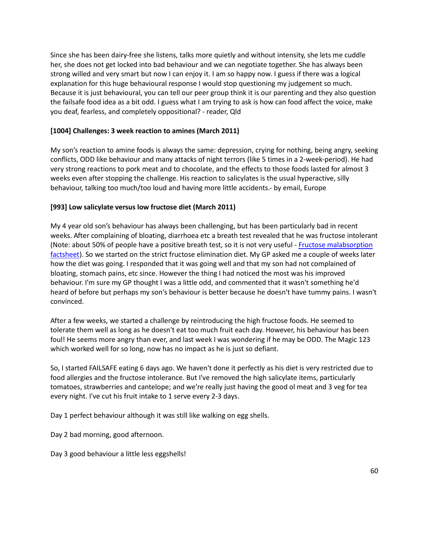Since she has been dairy-free she listens, talks more quietly and without intensity, she lets me cuddle her, she does not get locked into bad behaviour and we can negotiate together. She has always been strong willed and very smart but now I can enjoy it. I am so happy now. I guess if there was a logical explanation for this huge behavioural response I would stop questioning my judgement so much. Because it is just behavioural, you can tell our peer group think it is our parenting and they also question the failsafe food idea as a bit odd. I guess what I am trying to ask is how can food affect the voice, make you deaf, fearless, and completely oppositional? - reader, Qld

### **[1004] Challenges: 3 week reaction to amines (March 2011)**

My son's reaction to amine foods is always the same: depression, crying for nothing, being angry, seeking conflicts, ODD like behaviour and many attacks of night terrors (like 5 times in a 2-week-period). He had very strong reactions to pork meat and to chocolate, and the effects to those foods lasted for almost 3 weeks even after stopping the challenge. His reaction to salicylates is the usual hyperactive, silly behaviour, talking too much/too loud and having more little accidents.- by email, Europe

# **[993] Low salicylate versus low fructose diet (March 2011)**

My 4 year old son's behaviour has always been challenging, but has been particularly bad in recent weeks. After complaining of bloating, diarrhoea etc a breath test revealed that he was fructose intolerant (Note: about 50% of people have a positive breath test, so it is not very useful - Fructose malabsorption [factsheet\)](http://fedup.com.au/factsheets/additive-and-natural-chemical-factsheets/fructose-malabsorption). So we started on the strict fructose elimination diet. My GP asked me a couple of weeks later how the diet was going. I responded that it was going well and that my son had not complained of bloating, stomach pains, etc since. However the thing I had noticed the most was his improved behaviour. I'm sure my GP thought I was a little odd, and commented that it wasn't something he'd heard of before but perhaps my son's behaviour is better because he doesn't have tummy pains. I wasn't convinced.

After a few weeks, we started a challenge by reintroducing the high fructose foods. He seemed to tolerate them well as long as he doesn't eat too much fruit each day. However, his behaviour has been foul! He seems more angry than ever, and last week I was wondering if he may be ODD. The Magic 123 which worked well for so long, now has no impact as he is just so defiant.

So, I started FAILSAFE eating 6 days ago. We haven't done it perfectly as his diet is very restricted due to food allergies and the fructose intolerance. But I've removed the high salicylate items, particularly tomatoes, strawberries and cantelope; and we're really just having the good ol meat and 3 veg for tea every night. I've cut his fruit intake to 1 serve every 2-3 days.

Day 1 perfect behaviour although it was still like walking on egg shells.

Day 2 bad morning, good afternoon.

Day 3 good behaviour a little less eggshells!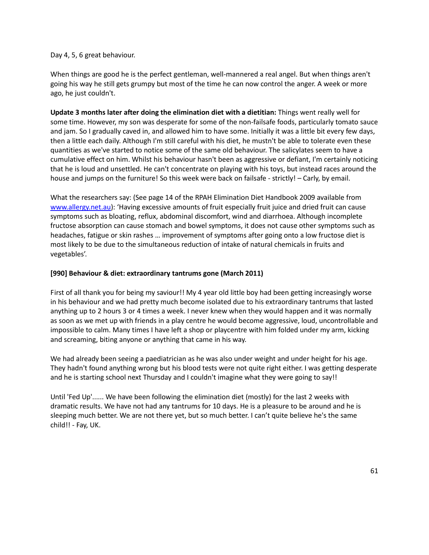#### Day 4, 5, 6 great behaviour.

When things are good he is the perfect gentleman, well-mannered a real angel. But when things aren't going his way he still gets grumpy but most of the time he can now control the anger. A week or more ago, he just couldn't.

**Update 3 months later after doing the elimination diet with a dietitian:** Things went really well for some time. However, my son was desperate for some of the non-failsafe foods, particularly tomato sauce and jam. So I gradually caved in, and allowed him to have some. Initially it was a little bit every few days, then a little each daily. Although I'm still careful with his diet, he mustn't be able to tolerate even these quantities as we've started to notice some of the same old behaviour. The salicylates seem to have a cumulative effect on him. Whilst his behaviour hasn't been as aggressive or defiant, I'm certainly noticing that he is loud and unsettled. He can't concentrate on playing with his toys, but instead races around the house and jumps on the furniture! So this week were back on failsafe - strictly! – Carly, by email.

What the researchers say: (See page 14 of the RPAH Elimination Diet Handbook 2009 available from [www.allergy.net.au\)](http://www.allergy.net.au/): 'Having excessive amounts of fruit especially fruit juice and dried fruit can cause symptoms such as bloating, reflux, abdominal discomfort, wind and diarrhoea. Although incomplete fructose absorption can cause stomach and bowel symptoms, it does not cause other symptoms such as headaches, fatigue or skin rashes … improvement of symptoms after going onto a low fructose diet is most likely to be due to the simultaneous reduction of intake of natural chemicals in fruits and vegetables'.

#### **[990] Behaviour & diet: extraordinary tantrums gone (March 2011)**

First of all thank you for being my saviour!! My 4 year old little boy had been getting increasingly worse in his behaviour and we had pretty much become isolated due to his extraordinary tantrums that lasted anything up to 2 hours 3 or 4 times a week. I never knew when they would happen and it was normally as soon as we met up with friends in a play centre he would become aggressive, loud, uncontrollable and impossible to calm. Many times I have left a shop or playcentre with him folded under my arm, kicking and screaming, biting anyone or anything that came in his way.

We had already been seeing a paediatrician as he was also under weight and under height for his age. They hadn't found anything wrong but his blood tests were not quite right either. I was getting desperate and he is starting school next Thursday and I couldn't imagine what they were going to say!!

Until 'Fed Up'...... We have been following the elimination diet (mostly) for the last 2 weeks with dramatic results. We have not had any tantrums for 10 days. He is a pleasure to be around and he is sleeping much better. We are not there yet, but so much better. I can't quite believe he's the same child!! - Fay, UK.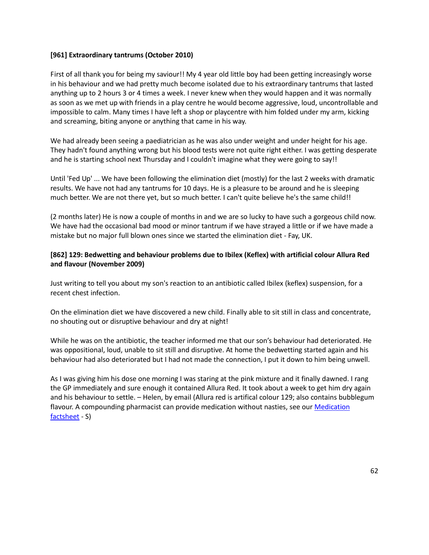#### **[961] Extraordinary tantrums (October 2010)**

First of all thank you for being my saviour!! My 4 year old little boy had been getting increasingly worse in his behaviour and we had pretty much become isolated due to his extraordinary tantrums that lasted anything up to 2 hours 3 or 4 times a week. I never knew when they would happen and it was normally as soon as we met up with friends in a play centre he would become aggressive, loud, uncontrollable and impossible to calm. Many times I have left a shop or playcentre with him folded under my arm, kicking and screaming, biting anyone or anything that came in his way.

We had already been seeing a paediatrician as he was also under weight and under height for his age. They hadn't found anything wrong but his blood tests were not quite right either. I was getting desperate and he is starting school next Thursday and I couldn't imagine what they were going to say!!

Until 'Fed Up' ... We have been following the elimination diet (mostly) for the last 2 weeks with dramatic results. We have not had any tantrums for 10 days. He is a pleasure to be around and he is sleeping much better. We are not there yet, but so much better. I can't quite believe he's the same child!!

(2 months later) He is now a couple of months in and we are so lucky to have such a gorgeous child now. We have had the occasional bad mood or minor tantrum if we have strayed a little or if we have made a mistake but no major full blown ones since we started the elimination diet - Fay, UK.

### **[862] 129: Bedwetting and behaviour problems due to Ibilex (Keflex) with artificial colour Allura Red and flavour (November 2009)**

Just writing to tell you about my son's reaction to an antibiotic called Ibilex (keflex) suspension, for a recent chest infection.

On the elimination diet we have discovered a new child. Finally able to sit still in class and concentrate, no shouting out or disruptive behaviour and dry at night!

While he was on the antibiotic, the teacher informed me that our son's behaviour had deteriorated. He was oppositional, loud, unable to sit still and disruptive. At home the bedwetting started again and his behaviour had also deteriorated but I had not made the connection, I put it down to him being unwell.

As I was giving him his dose one morning I was staring at the pink mixture and it finally dawned. I rang the GP immediately and sure enough it contained Allura Red. It took about a week to get him dry again and his behaviour to settle. – Helen, by email (Allura red is artifical colour 129; also contains bubblegum flavour. A compounding pharmacist can provide medication without nasties, see our Medication [factsheet](http://fedup.com.au/factsheets/support-factsheets/medication) - S)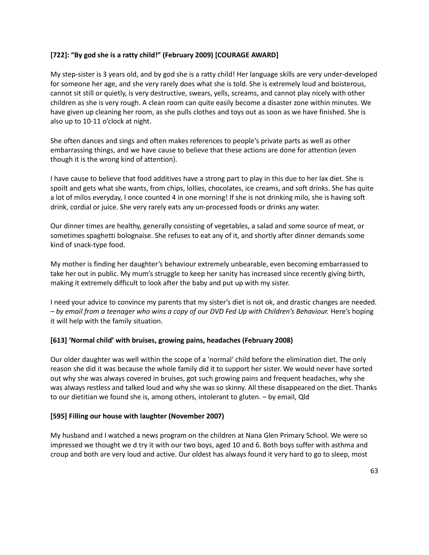# **[722]: "By god she is a ratty child!" (February 2009) [COURAGE AWARD]**

My step-sister is 3 years old, and by god she is a ratty child! Her language skills are very under-developed for someone her age, and she very rarely does what she is told. She is extremely loud and boisterous, cannot sit still or quietly, is very destructive, swears, yells, screams, and cannot play nicely with other children as she is very rough. A clean room can quite easily become a disaster zone within minutes. We have given up cleaning her room, as she pulls clothes and toys out as soon as we have finished. She is also up to 10-11 o'clock at night.

She often dances and sings and often makes references to people's private parts as well as other embarrassing things, and we have cause to believe that these actions are done for attention (even though it is the wrong kind of attention).

I have cause to believe that food additives have a strong part to play in this due to her lax diet. She is spoilt and gets what she wants, from chips, lollies, chocolates, ice creams, and soft drinks. She has quite a lot of milos everyday, I once counted 4 in one morning! If she is not drinking milo, she is having soft drink, cordial or juice. She very rarely eats any un-processed foods or drinks any water.

Our dinner times are healthy, generally consisting of vegetables, a salad and some source of meat, or sometimes spaghetti bolognaise. She refuses to eat any of it, and shortly after dinner demands some kind of snack-type food.

My mother is finding her daughter's behaviour extremely unbearable, even becoming embarrassed to take her out in public. My mum's struggle to keep her sanity has increased since recently giving birth, making it extremely difficult to look after the baby and put up with my sister.

I need your advice to convince my parents that my sister's diet is not ok, and drastic changes are needed. – *by email from a teenager who wins a copy of our DVD Fed Up with Children's Behaviour.* Here's hoping it will help with the family situation.

#### **[613] 'Normal child' with bruises, growing pains, headaches (February 2008)**

Our older daughter was well within the scope of a 'normal' child before the elimination diet. The only reason she did it was because the whole family did it to support her sister. We would never have sorted out why she was always covered in bruises, got such growing pains and frequent headaches, why she was always restless and talked loud and why she was so skinny. All these disappeared on the diet. Thanks to our dietitian we found she is, among others, intolerant to gluten. – by email, Qld

#### **[595] Filling our house with laughter (November 2007)**

My husband and I watched a news program on the children at Nana Glen Primary School. We were so impressed we thought we d try it with our two boys, aged 10 and 6. Both boys suffer with asthma and croup and both are very loud and active. Our oldest has always found it very hard to go to sleep, most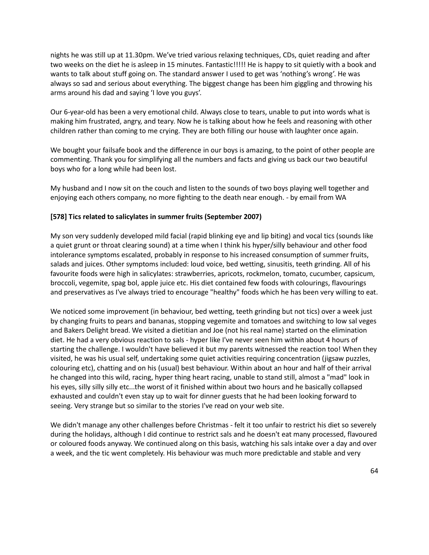nights he was still up at 11.30pm. We've tried various relaxing techniques, CDs, quiet reading and after two weeks on the diet he is asleep in 15 minutes. Fantastic!!!!! He is happy to sit quietly with a book and wants to talk about stuff going on. The standard answer I used to get was 'nothing's wrong'. He was always so sad and serious about everything. The biggest change has been him giggling and throwing his arms around his dad and saying 'I love you guys'.

Our 6-year-old has been a very emotional child. Always close to tears, unable to put into words what is making him frustrated, angry, and teary. Now he is talking about how he feels and reasoning with other children rather than coming to me crying. They are both filling our house with laughter once again.

We bought your failsafe book and the difference in our boys is amazing, to the point of other people are commenting. Thank you for simplifying all the numbers and facts and giving us back our two beautiful boys who for a long while had been lost.

My husband and I now sit on the couch and listen to the sounds of two boys playing well together and enjoying each others company, no more fighting to the death near enough. - by email from WA

# **[578] Tics related to salicylates in summer fruits (September 2007)**

My son very suddenly developed mild facial (rapid blinking eye and lip biting) and vocal tics (sounds like a quiet grunt or throat clearing sound) at a time when I think his hyper/silly behaviour and other food intolerance symptoms escalated, probably in response to his increased consumption of summer fruits, salads and juices. Other symptoms included: loud voice, bed wetting, sinusitis, teeth grinding. All of his favourite foods were high in salicylates: strawberries, apricots, rockmelon, tomato, cucumber, capsicum, broccoli, vegemite, spag bol, apple juice etc. His diet contained few foods with colourings, flavourings and preservatives as I've always tried to encourage "healthy" foods which he has been very willing to eat.

We noticed some improvement (in behaviour, bed wetting, teeth grinding but not tics) over a week just by changing fruits to pears and bananas, stopping vegemite and tomatoes and switching to low sal veges and Bakers Delight bread. We visited a dietitian and Joe (not his real name) started on the elimination diet. He had a very obvious reaction to sals - hyper like I've never seen him within about 4 hours of starting the challenge. I wouldn't have believed it but my parents witnessed the reaction too! When they visited, he was his usual self, undertaking some quiet activities requiring concentration (jigsaw puzzles, colouring etc), chatting and on his (usual) best behaviour. Within about an hour and half of their arrival he changed into this wild, racing, hyper thing heart racing, unable to stand still, almost a "mad" look in his eyes, silly silly silly etc...the worst of it finished within about two hours and he basically collapsed exhausted and couldn't even stay up to wait for dinner guests that he had been looking forward to seeing. Very strange but so similar to the stories I've read on your web site.

We didn't manage any other challenges before Christmas - felt it too unfair to restrict his diet so severely during the holidays, although I did continue to restrict sals and he doesn't eat many processed, flavoured or coloured foods anyway. We continued along on this basis, watching his sals intake over a day and over a week, and the tic went completely. His behaviour was much more predictable and stable and very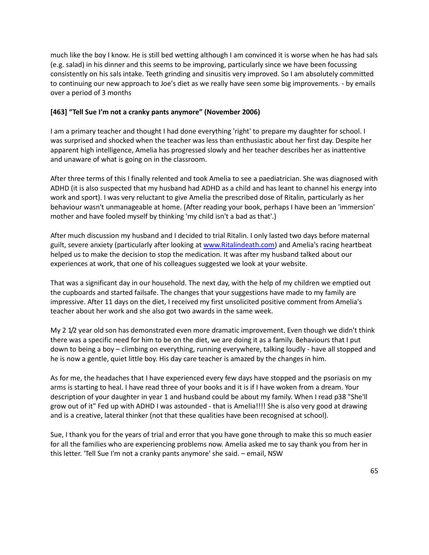much like the boy I know. He is still bed wetting although I am convinced it is worse when he has had sals (e.g. salad) in his dinner and this seems to be improving, particularly since we have been focussing consistently on his sals intake. Teeth grinding and sinusitis very improved. So I am absolutely committed to continuing our new approach to Joe's diet as we really have seen some big improvements. - by emails over a period of 3 months

# **[463] "Tell Sue I'm not a cranky pants anymore" (November 2006)**

I am a primary teacher and thought I had done everything 'right' to prepare my daughter for school. I was surprised and shocked when the teacher was less than enthusiastic about her first day. Despite her apparent high intelligence, Amelia has progressed slowly and her teacher describes her as inattentive and unaware of what is going on in the classroom.

After three terms of this I finally relented and took Amelia to see a paediatrician. She was diagnosed with ADHD (it is also suspected that my husband had ADHD as a child and has leant to channel his energy into work and sport). I was very reluctant to give Amelia the prescribed dose of Ritalin, particularly as her behaviour wasn't unmanageable at home. (After reading your book, perhaps I have been an 'immersion' mother and have fooled myself by thinking 'my child isn't a bad as that'.)

After much discussion my husband and I decided to trial Ritalin. I only lasted two days before maternal guilt, severe anxiety (particularly after looking at [www.Ritalindeath.com\)](http://www.ritalindeath.com/) and Amelia's racing heartbeat helped us to make the decision to stop the medication. It was after my husband talked about our experiences at work, that one of his colleagues suggested we look at your website.

That was a significant day in our household. The next day, with the help of my children we emptied out the cupboards and started failsafe. The changes that your suggestions have made to my family are impressive. After 11 days on the diet, I received my first unsolicited positive comment from Amelia's teacher about her work and she also got two awards in the same week.

My 2 1/2 year old son has demonstrated even more dramatic improvement. Even though we didn't think there was a specific need for him to be on the diet, we are doing it as a family. Behaviours that I put down to being a boy – climbing on everything, running everywhere, talking loudly - have all stopped and he is now a gentle, quiet little boy. His day care teacher is amazed by the changes in him.

As for me, the headaches that I have experienced every few days have stopped and the psoriasis on my arms is starting to heal. I have read three of your books and it is if I have woken from a dream. Your description of your daughter in year 1 and husband could be about my family. When I read p38 "She'll grow out of it" Fed up with ADHD I was astounded - that is Amelia!!!! She is also very good at drawing and is a creative, lateral thinker (not that these qualities have been recognised at school).

Sue, I thank you for the years of trial and error that you have gone through to make this so much easier for all the families who are experiencing problems now. Amelia asked me to say thank you from her in this letter. 'Tell Sue I'm not a cranky pants anymore' she said. – email, NSW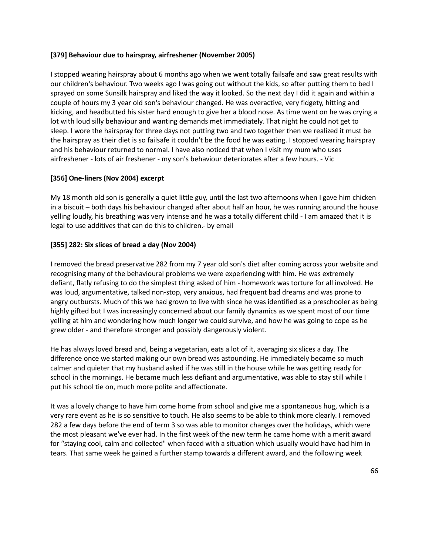### **[379] Behaviour due to hairspray, airfreshener (November 2005)**

I stopped wearing hairspray about 6 months ago when we went totally failsafe and saw great results with our children's behaviour. Two weeks ago I was going out without the kids, so after putting them to bed I sprayed on some Sunsilk hairspray and liked the way it looked. So the next day I did it again and within a couple of hours my 3 year old son's behaviour changed. He was overactive, very fidgety, hitting and kicking, and headbutted his sister hard enough to give her a blood nose. As time went on he was crying a lot with loud silly behaviour and wanting demands met immediately. That night he could not get to sleep. I wore the hairspray for three days not putting two and two together then we realized it must be the hairspray as their diet is so failsafe it couldn't be the food he was eating. I stopped wearing hairspray and his behaviour returned to normal. I have also noticed that when I visit my mum who uses airfreshener - lots of air freshener - my son's behaviour deteriorates after a few hours. - Vic

# **[356] One-liners (Nov 2004) excerpt**

My 18 month old son is generally a quiet little guy, until the last two afternoons when I gave him chicken in a biscuit – both days his behaviour changed after about half an hour, he was running around the house yelling loudly, his breathing was very intense and he was a totally different child - I am amazed that it is legal to use additives that can do this to children.- by email

# **[355] 282: Six slices of bread a day (Nov 2004)**

I removed the bread preservative 282 from my 7 year old son's diet after coming across your website and recognising many of the behavioural problems we were experiencing with him. He was extremely defiant, flatly refusing to do the simplest thing asked of him - homework was torture for all involved. He was loud, argumentative, talked non-stop, very anxious, had frequent bad dreams and was prone to angry outbursts. Much of this we had grown to live with since he was identified as a preschooler as being highly gifted but I was increasingly concerned about our family dynamics as we spent most of our time yelling at him and wondering how much longer we could survive, and how he was going to cope as he grew older - and therefore stronger and possibly dangerously violent.

He has always loved bread and, being a vegetarian, eats a lot of it, averaging six slices a day. The difference once we started making our own bread was astounding. He immediately became so much calmer and quieter that my husband asked if he was still in the house while he was getting ready for school in the mornings. He became much less defiant and argumentative, was able to stay still while I put his school tie on, much more polite and affectionate.

It was a lovely change to have him come home from school and give me a spontaneous hug, which is a very rare event as he is so sensitive to touch. He also seems to be able to think more clearly. I removed 282 a few days before the end of term 3 so was able to monitor changes over the holidays, which were the most pleasant we've ever had. In the first week of the new term he came home with a merit award for "staying cool, calm and collected" when faced with a situation which usually would have had him in tears. That same week he gained a further stamp towards a different award, and the following week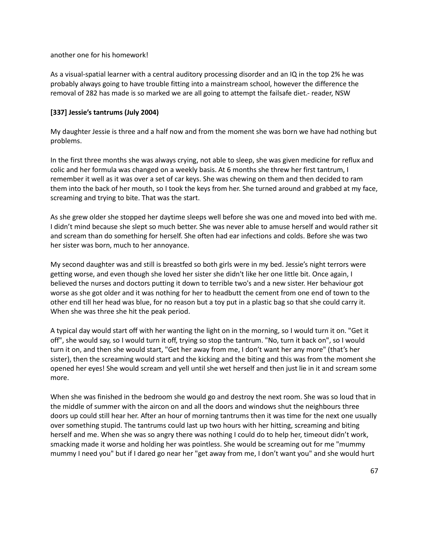another one for his homework!

As a visual-spatial learner with a central auditory processing disorder and an IQ in the top 2% he was probably always going to have trouble fitting into a mainstream school, however the difference the removal of 282 has made is so marked we are all going to attempt the failsafe diet.- reader, NSW

# **[337] Jessie's tantrums (July 2004)**

My daughter Jessie is three and a half now and from the moment she was born we have had nothing but problems.

In the first three months she was always crying, not able to sleep, she was given medicine for reflux and colic and her formula was changed on a weekly basis. At 6 months she threw her first tantrum, I remember it well as it was over a set of car keys. She was chewing on them and then decided to ram them into the back of her mouth, so I took the keys from her. She turned around and grabbed at my face, screaming and trying to bite. That was the start.

As she grew older she stopped her daytime sleeps well before she was one and moved into bed with me. I didn't mind because she slept so much better. She was never able to amuse herself and would rather sit and scream than do something for herself. She often had ear infections and colds. Before she was two her sister was born, much to her annoyance.

My second daughter was and still is breastfed so both girls were in my bed. Jessie's night terrors were getting worse, and even though she loved her sister she didn't like her one little bit. Once again, I believed the nurses and doctors putting it down to terrible two's and a new sister. Her behaviour got worse as she got older and it was nothing for her to headbutt the cement from one end of town to the other end till her head was blue, for no reason but a toy put in a plastic bag so that she could carry it. When she was three she hit the peak period.

A typical day would start off with her wanting the light on in the morning, so I would turn it on. "Get it off", she would say, so I would turn it off, trying so stop the tantrum. "No, turn it back on", so I would turn it on, and then she would start, "Get her away from me, I don't want her any more" (that's her sister), then the screaming would start and the kicking and the biting and this was from the moment she opened her eyes! She would scream and yell until she wet herself and then just lie in it and scream some more.

When she was finished in the bedroom she would go and destroy the next room. She was so loud that in the middle of summer with the aircon on and all the doors and windows shut the neighbours three doors up could still hear her. After an hour of morning tantrums then it was time for the next one usually over something stupid. The tantrums could last up two hours with her hitting, screaming and biting herself and me. When she was so angry there was nothing I could do to help her, timeout didn't work, smacking made it worse and holding her was pointless. She would be screaming out for me "mummy mummy I need you" but if I dared go near her "get away from me, I don't want you" and she would hurt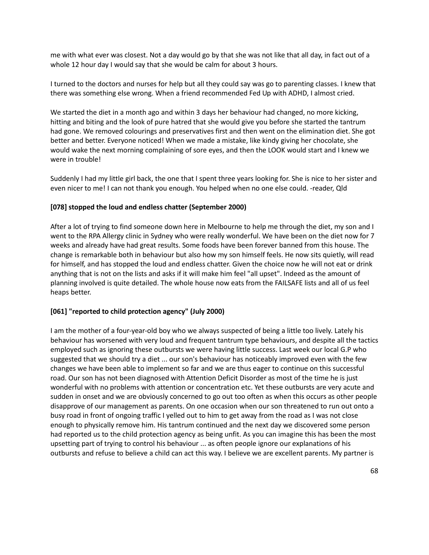me with what ever was closest. Not a day would go by that she was not like that all day, in fact out of a whole 12 hour day I would say that she would be calm for about 3 hours.

I turned to the doctors and nurses for help but all they could say was go to parenting classes. I knew that there was something else wrong. When a friend recommended Fed Up with ADHD, I almost cried.

We started the diet in a month ago and within 3 days her behaviour had changed, no more kicking, hitting and biting and the look of pure hatred that she would give you before she started the tantrum had gone. We removed colourings and preservatives first and then went on the elimination diet. She got better and better. Everyone noticed! When we made a mistake, like kindy giving her chocolate, she would wake the next morning complaining of sore eyes, and then the LOOK would start and I knew we were in trouble!

Suddenly I had my little girl back, the one that I spent three years looking for. She is nice to her sister and even nicer to me! I can not thank you enough. You helped when no one else could. -reader, Qld

#### **[078] stopped the loud and endless chatter (September 2000)**

After a lot of trying to find someone down here in Melbourne to help me through the diet, my son and I went to the RPA Allergy clinic in Sydney who were really wonderful. We have been on the diet now for 7 weeks and already have had great results. Some foods have been forever banned from this house. The change is remarkable both in behaviour but also how my son himself feels. He now sits quietly, will read for himself, and has stopped the loud and endless chatter. Given the choice now he will not eat or drink anything that is not on the lists and asks if it will make him feel "all upset". Indeed as the amount of planning involved is quite detailed. The whole house now eats from the FAILSAFE lists and all of us feel heaps better.

#### **[061] "reported to child protection agency" (July 2000)**

I am the mother of a four-year-old boy who we always suspected of being a little too lively. Lately his behaviour has worsened with very loud and frequent tantrum type behaviours, and despite all the tactics employed such as ignoring these outbursts we were having little success. Last week our local G.P who suggested that we should try a diet ... our son's behaviour has noticeably improved even with the few changes we have been able to implement so far and we are thus eager to continue on this successful road. Our son has not been diagnosed with Attention Deficit Disorder as most of the time he is just wonderful with no problems with attention or concentration etc. Yet these outbursts are very acute and sudden in onset and we are obviously concerned to go out too often as when this occurs as other people disapprove of our management as parents. On one occasion when our son threatened to run out onto a busy road in front of ongoing traffic I yelled out to him to get away from the road as I was not close enough to physically remove him. His tantrum continued and the next day we discovered some person had reported us to the child protection agency as being unfit. As you can imagine this has been the most upsetting part of trying to control his behaviour ... as often people ignore our explanations of his outbursts and refuse to believe a child can act this way. I believe we are excellent parents. My partner is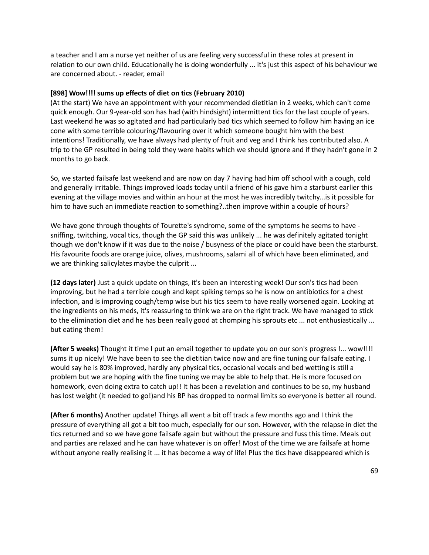a teacher and I am a nurse yet neither of us are feeling very successful in these roles at present in relation to our own child. Educationally he is doing wonderfully ... it's just this aspect of his behaviour we are concerned about. - reader, email

#### **[898] Wow!!!! sums up effects of diet on tics (February 2010)**

(At the start) We have an appointment with your recommended dietitian in 2 weeks, which can't come quick enough. Our 9-year-old son has had (with hindsight) intermittent tics for the last couple of years. Last weekend he was so agitated and had particularly bad tics which seemed to follow him having an ice cone with some terrible colouring/flavouring over it which someone bought him with the best intentions! Traditionally, we have always had plenty of fruit and veg and I think has contributed also. A trip to the GP resulted in being told they were habits which we should ignore and if they hadn't gone in 2 months to go back.

So, we started failsafe last weekend and are now on day 7 having had him off school with a cough, cold and generally irritable. Things improved loads today until a friend of his gave him a starburst earlier this evening at the village movies and within an hour at the most he was incredibly twitchy...is it possible for him to have such an immediate reaction to something?..then improve within a couple of hours?

We have gone through thoughts of Tourette's syndrome, some of the symptoms he seems to have sniffing, twitching, vocal tics, though the GP said this was unlikely ... he was definitely agitated tonight though we don't know if it was due to the noise / busyness of the place or could have been the starburst. His favourite foods are orange juice, olives, mushrooms, salami all of which have been eliminated, and we are thinking salicylates maybe the culprit ...

**(12 days later)** Just a quick update on things, it's been an interesting week! Our son's tics had been improving, but he had a terrible cough and kept spiking temps so he is now on antibiotics for a chest infection, and is improving cough/temp wise but his tics seem to have really worsened again. Looking at the ingredients on his meds, it's reassuring to think we are on the right track. We have managed to stick to the elimination diet and he has been really good at chomping his sprouts etc ... not enthusiastically ... but eating them!

**(After 5 weeks)** Thought it time I put an email together to update you on our son's progress !... wow!!!! sums it up nicely! We have been to see the dietitian twice now and are fine tuning our failsafe eating. I would say he is 80% improved, hardly any physical tics, occasional vocals and bed wetting is still a problem but we are hoping with the fine tuning we may be able to help that. He is more focused on homework, even doing extra to catch up!! It has been a revelation and continues to be so, my husband has lost weight (it needed to go!)and his BP has dropped to normal limits so everyone is better all round.

**(After 6 months)** Another update! Things all went a bit off track a few months ago and I think the pressure of everything all got a bit too much, especially for our son. However, with the relapse in diet the tics returned and so we have gone failsafe again but without the pressure and fuss this time. Meals out and parties are relaxed and he can have whatever is on offer! Most of the time we are failsafe at home without anyone really realising it ... it has become a way of life! Plus the tics have disappeared which is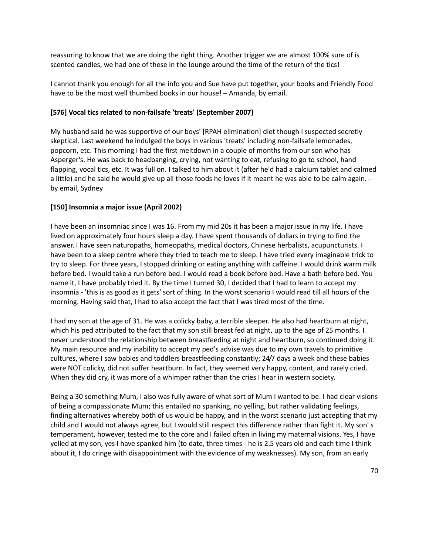reassuring to know that we are doing the right thing. Another trigger we are almost 100% sure of is scented candles, we had one of these in the lounge around the time of the return of the tics!

I cannot thank you enough for all the info you and Sue have put together, your books and Friendly Food have to be the most well thumbed books in our house! – Amanda, by email.

### **[576] Vocal tics related to non-failsafe 'treats' (September 2007)**

My husband said he was supportive of our boys' [RPAH elimination] diet though I suspected secretly skeptical. Last weekend he indulged the boys in various 'treats' including non-failsafe lemonades, popcorn, etc. This morning I had the first meltdown in a couple of months from our son who has Asperger's. He was back to headbanging, crying, not wanting to eat, refusing to go to school, hand flapping, vocal tics, etc. It was full on. I talked to him about it (after he'd had a calcium tablet and calmed a little) and he said he would give up all those foods he loves if it meant he was able to be calm again. by email, Sydney

# **[150] Insomnia a major issue (April 2002)**

I have been an insomniac since I was 16. From my mid 20s it has been a major issue in my life. I have lived on approximately four hours sleep a day. I have spent thousands of dollars in trying to find the answer. I have seen naturopaths, homeopaths, medical doctors, Chinese herbalists, acupuncturists. I have been to a sleep centre where they tried to teach me to sleep. I have tried every imaginable trick to try to sleep. For three years, I stopped drinking or eating anything with caffeine. I would drink warm milk before bed. I would take a run before bed. I would read a book before bed. Have a bath before bed. You name it, I have probably tried it. By the time I turned 30, I decided that I had to learn to accept my insomnia - 'this is as good as it gets' sort of thing. In the worst scenario I would read till all hours of the morning. Having said that, I had to also accept the fact that I was tired most of the time.

I had my son at the age of 31. He was a colicky baby, a terrible sleeper. He also had heartburn at night, which his ped attributed to the fact that my son still breast fed at night, up to the age of 25 months. I never understood the relationship between breastfeeding at night and heartburn, so continued doing it. My main resource and my inability to accept my ped's advise was due to my own travels to primitive cultures, where I saw babies and toddlers breastfeeding constantly; 24/7 days a week and these babies were NOT colicky, did not suffer heartburn. In fact, they seemed very happy, content, and rarely cried. When they did cry, it was more of a whimper rather than the cries I hear in western society.

Being a 30 something Mum, I also was fully aware of what sort of Mum I wanted to be. I had clear visions of being a compassionate Mum; this entailed no spanking, no yelling, but rather validating feelings, finding alternatives whereby both of us would be happy, and in the worst scenario just accepting that my child and I would not always agree, but I would still respect this difference rather than fight it. My son' s temperament, however, tested me to the core and I failed often in living my maternal visions. Yes, I have yelled at my son, yes I have spanked him (to date, three times - he is 2.5 years old and each time I think about it, I do cringe with disappointment with the evidence of my weaknesses). My son, from an early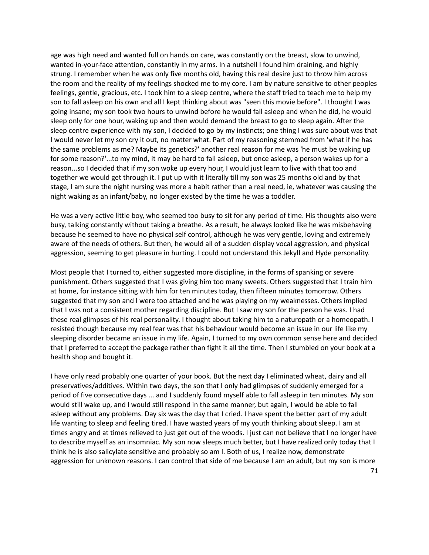age was high need and wanted full on hands on care, was constantly on the breast, slow to unwind, wanted in-your-face attention, constantly in my arms. In a nutshell I found him draining, and highly strung. I remember when he was only five months old, having this real desire just to throw him across the room and the reality of my feelings shocked me to my core. I am by nature sensitive to other peoples feelings, gentle, gracious, etc. I took him to a sleep centre, where the staff tried to teach me to help my son to fall asleep on his own and all I kept thinking about was "seen this movie before". I thought I was going insane; my son took two hours to unwind before he would fall asleep and when he did, he would sleep only for one hour, waking up and then would demand the breast to go to sleep again. After the sleep centre experience with my son, I decided to go by my instincts; one thing I was sure about was that I would never let my son cry it out, no matter what. Part of my reasoning stemmed from 'what if he has the same problems as me? Maybe its genetics?' another real reason for me was 'he must be waking up for some reason?'...to my mind, it may be hard to fall asleep, but once asleep, a person wakes up for a reason...so I decided that if my son woke up every hour, I would just learn to live with that too and together we would get through it. I put up with it literally till my son was 25 months old and by that stage, I am sure the night nursing was more a habit rather than a real need, ie, whatever was causing the night waking as an infant/baby, no longer existed by the time he was a toddler.

He was a very active little boy, who seemed too busy to sit for any period of time. His thoughts also were busy, talking constantly without taking a breathe. As a result, he always looked like he was misbehaving because he seemed to have no physical self control, although he was very gentle, loving and extremely aware of the needs of others. But then, he would all of a sudden display vocal aggression, and physical aggression, seeming to get pleasure in hurting. I could not understand this Jekyll and Hyde personality.

Most people that I turned to, either suggested more discipline, in the forms of spanking or severe punishment. Others suggested that I was giving him too many sweets. Others suggested that I train him at home, for instance sitting with him for ten minutes today, then fifteen minutes tomorrow. Others suggested that my son and I were too attached and he was playing on my weaknesses. Others implied that I was not a consistent mother regarding discipline. But I saw my son for the person he was. I had these real glimpses of his real personality. I thought about taking him to a naturopath or a homeopath. I resisted though because my real fear was that his behaviour would become an issue in our life like my sleeping disorder became an issue in my life. Again, I turned to my own common sense here and decided that I preferred to accept the package rather than fight it all the time. Then I stumbled on your book at a health shop and bought it.

I have only read probably one quarter of your book. But the next day I eliminated wheat, dairy and all preservatives/additives. Within two days, the son that I only had glimpses of suddenly emerged for a period of five consecutive days ... and I suddenly found myself able to fall asleep in ten minutes. My son would still wake up, and I would still respond in the same manner, but again, I would be able to fall asleep without any problems. Day six was the day that I cried. I have spent the better part of my adult life wanting to sleep and feeling tired. I have wasted years of my youth thinking about sleep. I am at times angry and at times relieved to just get out of the woods. I just can not believe that I no longer have to describe myself as an insomniac. My son now sleeps much better, but I have realized only today that I think he is also salicylate sensitive and probably so am I. Both of us, I realize now, demonstrate aggression for unknown reasons. I can control that side of me because I am an adult, but my son is more